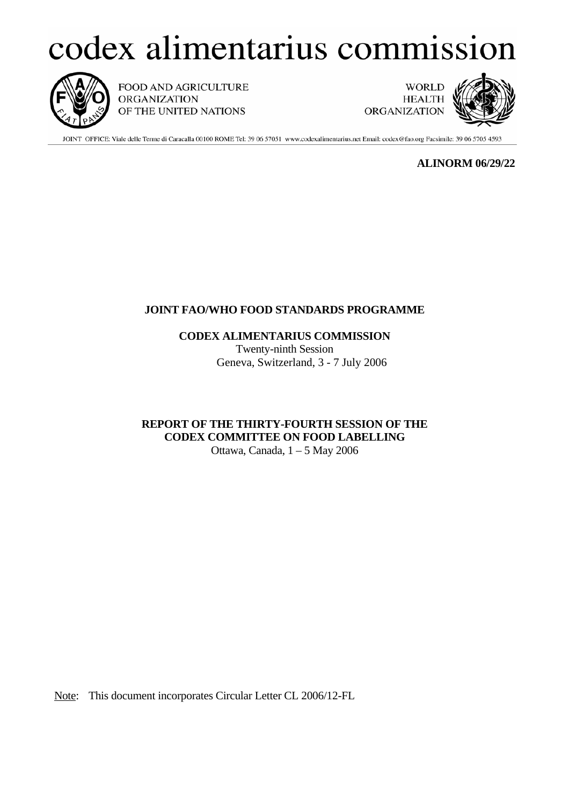## codex alimentarius commission



FOOD AND AGRICULTURE **ORGANIZATION** OF THE UNITED NATIONS

**WORLD HEALTH ORGANIZATION** 



JOINT OFFICE: Viale delle Terme di Caracalla 00100 ROME Tel: 39 06 57051 www.codexalimentarius.net Email: codex@fao.org Facsimile: 39 06 5705 4593

 **ALINORM 06/29/22** 

## **JOINT FAO/WHO FOOD STANDARDS PROGRAMME**

 **CODEX ALIMENTARIUS COMMISSION** Twenty-ninth Session Geneva, Switzerland, 3 - 7 July 2006

**REPORT OF THE THIRTY-FOURTH SESSION OF THE CODEX COMMITTEE ON FOOD LABELLING** 

Ottawa, Canada, 1 – 5 May 2006

Note: This document incorporates Circular Letter CL 2006/12-FL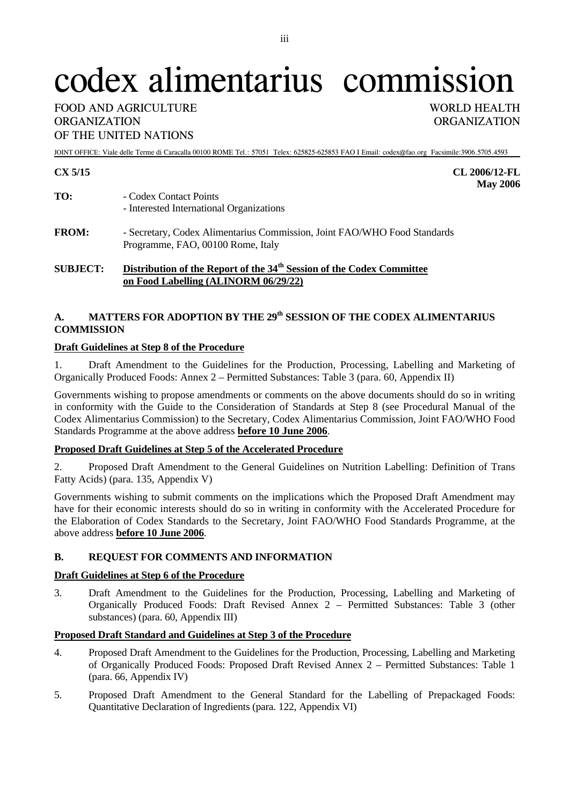# codex alimentarius commission

## FOOD AND AGRICULTURE WORLD HEALTH ORGANIZATION ORGANIZATION OF THE UNITED NATIONS

JOINT OFFICE: Viale delle Terme di Caracalla 00100 ROME Tel.: 57051 Telex: 625825-625853 FAO I Email: codex@fao.org Facsimile:3906.5705.4593

## TO:  $-$  Codex Contact Points - Interested International Organizations

**FROM:** - Secretary, Codex Alimentarius Commission, Joint FAO/WHO Food Standards Programme, FAO, 00100 Rome, Italy

## **SUBJECT:** Distribution of the Report of the 34<sup>th</sup> Session of the Codex Committee  **on Food Labelling (ALINORM 06/29/22)**

## A. MATTERS FOR ADOPTION BY THE 29<sup>th</sup> SESSION OF THE CODEX ALIMENTARIUS **COMMISSION**

## **Draft Guidelines at Step 8 of the Procedure**

1. Draft Amendment to the Guidelines for the Production, Processing, Labelling and Marketing of Organically Produced Foods: Annex 2 – Permitted Substances: Table 3 (para. 60, Appendix II)

Governments wishing to propose amendments or comments on the above documents should do so in writing in conformity with the Guide to the Consideration of Standards at Step 8 (see Procedural Manual of the Codex Alimentarius Commission) to the Secretary, Codex Alimentarius Commission, Joint FAO/WHO Food Standards Programme at the above address **before 10 June 2006**.

## **Proposed Draft Guidelines at Step 5 of the Accelerated Procedure**

2. Proposed Draft Amendment to the General Guidelines on Nutrition Labelling: Definition of Trans Fatty Acids) (para. 135, Appendix V)

Governments wishing to submit comments on the implications which the Proposed Draft Amendment may have for their economic interests should do so in writing in conformity with the Accelerated Procedure for the Elaboration of Codex Standards to the Secretary, Joint FAO/WHO Food Standards Programme, at the above address **before 10 June 2006**.

## **B. REQUEST FOR COMMENTS AND INFORMATION**

## **Draft Guidelines at Step 6 of the Procedure**

3. Draft Amendment to the Guidelines for the Production, Processing, Labelling and Marketing of Organically Produced Foods: Draft Revised Annex 2 – Permitted Substances: Table 3 (other substances) (para. 60, Appendix III)

## **Proposed Draft Standard and Guidelines at Step 3 of the Procedure**

- 4. Proposed Draft Amendment to the Guidelines for the Production, Processing, Labelling and Marketing of Organically Produced Foods: Proposed Draft Revised Annex 2 – Permitted Substances: Table 1 (para. 66, Appendix IV)
- 5. Proposed Draft Amendment to the General Standard for the Labelling of Prepackaged Foods: Quantitative Declaration of Ingredients (para. 122, Appendix VI)

**CX 5/15 CL 2006/12-FL May 2006**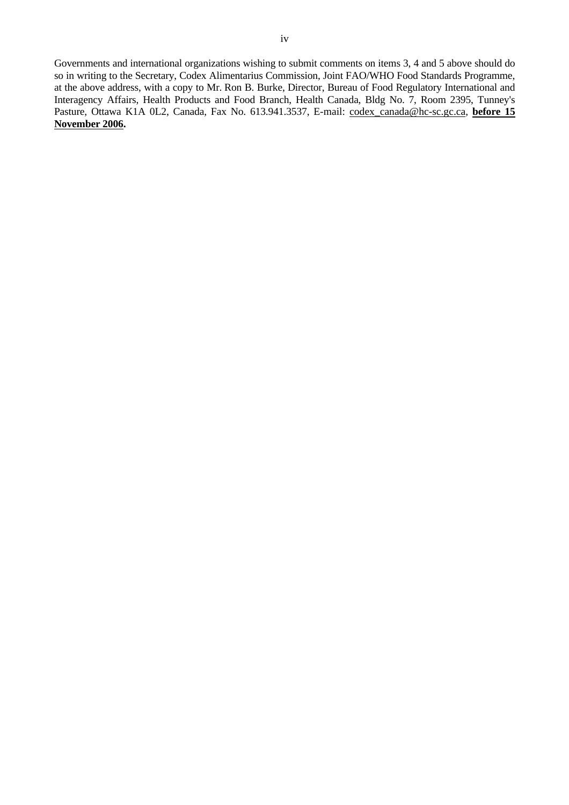Governments and international organizations wishing to submit comments on items 3, 4 and 5 above should do so in writing to the Secretary, Codex Alimentarius Commission, Joint FAO/WHO Food Standards Programme, at the above address, with a copy to Mr. Ron B. Burke, Director, Bureau of Food Regulatory International and Interagency Affairs, Health Products and Food Branch, Health Canada, Bldg No. 7, Room 2395, Tunney's Pasture, Ottawa K1A 0L2, Canada, Fax No. 613.941.3537, E-mail: codex\_canada@hc-sc.gc.ca, **before 15 November 2006.**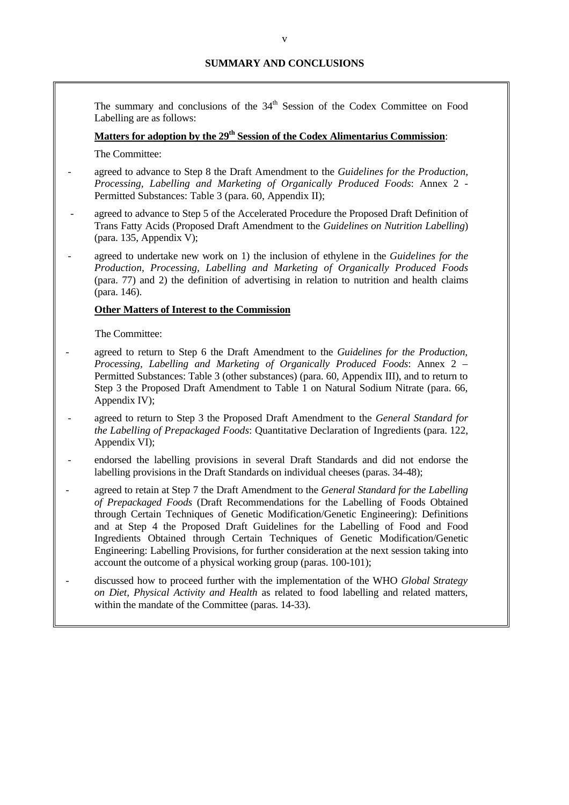The summary and conclusions of the 34<sup>th</sup> Session of the Codex Committee on Food Labelling are as follows:

## Matters for adoption by the 29<sup>th</sup> Session of the Codex Alimentarius Commission:

The Committee:

- agreed to advance to Step 8 the Draft Amendment to the *Guidelines for the Production, Processing, Labelling and Marketing of Organically Produced Foods*: Annex 2 - Permitted Substances: Table 3 (para. 60, Appendix II);
- agreed to advance to Step 5 of the Accelerated Procedure the Proposed Draft Definition of Trans Fatty Acids (Proposed Draft Amendment to the *Guidelines on Nutrition Labelling*) (para. 135, Appendix V);
- agreed to undertake new work on 1) the inclusion of ethylene in the *Guidelines for the Production, Processing, Labelling and Marketing of Organically Produced Foods* (para. 77) and 2) the definition of advertising in relation to nutrition and health claims (para. 146).

#### **Other Matters of Interest to the Commission**

The Committee:

- agreed to return to Step 6 the Draft Amendment to the *Guidelines for the Production, Processing, Labelling and Marketing of Organically Produced Foods*: Annex 2 – Permitted Substances: Table 3 (other substances) (para. 60, Appendix III), and to return to Step 3 the Proposed Draft Amendment to Table 1 on Natural Sodium Nitrate (para. 66, Appendix IV);
- agreed to return to Step 3 the Proposed Draft Amendment to the *General Standard for the Labelling of Prepackaged Foods*: Quantitative Declaration of Ingredients (para. 122, Appendix VI);
- endorsed the labelling provisions in several Draft Standards and did not endorse the labelling provisions in the Draft Standards on individual cheeses (paras. 34-48);
- agreed to retain at Step 7 the Draft Amendment to the *General Standard for the Labelling of Prepackaged Foods* (Draft Recommendations for the Labelling of Foods Obtained through Certain Techniques of Genetic Modification/Genetic Engineering): Definitions and at Step 4 the Proposed Draft Guidelines for the Labelling of Food and Food Ingredients Obtained through Certain Techniques of Genetic Modification/Genetic Engineering: Labelling Provisions, for further consideration at the next session taking into account the outcome of a physical working group (paras. 100-101);
- discussed how to proceed further with the implementation of the WHO *Global Strategy on Diet, Physical Activity and Health* as related to food labelling and related matters, within the mandate of the Committee (paras. 14-33).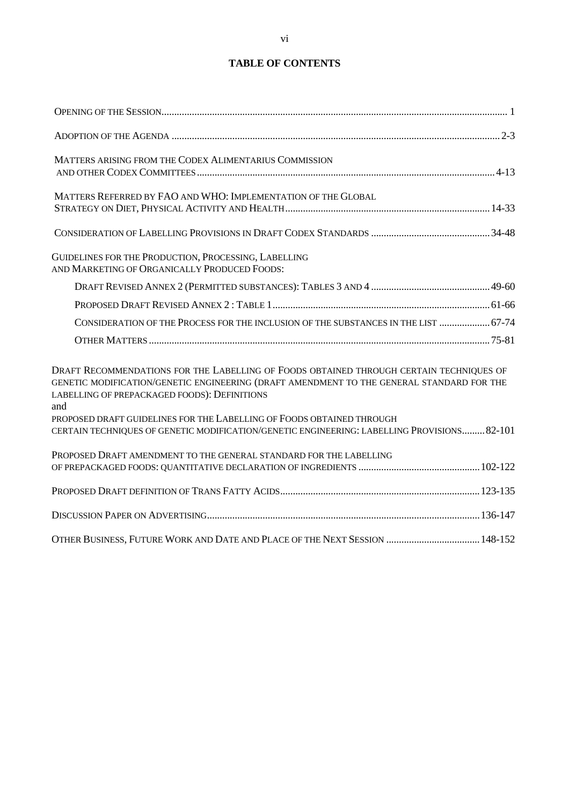## **TABLE OF CONTENTS**

| MATTERS ARISING FROM THE CODEX ALIMENTARIUS COMMISSION                                                                                                                                                                               |
|--------------------------------------------------------------------------------------------------------------------------------------------------------------------------------------------------------------------------------------|
| MATTERS REFERRED BY FAO AND WHO: IMPLEMENTATION OF THE GLOBAL                                                                                                                                                                        |
|                                                                                                                                                                                                                                      |
| GUIDELINES FOR THE PRODUCTION, PROCESSING, LABELLING<br>AND MARKETING OF ORGANICALLY PRODUCED FOODS:                                                                                                                                 |
|                                                                                                                                                                                                                                      |
|                                                                                                                                                                                                                                      |
| CONSIDERATION OF THE PROCESS FOR THE INCLUSION OF THE SUBSTANCES IN THE LIST  67-74                                                                                                                                                  |
|                                                                                                                                                                                                                                      |
| DRAFT RECOMMENDATIONS FOR THE LABELLING OF FOODS OBTAINED THROUGH CERTAIN TECHNIQUES OF<br>GENETIC MODIFICATION/GENETIC ENGINEERING (DRAFT AMENDMENT TO THE GENERAL STANDARD FOR THE<br>LABELLING OF PREPACKAGED FOODS): DEFINITIONS |
| and<br>PROPOSED DRAFT GUIDELINES FOR THE LABELLING OF FOODS OBTAINED THROUGH<br>CERTAIN TECHNIQUES OF GENETIC MODIFICATION/GENETIC ENGINEERING: LABELLING PROVISIONS 82-101                                                          |
| PROPOSED DRAFT AMENDMENT TO THE GENERAL STANDARD FOR THE LABELLING                                                                                                                                                                   |
|                                                                                                                                                                                                                                      |
|                                                                                                                                                                                                                                      |
|                                                                                                                                                                                                                                      |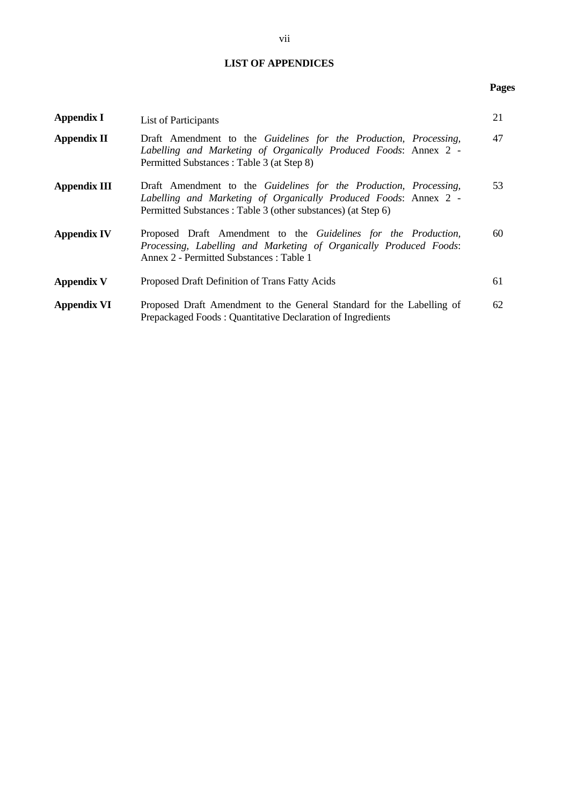## **LIST OF APPENDICES**

## **Pages**

| <b>Appendix I</b>   | List of Participants                                                                                                                                                                                  | 21 |
|---------------------|-------------------------------------------------------------------------------------------------------------------------------------------------------------------------------------------------------|----|
| <b>Appendix II</b>  | Draft Amendment to the Guidelines for the Production, Processing,<br>Labelling and Marketing of Organically Produced Foods: Annex 2 -<br>Permitted Substances : Table 3 (at Step 8)                   | 47 |
| <b>Appendix III</b> | Draft Amendment to the Guidelines for the Production, Processing,<br>Labelling and Marketing of Organically Produced Foods: Annex 2 -<br>Permitted Substances: Table 3 (other substances) (at Step 6) | 53 |
| <b>Appendix IV</b>  | Proposed Draft Amendment to the Guidelines for the Production,<br>Processing, Labelling and Marketing of Organically Produced Foods:<br>Annex 2 - Permitted Substances : Table 1                      | 60 |
| <b>Appendix V</b>   | Proposed Draft Definition of Trans Fatty Acids                                                                                                                                                        | 61 |
| <b>Appendix VI</b>  | Proposed Draft Amendment to the General Standard for the Labelling of<br>Prepackaged Foods: Quantitative Declaration of Ingredients                                                                   | 62 |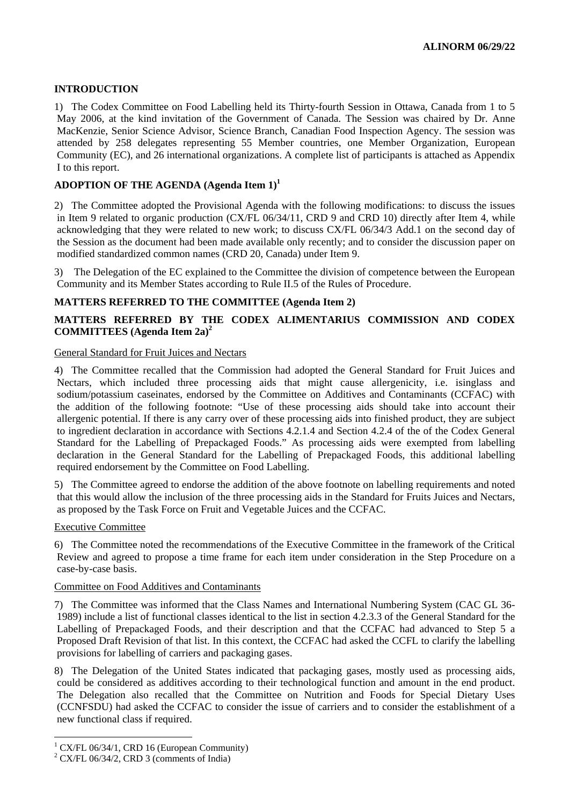## **INTRODUCTION**

1) The Codex Committee on Food Labelling held its Thirty-fourth Session in Ottawa, Canada from 1 to 5 May 2006, at the kind invitation of the Government of Canada. The Session was chaired by Dr. Anne MacKenzie, Senior Science Advisor, Science Branch, Canadian Food Inspection Agency. The session was attended by 258 delegates representing 55 Member countries, one Member Organization, European Community (EC), and 26 international organizations. A complete list of participants is attached as Appendix I to this report.

## **ADOPTION OF THE AGENDA (Agenda Item 1)<sup>1</sup>**

2) The Committee adopted the Provisional Agenda with the following modifications: to discuss the issues in Item 9 related to organic production (CX/FL 06/34/11, CRD 9 and CRD 10) directly after Item 4, while acknowledging that they were related to new work; to discuss CX/FL 06/34/3 Add.1 on the second day of the Session as the document had been made available only recently; and to consider the discussion paper on modified standardized common names (CRD 20, Canada) under Item 9.

3) The Delegation of the EC explained to the Committee the division of competence between the European Community and its Member States according to Rule II.5 of the Rules of Procedure.

## **MATTERS REFERRED TO THE COMMITTEE (Agenda Item 2)**

## **MATTERS REFERRED BY THE CODEX ALIMENTARIUS COMMISSION AND CODEX COMMITTEES (Agenda Item 2a)2**

## General Standard for Fruit Juices and Nectars

4) The Committee recalled that the Commission had adopted the General Standard for Fruit Juices and Nectars, which included three processing aids that might cause allergenicity, i.e. isinglass and sodium/potassium caseinates, endorsed by the Committee on Additives and Contaminants (CCFAC) with the addition of the following footnote: "Use of these processing aids should take into account their allergenic potential. If there is any carry over of these processing aids into finished product, they are subject to ingredient declaration in accordance with Sections 4.2.1.4 and Section 4.2.4 of the of the Codex General Standard for the Labelling of Prepackaged Foods." As processing aids were exempted from labelling declaration in the General Standard for the Labelling of Prepackaged Foods, this additional labelling required endorsement by the Committee on Food Labelling.

5) The Committee agreed to endorse the addition of the above footnote on labelling requirements and noted that this would allow the inclusion of the three processing aids in the Standard for Fruits Juices and Nectars, as proposed by the Task Force on Fruit and Vegetable Juices and the CCFAC.

## Executive Committee

 $\overline{a}$ 

6) The Committee noted the recommendations of the Executive Committee in the framework of the Critical Review and agreed to propose a time frame for each item under consideration in the Step Procedure on a case-by-case basis.

## Committee on Food Additives and Contaminants

7) The Committee was informed that the Class Names and International Numbering System (CAC GL 36- 1989) include a list of functional classes identical to the list in section 4.2.3.3 of the General Standard for the Labelling of Prepackaged Foods, and their description and that the CCFAC had advanced to Step 5 a Proposed Draft Revision of that list. In this context, the CCFAC had asked the CCFL to clarify the labelling provisions for labelling of carriers and packaging gases.

8) The Delegation of the United States indicated that packaging gases, mostly used as processing aids, could be considered as additives according to their technological function and amount in the end product. The Delegation also recalled that the Committee on Nutrition and Foods for Special Dietary Uses (CCNFSDU) had asked the CCFAC to consider the issue of carriers and to consider the establishment of a new functional class if required.

<sup>1</sup> CX/FL 06/34/1, CRD 16 (European Community)

 $2$  CX/FL 06/34/2, CRD 3 (comments of India)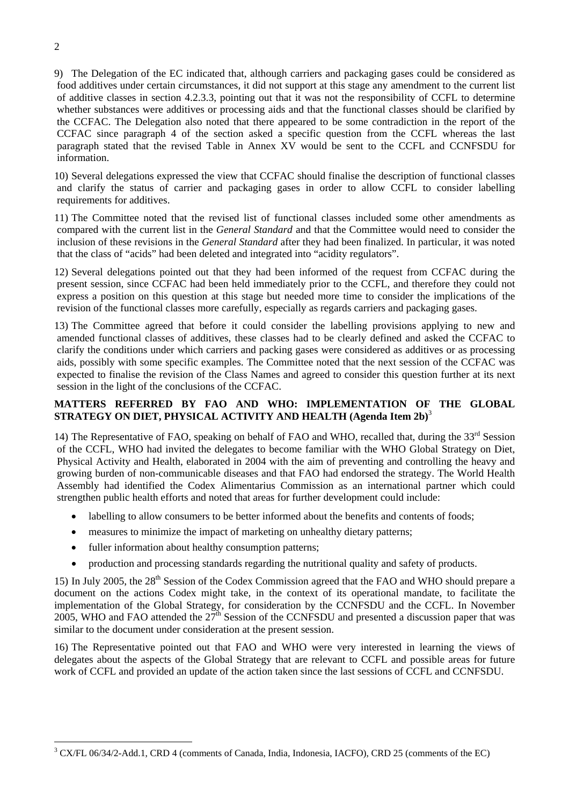9) The Delegation of the EC indicated that, although carriers and packaging gases could be considered as food additives under certain circumstances, it did not support at this stage any amendment to the current list of additive classes in section 4.2.3.3, pointing out that it was not the responsibility of CCFL to determine whether substances were additives or processing aids and that the functional classes should be clarified by the CCFAC. The Delegation also noted that there appeared to be some contradiction in the report of the CCFAC since paragraph 4 of the section asked a specific question from the CCFL whereas the last paragraph stated that the revised Table in Annex XV would be sent to the CCFL and CCNFSDU for information.

10) Several delegations expressed the view that CCFAC should finalise the description of functional classes and clarify the status of carrier and packaging gases in order to allow CCFL to consider labelling requirements for additives.

11) The Committee noted that the revised list of functional classes included some other amendments as compared with the current list in the *General Standard* and that the Committee would need to consider the inclusion of these revisions in the *General Standard* after they had been finalized. In particular, it was noted that the class of "acids" had been deleted and integrated into "acidity regulators".

12) Several delegations pointed out that they had been informed of the request from CCFAC during the present session, since CCFAC had been held immediately prior to the CCFL, and therefore they could not express a position on this question at this stage but needed more time to consider the implications of the revision of the functional classes more carefully, especially as regards carriers and packaging gases.

13) The Committee agreed that before it could consider the labelling provisions applying to new and amended functional classes of additives, these classes had to be clearly defined and asked the CCFAC to clarify the conditions under which carriers and packing gases were considered as additives or as processing aids, possibly with some specific examples. The Committee noted that the next session of the CCFAC was expected to finalise the revision of the Class Names and agreed to consider this question further at its next session in the light of the conclusions of the CCFAC.

## **MATTERS REFERRED BY FAO AND WHO: IMPLEMENTATION OF THE GLOBAL STRATEGY ON DIET, PHYSICAL ACTIVITY AND HEALTH (Agenda Item 2b)**<sup>3</sup>

14) The Representative of FAO, speaking on behalf of FAO and WHO, recalled that, during the  $33<sup>rd</sup>$  Session of the CCFL, WHO had invited the delegates to become familiar with the WHO Global Strategy on Diet, Physical Activity and Health, elaborated in 2004 with the aim of preventing and controlling the heavy and growing burden of non-communicable diseases and that FAO had endorsed the strategy. The World Health Assembly had identified the Codex Alimentarius Commission as an international partner which could strengthen public health efforts and noted that areas for further development could include:

- labelling to allow consumers to be better informed about the benefits and contents of foods;
- measures to minimize the impact of marketing on unhealthy dietary patterns;
- fuller information about healthy consumption patterns;
- production and processing standards regarding the nutritional quality and safety of products.

15) In July 2005, the 28<sup>th</sup> Session of the Codex Commission agreed that the FAO and WHO should prepare a document on the actions Codex might take, in the context of its operational mandate, to facilitate the implementation of the Global Strategy, for consideration by the CCNFSDU and the CCFL. In November 2005, WHO and FAO attended the  $27<sup>th</sup>$  Session of the CCNFSDU and presented a discussion paper that was similar to the document under consideration at the present session.

16) The Representative pointed out that FAO and WHO were very interested in learning the views of delegates about the aspects of the Global Strategy that are relevant to CCFL and possible areas for future work of CCFL and provided an update of the action taken since the last sessions of CCFL and CCNFSDU.

 $\overline{a}$ <sup>3</sup> CX/FL 06/34/2-Add.1, CRD 4 (comments of Canada, India, Indonesia, IACFO), CRD 25 (comments of the EC)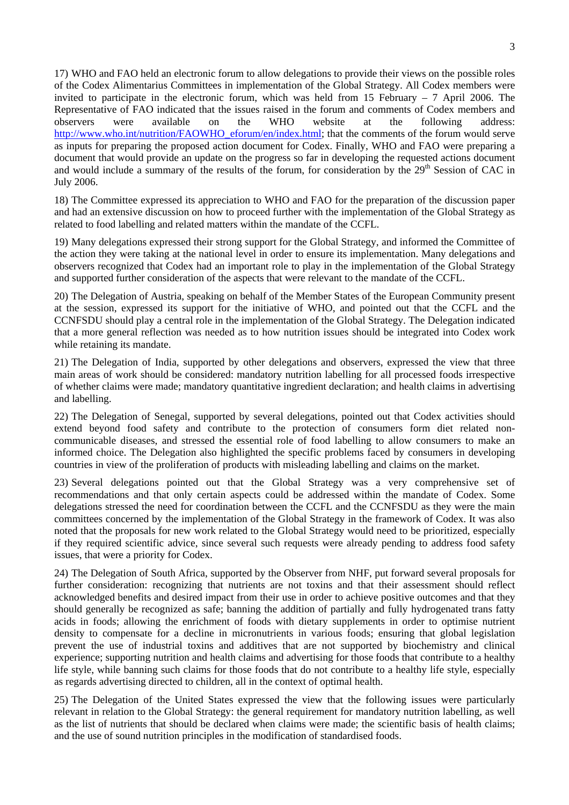17) WHO and FAO held an electronic forum to allow delegations to provide their views on the possible roles of the Codex Alimentarius Committees in implementation of the Global Strategy. All Codex members were invited to participate in the electronic forum, which was held from 15 February – 7 April 2006. The Representative of FAO indicated that the issues raised in the forum and comments of Codex members and observers were available on the WHO website at the following address: http://www.who.int/nutrition/FAOWHO\_eforum/en/index.html; that the comments of the forum would serve as inputs for preparing the proposed action document for Codex. Finally, WHO and FAO were preparing a document that would provide an update on the progress so far in developing the requested actions document and would include a summary of the results of the forum, for consideration by the 29<sup>th</sup> Session of CAC in July 2006.

18) The Committee expressed its appreciation to WHO and FAO for the preparation of the discussion paper and had an extensive discussion on how to proceed further with the implementation of the Global Strategy as related to food labelling and related matters within the mandate of the CCFL.

19) Many delegations expressed their strong support for the Global Strategy, and informed the Committee of the action they were taking at the national level in order to ensure its implementation. Many delegations and observers recognized that Codex had an important role to play in the implementation of the Global Strategy and supported further consideration of the aspects that were relevant to the mandate of the CCFL.

20) The Delegation of Austria, speaking on behalf of the Member States of the European Community present at the session, expressed its support for the initiative of WHO, and pointed out that the CCFL and the CCNFSDU should play a central role in the implementation of the Global Strategy. The Delegation indicated that a more general reflection was needed as to how nutrition issues should be integrated into Codex work while retaining its mandate.

21) The Delegation of India, supported by other delegations and observers, expressed the view that three main areas of work should be considered: mandatory nutrition labelling for all processed foods irrespective of whether claims were made; mandatory quantitative ingredient declaration; and health claims in advertising and labelling.

22) The Delegation of Senegal, supported by several delegations, pointed out that Codex activities should extend beyond food safety and contribute to the protection of consumers form diet related noncommunicable diseases, and stressed the essential role of food labelling to allow consumers to make an informed choice. The Delegation also highlighted the specific problems faced by consumers in developing countries in view of the proliferation of products with misleading labelling and claims on the market.

23) Several delegations pointed out that the Global Strategy was a very comprehensive set of recommendations and that only certain aspects could be addressed within the mandate of Codex. Some delegations stressed the need for coordination between the CCFL and the CCNFSDU as they were the main committees concerned by the implementation of the Global Strategy in the framework of Codex. It was also noted that the proposals for new work related to the Global Strategy would need to be prioritized, especially if they required scientific advice, since several such requests were already pending to address food safety issues, that were a priority for Codex.

24) The Delegation of South Africa, supported by the Observer from NHF, put forward several proposals for further consideration: recognizing that nutrients are not toxins and that their assessment should reflect acknowledged benefits and desired impact from their use in order to achieve positive outcomes and that they should generally be recognized as safe; banning the addition of partially and fully hydrogenated trans fatty acids in foods; allowing the enrichment of foods with dietary supplements in order to optimise nutrient density to compensate for a decline in micronutrients in various foods; ensuring that global legislation prevent the use of industrial toxins and additives that are not supported by biochemistry and clinical experience; supporting nutrition and health claims and advertising for those foods that contribute to a healthy life style, while banning such claims for those foods that do not contribute to a healthy life style, especially as regards advertising directed to children, all in the context of optimal health.

25) The Delegation of the United States expressed the view that the following issues were particularly relevant in relation to the Global Strategy: the general requirement for mandatory nutrition labelling, as well as the list of nutrients that should be declared when claims were made; the scientific basis of health claims; and the use of sound nutrition principles in the modification of standardised foods.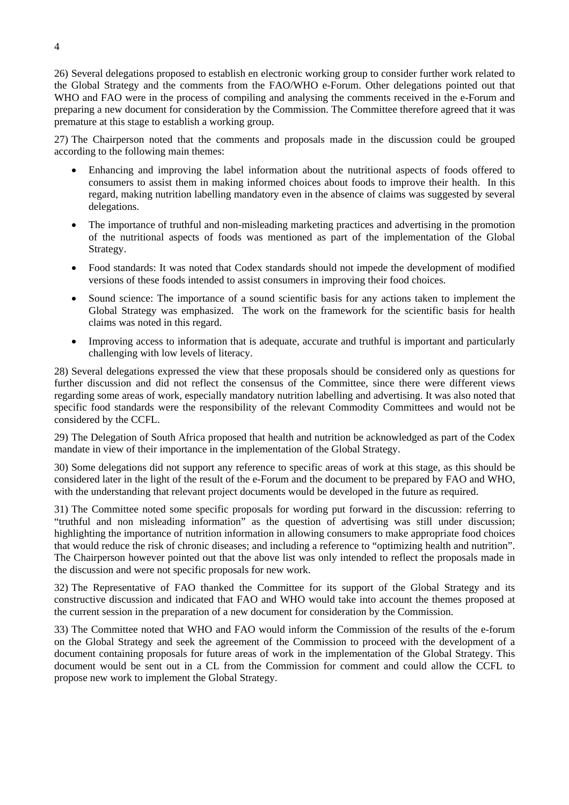4

26) Several delegations proposed to establish en electronic working group to consider further work related to the Global Strategy and the comments from the FAO/WHO e-Forum. Other delegations pointed out that WHO and FAO were in the process of compiling and analysing the comments received in the e-Forum and preparing a new document for consideration by the Commission. The Committee therefore agreed that it was premature at this stage to establish a working group.

27) The Chairperson noted that the comments and proposals made in the discussion could be grouped according to the following main themes:

- Enhancing and improving the label information about the nutritional aspects of foods offered to consumers to assist them in making informed choices about foods to improve their health. In this regard, making nutrition labelling mandatory even in the absence of claims was suggested by several delegations.
- The importance of truthful and non-misleading marketing practices and advertising in the promotion of the nutritional aspects of foods was mentioned as part of the implementation of the Global Strategy.
- Food standards: It was noted that Codex standards should not impede the development of modified versions of these foods intended to assist consumers in improving their food choices.
- Sound science: The importance of a sound scientific basis for any actions taken to implement the Global Strategy was emphasized. The work on the framework for the scientific basis for health claims was noted in this regard.
- Improving access to information that is adequate, accurate and truthful is important and particularly challenging with low levels of literacy.

28) Several delegations expressed the view that these proposals should be considered only as questions for further discussion and did not reflect the consensus of the Committee, since there were different views regarding some areas of work, especially mandatory nutrition labelling and advertising. It was also noted that specific food standards were the responsibility of the relevant Commodity Committees and would not be considered by the CCFL.

29) The Delegation of South Africa proposed that health and nutrition be acknowledged as part of the Codex mandate in view of their importance in the implementation of the Global Strategy.

30) Some delegations did not support any reference to specific areas of work at this stage, as this should be considered later in the light of the result of the e-Forum and the document to be prepared by FAO and WHO, with the understanding that relevant project documents would be developed in the future as required.

31) The Committee noted some specific proposals for wording put forward in the discussion: referring to "truthful and non misleading information" as the question of advertising was still under discussion; highlighting the importance of nutrition information in allowing consumers to make appropriate food choices that would reduce the risk of chronic diseases; and including a reference to "optimizing health and nutrition". The Chairperson however pointed out that the above list was only intended to reflect the proposals made in the discussion and were not specific proposals for new work.

32) The Representative of FAO thanked the Committee for its support of the Global Strategy and its constructive discussion and indicated that FAO and WHO would take into account the themes proposed at the current session in the preparation of a new document for consideration by the Commission.

33) The Committee noted that WHO and FAO would inform the Commission of the results of the e-forum on the Global Strategy and seek the agreement of the Commission to proceed with the development of a document containing proposals for future areas of work in the implementation of the Global Strategy. This document would be sent out in a CL from the Commission for comment and could allow the CCFL to propose new work to implement the Global Strategy.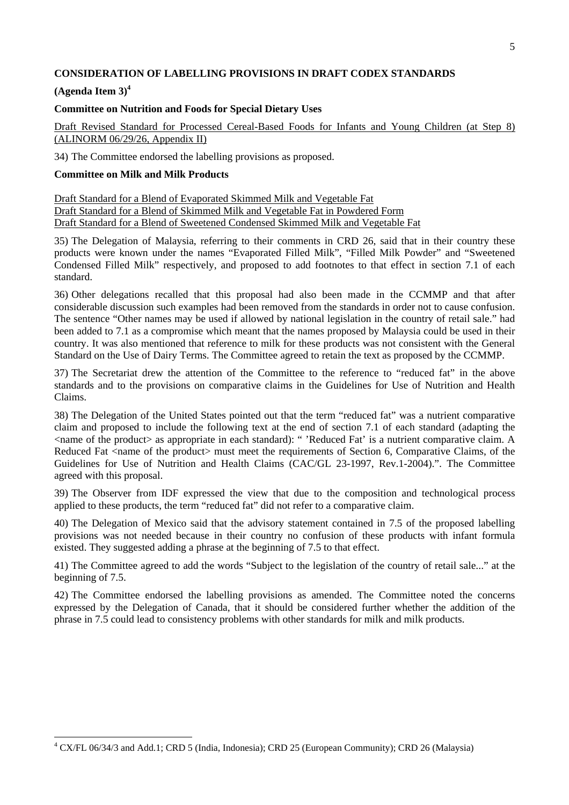## **CONSIDERATION OF LABELLING PROVISIONS IN DRAFT CODEX STANDARDS**

## **(Agenda Item 3)4**

 $\overline{a}$ 

## **Committee on Nutrition and Foods for Special Dietary Uses**

Draft Revised Standard for Processed Cereal-Based Foods for Infants and Young Children (at Step 8) (ALINORM 06/29/26, Appendix II)

34) The Committee endorsed the labelling provisions as proposed.

## **Committee on Milk and Milk Products**

Draft Standard for a Blend of Evaporated Skimmed Milk and Vegetable Fat Draft Standard for a Blend of Skimmed Milk and Vegetable Fat in Powdered Form Draft Standard for a Blend of Sweetened Condensed Skimmed Milk and Vegetable Fat

35) The Delegation of Malaysia, referring to their comments in CRD 26, said that in their country these products were known under the names "Evaporated Filled Milk", "Filled Milk Powder" and "Sweetened Condensed Filled Milk" respectively, and proposed to add footnotes to that effect in section 7.1 of each standard.

36) Other delegations recalled that this proposal had also been made in the CCMMP and that after considerable discussion such examples had been removed from the standards in order not to cause confusion. The sentence "Other names may be used if allowed by national legislation in the country of retail sale." had been added to 7.1 as a compromise which meant that the names proposed by Malaysia could be used in their country. It was also mentioned that reference to milk for these products was not consistent with the General Standard on the Use of Dairy Terms. The Committee agreed to retain the text as proposed by the CCMMP.

37) The Secretariat drew the attention of the Committee to the reference to "reduced fat" in the above standards and to the provisions on comparative claims in the Guidelines for Use of Nutrition and Health Claims.

38) The Delegation of the United States pointed out that the term "reduced fat" was a nutrient comparative claim and proposed to include the following text at the end of section 7.1 of each standard (adapting the <name of the product> as appropriate in each standard): " 'Reduced Fat' is a nutrient comparative claim. A Reduced Fat <name of the product> must meet the requirements of Section 6, Comparative Claims, of the Guidelines for Use of Nutrition and Health Claims (CAC/GL 23-1997, Rev.1-2004).". The Committee agreed with this proposal.

39) The Observer from IDF expressed the view that due to the composition and technological process applied to these products, the term "reduced fat" did not refer to a comparative claim.

40) The Delegation of Mexico said that the advisory statement contained in 7.5 of the proposed labelling provisions was not needed because in their country no confusion of these products with infant formula existed. They suggested adding a phrase at the beginning of 7.5 to that effect.

41) The Committee agreed to add the words "Subject to the legislation of the country of retail sale..." at the beginning of 7.5.

42) The Committee endorsed the labelling provisions as amended. The Committee noted the concerns expressed by the Delegation of Canada, that it should be considered further whether the addition of the phrase in 7.5 could lead to consistency problems with other standards for milk and milk products.

<sup>&</sup>lt;sup>4</sup> CX/FL 06/34/3 and Add.1; CRD 5 (India, Indonesia); CRD 25 (European Community); CRD 26 (Malaysia)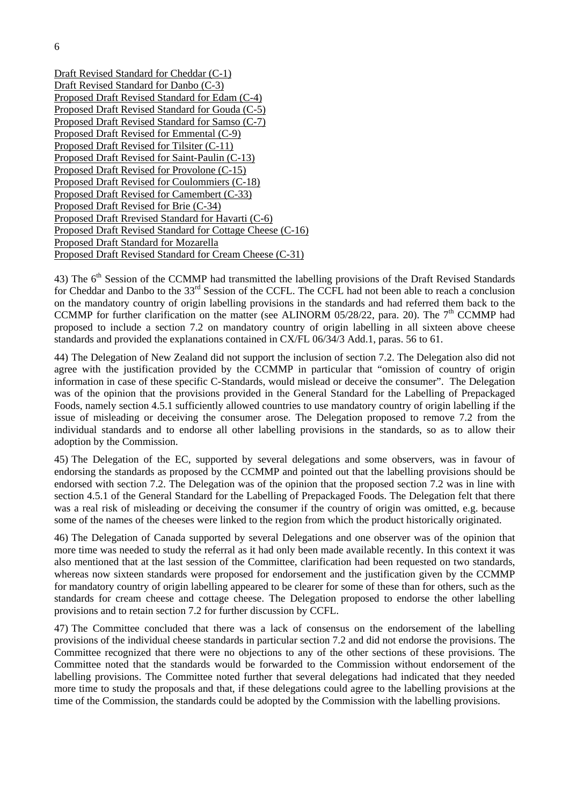| Draft Revised Standard for Cheddar (C-1)                  |
|-----------------------------------------------------------|
| Draft Revised Standard for Danbo (C-3)                    |
| Proposed Draft Revised Standard for Edam (C-4)            |
| Proposed Draft Revised Standard for Gouda (C-5)           |
| Proposed Draft Revised Standard for Samso (C-7)           |
| Proposed Draft Revised for Emmental (C-9)                 |
| Proposed Draft Revised for Tilsiter (C-11)                |
| Proposed Draft Revised for Saint-Paulin (C-13)            |
| Proposed Draft Revised for Provolone (C-15)               |
| Proposed Draft Revised for Coulommiers (C-18)             |
| Proposed Draft Revised for Camembert (C-33)               |
| Proposed Draft Revised for Brie (C-34)                    |
| Proposed Draft Rrevised Standard for Havarti (C-6)        |
| Proposed Draft Revised Standard for Cottage Cheese (C-16) |
| Proposed Draft Standard for Mozarella                     |
| Proposed Draft Revised Standard for Cream Cheese (C-31)   |
|                                                           |

43) The 6<sup>th</sup> Session of the CCMMP had transmitted the labelling provisions of the Draft Revised Standards for Cheddar and Danbo to the 33<sup>rd</sup> Session of the CCFL. The CCFL had not been able to reach a conclusion on the mandatory country of origin labelling provisions in the standards and had referred them back to the CCMMP for further clarification on the matter (see ALINORM 05/28/22, para. 20). The  $7<sup>th</sup>$  CCMMP had proposed to include a section 7.2 on mandatory country of origin labelling in all sixteen above cheese standards and provided the explanations contained in CX/FL 06/34/3 Add.1, paras. 56 to 61.

44) The Delegation of New Zealand did not support the inclusion of section 7.2. The Delegation also did not agree with the justification provided by the CCMMP in particular that "omission of country of origin information in case of these specific C-Standards, would mislead or deceive the consumer". The Delegation was of the opinion that the provisions provided in the General Standard for the Labelling of Prepackaged Foods, namely section 4.5.1 sufficiently allowed countries to use mandatory country of origin labelling if the issue of misleading or deceiving the consumer arose. The Delegation proposed to remove 7.2 from the individual standards and to endorse all other labelling provisions in the standards, so as to allow their adoption by the Commission.

45) The Delegation of the EC, supported by several delegations and some observers, was in favour of endorsing the standards as proposed by the CCMMP and pointed out that the labelling provisions should be endorsed with section 7.2. The Delegation was of the opinion that the proposed section 7.2 was in line with section 4.5.1 of the General Standard for the Labelling of Prepackaged Foods. The Delegation felt that there was a real risk of misleading or deceiving the consumer if the country of origin was omitted, e.g. because some of the names of the cheeses were linked to the region from which the product historically originated.

46) The Delegation of Canada supported by several Delegations and one observer was of the opinion that more time was needed to study the referral as it had only been made available recently. In this context it was also mentioned that at the last session of the Committee, clarification had been requested on two standards, whereas now sixteen standards were proposed for endorsement and the justification given by the CCMMP for mandatory country of origin labelling appeared to be clearer for some of these than for others, such as the standards for cream cheese and cottage cheese. The Delegation proposed to endorse the other labelling provisions and to retain section 7.2 for further discussion by CCFL.

47) The Committee concluded that there was a lack of consensus on the endorsement of the labelling provisions of the individual cheese standards in particular section 7.2 and did not endorse the provisions. The Committee recognized that there were no objections to any of the other sections of these provisions. The Committee noted that the standards would be forwarded to the Commission without endorsement of the labelling provisions. The Committee noted further that several delegations had indicated that they needed more time to study the proposals and that, if these delegations could agree to the labelling provisions at the time of the Commission, the standards could be adopted by the Commission with the labelling provisions.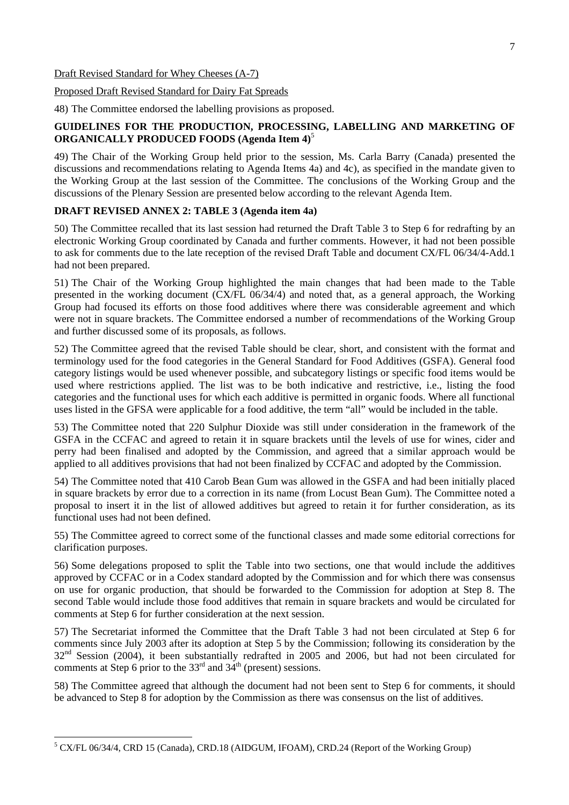Draft Revised Standard for Whey Cheeses (A-7)

## Proposed Draft Revised Standard for Dairy Fat Spreads

48) The Committee endorsed the labelling provisions as proposed.

## **GUIDELINES FOR THE PRODUCTION, PROCESSING, LABELLING AND MARKETING OF ORGANICALLY PRODUCED FOODS (Agenda Item 4)**<sup>5</sup>

49) The Chair of the Working Group held prior to the session, Ms. Carla Barry (Canada) presented the discussions and recommendations relating to Agenda Items 4a) and 4c), as specified in the mandate given to the Working Group at the last session of the Committee. The conclusions of the Working Group and the discussions of the Plenary Session are presented below according to the relevant Agenda Item.

## **DRAFT REVISED ANNEX 2: TABLE 3 (Agenda item 4a)**

50) The Committee recalled that its last session had returned the Draft Table 3 to Step 6 for redrafting by an electronic Working Group coordinated by Canada and further comments. However, it had not been possible to ask for comments due to the late reception of the revised Draft Table and document CX/FL 06/34/4-Add.1 had not been prepared.

51) The Chair of the Working Group highlighted the main changes that had been made to the Table presented in the working document (CX/FL 06/34/4) and noted that, as a general approach, the Working Group had focused its efforts on those food additives where there was considerable agreement and which were not in square brackets. The Committee endorsed a number of recommendations of the Working Group and further discussed some of its proposals, as follows.

52) The Committee agreed that the revised Table should be clear, short, and consistent with the format and terminology used for the food categories in the General Standard for Food Additives (GSFA). General food category listings would be used whenever possible, and subcategory listings or specific food items would be used where restrictions applied. The list was to be both indicative and restrictive, i.e., listing the food categories and the functional uses for which each additive is permitted in organic foods. Where all functional uses listed in the GFSA were applicable for a food additive, the term "all" would be included in the table.

53) The Committee noted that 220 Sulphur Dioxide was still under consideration in the framework of the GSFA in the CCFAC and agreed to retain it in square brackets until the levels of use for wines, cider and perry had been finalised and adopted by the Commission, and agreed that a similar approach would be applied to all additives provisions that had not been finalized by CCFAC and adopted by the Commission.

54) The Committee noted that 410 Carob Bean Gum was allowed in the GSFA and had been initially placed in square brackets by error due to a correction in its name (from Locust Bean Gum). The Committee noted a proposal to insert it in the list of allowed additives but agreed to retain it for further consideration, as its functional uses had not been defined.

55) The Committee agreed to correct some of the functional classes and made some editorial corrections for clarification purposes.

56) Some delegations proposed to split the Table into two sections, one that would include the additives approved by CCFAC or in a Codex standard adopted by the Commission and for which there was consensus on use for organic production, that should be forwarded to the Commission for adoption at Step 8. The second Table would include those food additives that remain in square brackets and would be circulated for comments at Step 6 for further consideration at the next session.

57) The Secretariat informed the Committee that the Draft Table 3 had not been circulated at Step 6 for comments since July 2003 after its adoption at Step 5 by the Commission; following its consideration by the 32<sup>nd</sup> Session (2004), it been substantially redrafted in 2005 and 2006, but had not been circulated for comments at Step 6 prior to the  $33<sup>rd</sup>$  and  $34<sup>th</sup>$  (present) sessions.

58) The Committee agreed that although the document had not been sent to Step 6 for comments, it should be advanced to Step 8 for adoption by the Commission as there was consensus on the list of additives.

 $\overline{a}$ 

<sup>&</sup>lt;sup>5</sup> CX/FL 06/34/4, CRD 15 (Canada), CRD.18 (AIDGUM, IFOAM), CRD.24 (Report of the Working Group)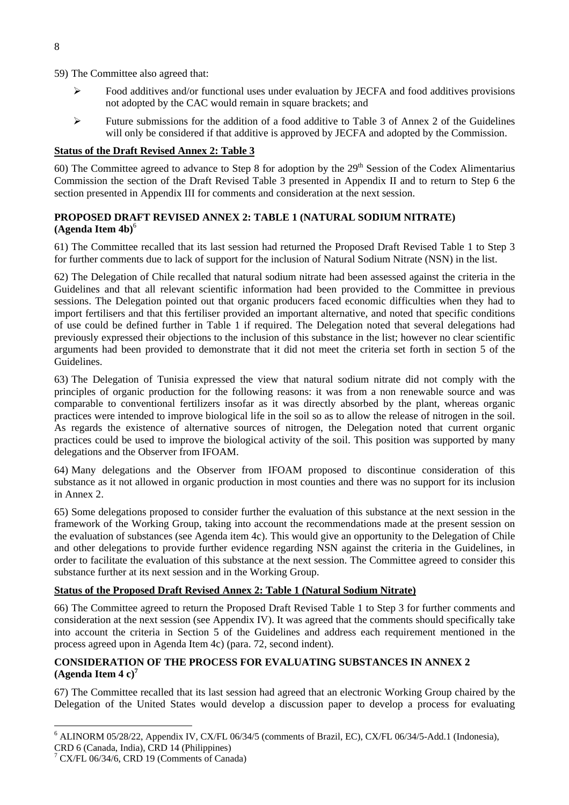59) The Committee also agreed that:

- ¾ Food additives and/or functional uses under evaluation by JECFA and food additives provisions not adopted by the CAC would remain in square brackets; and
- $\triangleright$  Future submissions for the addition of a food additive to Table 3 of Annex 2 of the Guidelines will only be considered if that additive is approved by JECFA and adopted by the Commission.

## **Status of the Draft Revised Annex 2: Table 3**

60) The Committee agreed to advance to Step 8 for adoption by the  $29<sup>th</sup>$  Session of the Codex Alimentarius Commission the section of the Draft Revised Table 3 presented in Appendix II and to return to Step 6 the section presented in Appendix III for comments and consideration at the next session.

## **PROPOSED DRAFT REVISED ANNEX 2: TABLE 1 (NATURAL SODIUM NITRATE) (Agenda Item 4b)**<sup>6</sup>

61) The Committee recalled that its last session had returned the Proposed Draft Revised Table 1 to Step 3 for further comments due to lack of support for the inclusion of Natural Sodium Nitrate (NSN) in the list.

62) The Delegation of Chile recalled that natural sodium nitrate had been assessed against the criteria in the Guidelines and that all relevant scientific information had been provided to the Committee in previous sessions. The Delegation pointed out that organic producers faced economic difficulties when they had to import fertilisers and that this fertiliser provided an important alternative, and noted that specific conditions of use could be defined further in Table 1 if required. The Delegation noted that several delegations had previously expressed their objections to the inclusion of this substance in the list; however no clear scientific arguments had been provided to demonstrate that it did not meet the criteria set forth in section 5 of the Guidelines.

63) The Delegation of Tunisia expressed the view that natural sodium nitrate did not comply with the principles of organic production for the following reasons: it was from a non renewable source and was comparable to conventional fertilizers insofar as it was directly absorbed by the plant, whereas organic practices were intended to improve biological life in the soil so as to allow the release of nitrogen in the soil. As regards the existence of alternative sources of nitrogen, the Delegation noted that current organic practices could be used to improve the biological activity of the soil. This position was supported by many delegations and the Observer from IFOAM.

64) Many delegations and the Observer from IFOAM proposed to discontinue consideration of this substance as it not allowed in organic production in most counties and there was no support for its inclusion in Annex 2.

65) Some delegations proposed to consider further the evaluation of this substance at the next session in the framework of the Working Group, taking into account the recommendations made at the present session on the evaluation of substances (see Agenda item 4c). This would give an opportunity to the Delegation of Chile and other delegations to provide further evidence regarding NSN against the criteria in the Guidelines, in order to facilitate the evaluation of this substance at the next session. The Committee agreed to consider this substance further at its next session and in the Working Group.

## **Status of the Proposed Draft Revised Annex 2: Table 1 (Natural Sodium Nitrate)**

66) The Committee agreed to return the Proposed Draft Revised Table 1 to Step 3 for further comments and consideration at the next session (see Appendix IV). It was agreed that the comments should specifically take into account the criteria in Section 5 of the Guidelines and address each requirement mentioned in the process agreed upon in Agenda Item 4c) (para. 72, second indent).

## **CONSIDERATION OF THE PROCESS FOR EVALUATING SUBSTANCES IN ANNEX 2 (Agenda Item 4 c)7**

67) The Committee recalled that its last session had agreed that an electronic Working Group chaired by the Delegation of the United States would develop a discussion paper to develop a process for evaluating

 $\overline{a}$ <sup>6</sup> ALINORM 05/28/22, Appendix IV, CX/FL 06/34/5 (comments of Brazil, EC), CX/FL 06/34/5-Add.1 (Indonesia), CRD 6 (Canada, India), CRD 14 (Philippines)

<sup>7</sup> CX/FL 06/34/6, CRD 19 (Comments of Canada)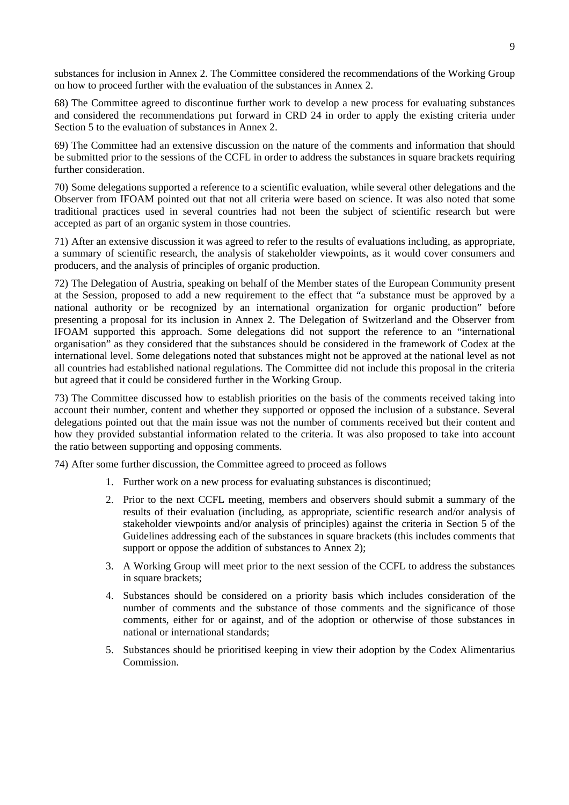substances for inclusion in Annex 2. The Committee considered the recommendations of the Working Group on how to proceed further with the evaluation of the substances in Annex 2.

68) The Committee agreed to discontinue further work to develop a new process for evaluating substances and considered the recommendations put forward in CRD 24 in order to apply the existing criteria under Section 5 to the evaluation of substances in Annex 2.

69) The Committee had an extensive discussion on the nature of the comments and information that should be submitted prior to the sessions of the CCFL in order to address the substances in square brackets requiring further consideration.

70) Some delegations supported a reference to a scientific evaluation, while several other delegations and the Observer from IFOAM pointed out that not all criteria were based on science. It was also noted that some traditional practices used in several countries had not been the subject of scientific research but were accepted as part of an organic system in those countries.

71) After an extensive discussion it was agreed to refer to the results of evaluations including, as appropriate, a summary of scientific research, the analysis of stakeholder viewpoints, as it would cover consumers and producers, and the analysis of principles of organic production.

72) The Delegation of Austria, speaking on behalf of the Member states of the European Community present at the Session, proposed to add a new requirement to the effect that "a substance must be approved by a national authority or be recognized by an international organization for organic production" before presenting a proposal for its inclusion in Annex 2. The Delegation of Switzerland and the Observer from IFOAM supported this approach. Some delegations did not support the reference to an "international organisation" as they considered that the substances should be considered in the framework of Codex at the international level. Some delegations noted that substances might not be approved at the national level as not all countries had established national regulations. The Committee did not include this proposal in the criteria but agreed that it could be considered further in the Working Group.

73) The Committee discussed how to establish priorities on the basis of the comments received taking into account their number, content and whether they supported or opposed the inclusion of a substance. Several delegations pointed out that the main issue was not the number of comments received but their content and how they provided substantial information related to the criteria. It was also proposed to take into account the ratio between supporting and opposing comments.

74) After some further discussion, the Committee agreed to proceed as follows

- 1. Further work on a new process for evaluating substances is discontinued;
- 2. Prior to the next CCFL meeting, members and observers should submit a summary of the results of their evaluation (including, as appropriate, scientific research and/or analysis of stakeholder viewpoints and/or analysis of principles) against the criteria in Section 5 of the Guidelines addressing each of the substances in square brackets (this includes comments that support or oppose the addition of substances to Annex 2);
- 3. A Working Group will meet prior to the next session of the CCFL to address the substances in square brackets;
- 4. Substances should be considered on a priority basis which includes consideration of the number of comments and the substance of those comments and the significance of those comments, either for or against, and of the adoption or otherwise of those substances in national or international standards;
- 5. Substances should be prioritised keeping in view their adoption by the Codex Alimentarius Commission.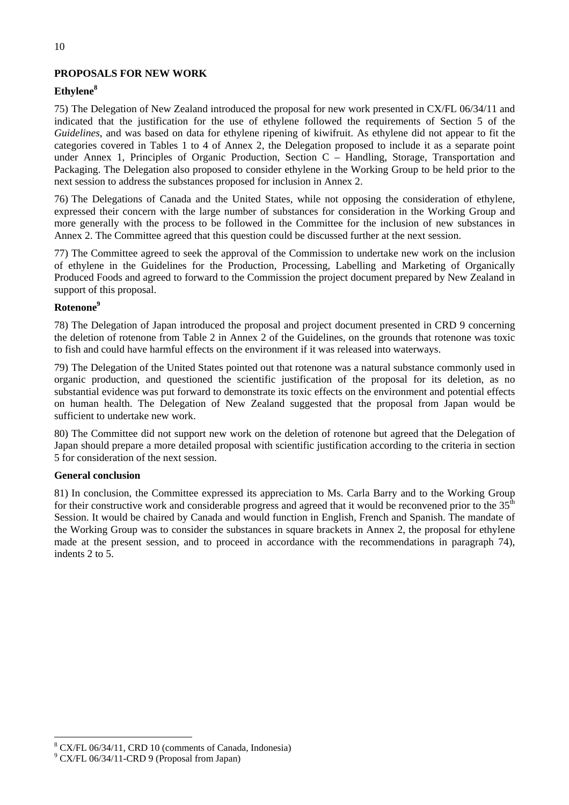## **PROPOSALS FOR NEW WORK**

## **Ethylene<sup>8</sup>**

75) The Delegation of New Zealand introduced the proposal for new work presented in CX/FL 06/34/11 and indicated that the justification for the use of ethylene followed the requirements of Section 5 of the *Guidelines*, and was based on data for ethylene ripening of kiwifruit. As ethylene did not appear to fit the categories covered in Tables 1 to 4 of Annex 2, the Delegation proposed to include it as a separate point under Annex 1, Principles of Organic Production, Section C – Handling, Storage, Transportation and Packaging. The Delegation also proposed to consider ethylene in the Working Group to be held prior to the next session to address the substances proposed for inclusion in Annex 2.

76) The Delegations of Canada and the United States, while not opposing the consideration of ethylene, expressed their concern with the large number of substances for consideration in the Working Group and more generally with the process to be followed in the Committee for the inclusion of new substances in Annex 2. The Committee agreed that this question could be discussed further at the next session.

77) The Committee agreed to seek the approval of the Commission to undertake new work on the inclusion of ethylene in the Guidelines for the Production, Processing, Labelling and Marketing of Organically Produced Foods and agreed to forward to the Commission the project document prepared by New Zealand in support of this proposal.

## **Rotenone9**

78) The Delegation of Japan introduced the proposal and project document presented in CRD 9 concerning the deletion of rotenone from Table 2 in Annex 2 of the Guidelines, on the grounds that rotenone was toxic to fish and could have harmful effects on the environment if it was released into waterways.

79) The Delegation of the United States pointed out that rotenone was a natural substance commonly used in organic production, and questioned the scientific justification of the proposal for its deletion, as no substantial evidence was put forward to demonstrate its toxic effects on the environment and potential effects on human health. The Delegation of New Zealand suggested that the proposal from Japan would be sufficient to undertake new work.

80) The Committee did not support new work on the deletion of rotenone but agreed that the Delegation of Japan should prepare a more detailed proposal with scientific justification according to the criteria in section 5 for consideration of the next session.

## **General conclusion**

 $\overline{a}$ 

81) In conclusion, the Committee expressed its appreciation to Ms. Carla Barry and to the Working Group for their constructive work and considerable progress and agreed that it would be reconvened prior to the  $35<sup>th</sup>$ Session. It would be chaired by Canada and would function in English, French and Spanish. The mandate of the Working Group was to consider the substances in square brackets in Annex 2, the proposal for ethylene made at the present session, and to proceed in accordance with the recommendations in paragraph 74), indents 2 to 5.

<sup>8</sup> CX/FL 06/34/11, CRD 10 (comments of Canada, Indonesia)

<sup>&</sup>lt;sup>9</sup> CX/FL 06/34/11-CRD 9 (Proposal from Japan)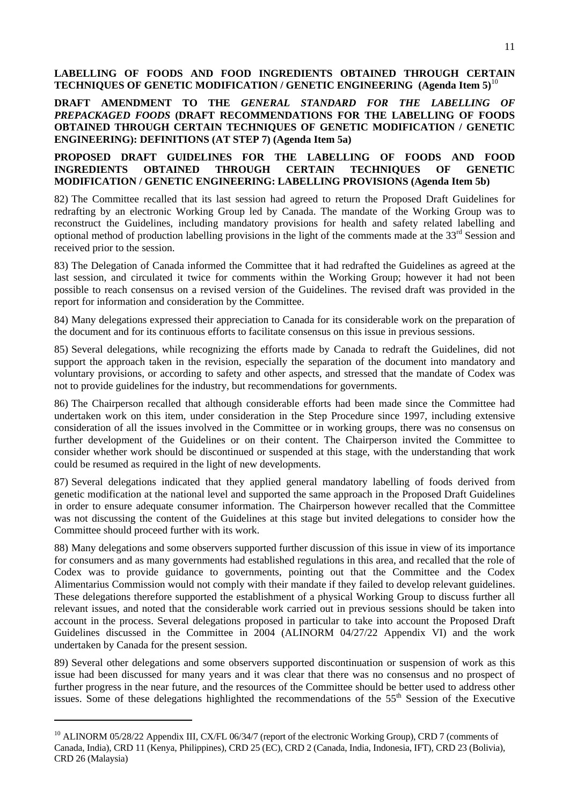**LABELLING OF FOODS AND FOOD INGREDIENTS OBTAINED THROUGH CERTAIN TECHNIQUES OF GENETIC MODIFICATION / GENETIC ENGINEERING (Agenda Item 5)**<sup>10</sup>

**DRAFT AMENDMENT TO THE** *GENERAL STANDARD FOR THE LABELLING OF PREPACKAGED FOODS* **(DRAFT RECOMMENDATIONS FOR THE LABELLING OF FOODS OBTAINED THROUGH CERTAIN TECHNIQUES OF GENETIC MODIFICATION / GENETIC ENGINEERING): DEFINITIONS (AT STEP 7) (Agenda Item 5a)** 

## **PROPOSED DRAFT GUIDELINES FOR THE LABELLING OF FOODS AND FOOD INGREDIENTS OBTAINED THROUGH CERTAIN TECHNIQUES OF GENETIC MODIFICATION / GENETIC ENGINEERING: LABELLING PROVISIONS (Agenda Item 5b)**

82) The Committee recalled that its last session had agreed to return the Proposed Draft Guidelines for redrafting by an electronic Working Group led by Canada. The mandate of the Working Group was to reconstruct the Guidelines, including mandatory provisions for health and safety related labelling and optional method of production labelling provisions in the light of the comments made at the 33<sup>rd</sup> Session and received prior to the session.

83) The Delegation of Canada informed the Committee that it had redrafted the Guidelines as agreed at the last session, and circulated it twice for comments within the Working Group; however it had not been possible to reach consensus on a revised version of the Guidelines. The revised draft was provided in the report for information and consideration by the Committee.

84) Many delegations expressed their appreciation to Canada for its considerable work on the preparation of the document and for its continuous efforts to facilitate consensus on this issue in previous sessions.

85) Several delegations, while recognizing the efforts made by Canada to redraft the Guidelines, did not support the approach taken in the revision, especially the separation of the document into mandatory and voluntary provisions, or according to safety and other aspects, and stressed that the mandate of Codex was not to provide guidelines for the industry, but recommendations for governments.

86) The Chairperson recalled that although considerable efforts had been made since the Committee had undertaken work on this item, under consideration in the Step Procedure since 1997, including extensive consideration of all the issues involved in the Committee or in working groups, there was no consensus on further development of the Guidelines or on their content. The Chairperson invited the Committee to consider whether work should be discontinued or suspended at this stage, with the understanding that work could be resumed as required in the light of new developments.

87) Several delegations indicated that they applied general mandatory labelling of foods derived from genetic modification at the national level and supported the same approach in the Proposed Draft Guidelines in order to ensure adequate consumer information. The Chairperson however recalled that the Committee was not discussing the content of the Guidelines at this stage but invited delegations to consider how the Committee should proceed further with its work.

88) Many delegations and some observers supported further discussion of this issue in view of its importance for consumers and as many governments had established regulations in this area, and recalled that the role of Codex was to provide guidance to governments, pointing out that the Committee and the Codex Alimentarius Commission would not comply with their mandate if they failed to develop relevant guidelines. These delegations therefore supported the establishment of a physical Working Group to discuss further all relevant issues, and noted that the considerable work carried out in previous sessions should be taken into account in the process. Several delegations proposed in particular to take into account the Proposed Draft Guidelines discussed in the Committee in 2004 (ALINORM 04/27/22 Appendix VI) and the work undertaken by Canada for the present session.

89) Several other delegations and some observers supported discontinuation or suspension of work as this issue had been discussed for many years and it was clear that there was no consensus and no prospect of further progress in the near future, and the resources of the Committee should be better used to address other issues. Some of these delegations highlighted the recommendations of the 55<sup>th</sup> Session of the Executive

 $\overline{a}$ 

<sup>&</sup>lt;sup>10</sup> ALINORM 05/28/22 Appendix III, CX/FL 06/34/7 (report of the electronic Working Group), CRD 7 (comments of Canada, India), CRD 11 (Kenya, Philippines), CRD 25 (EC), CRD 2 (Canada, India, Indonesia, IFT), CRD 23 (Bolivia), CRD 26 (Malaysia)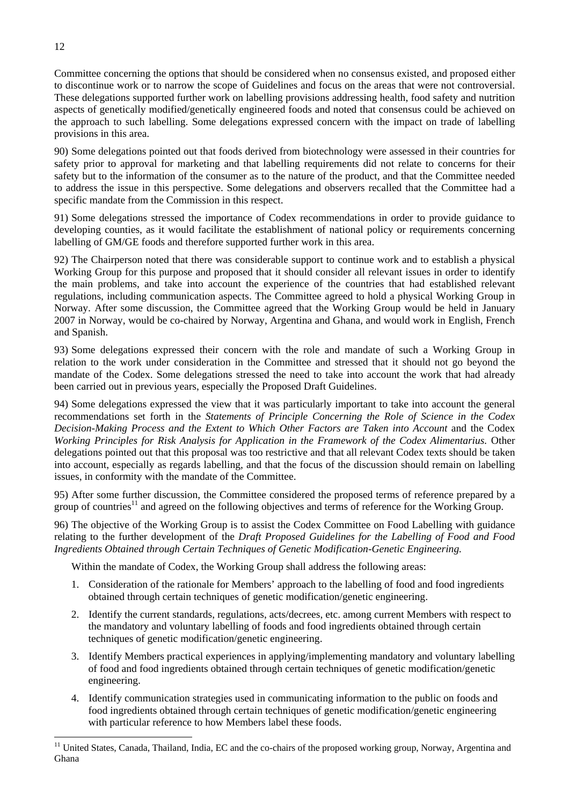Committee concerning the options that should be considered when no consensus existed, and proposed either to discontinue work or to narrow the scope of Guidelines and focus on the areas that were not controversial. These delegations supported further work on labelling provisions addressing health, food safety and nutrition aspects of genetically modified/genetically engineered foods and noted that consensus could be achieved on the approach to such labelling. Some delegations expressed concern with the impact on trade of labelling provisions in this area.

90) Some delegations pointed out that foods derived from biotechnology were assessed in their countries for safety prior to approval for marketing and that labelling requirements did not relate to concerns for their safety but to the information of the consumer as to the nature of the product, and that the Committee needed to address the issue in this perspective. Some delegations and observers recalled that the Committee had a specific mandate from the Commission in this respect.

91) Some delegations stressed the importance of Codex recommendations in order to provide guidance to developing counties, as it would facilitate the establishment of national policy or requirements concerning labelling of GM/GE foods and therefore supported further work in this area.

92) The Chairperson noted that there was considerable support to continue work and to establish a physical Working Group for this purpose and proposed that it should consider all relevant issues in order to identify the main problems, and take into account the experience of the countries that had established relevant regulations, including communication aspects. The Committee agreed to hold a physical Working Group in Norway. After some discussion, the Committee agreed that the Working Group would be held in January 2007 in Norway, would be co-chaired by Norway, Argentina and Ghana, and would work in English, French and Spanish.

93) Some delegations expressed their concern with the role and mandate of such a Working Group in relation to the work under consideration in the Committee and stressed that it should not go beyond the mandate of the Codex. Some delegations stressed the need to take into account the work that had already been carried out in previous years, especially the Proposed Draft Guidelines.

94) Some delegations expressed the view that it was particularly important to take into account the general recommendations set forth in the *Statements of Principle Concerning the Role of Science in the Codex Decision-Making Process and the Extent to Which Other Factors are Taken into Account and the Codex Working Principles for Risk Analysis for Application in the Framework of the Codex Alimentarius.* Other delegations pointed out that this proposal was too restrictive and that all relevant Codex texts should be taken into account, especially as regards labelling, and that the focus of the discussion should remain on labelling issues, in conformity with the mandate of the Committee.

95) After some further discussion, the Committee considered the proposed terms of reference prepared by a group of countries<sup>11</sup> and agreed on the following objectives and terms of reference for the Working Group.

96) The objective of the Working Group is to assist the Codex Committee on Food Labelling with guidance relating to the further development of the *Draft Proposed Guidelines for the Labelling of Food and Food Ingredients Obtained through Certain Techniques of Genetic Modification-Genetic Engineering.* 

Within the mandate of Codex, the Working Group shall address the following areas:

- 1. Consideration of the rationale for Members' approach to the labelling of food and food ingredients obtained through certain techniques of genetic modification/genetic engineering.
- 2. Identify the current standards, regulations, acts/decrees, etc. among current Members with respect to the mandatory and voluntary labelling of foods and food ingredients obtained through certain techniques of genetic modification/genetic engineering.
- 3. Identify Members practical experiences in applying/implementing mandatory and voluntary labelling of food and food ingredients obtained through certain techniques of genetic modification/genetic engineering.
- 4. Identify communication strategies used in communicating information to the public on foods and food ingredients obtained through certain techniques of genetic modification/genetic engineering with particular reference to how Members label these foods.

 $\overline{a}$ 

<sup>&</sup>lt;sup>11</sup> United States, Canada, Thailand, India, EC and the co-chairs of the proposed working group, Norway, Argentina and Ghana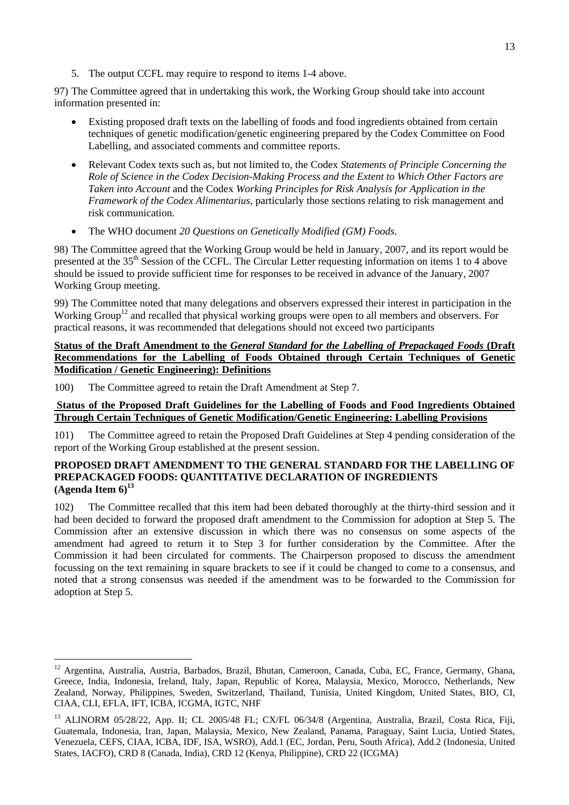5. The output CCFL may require to respond to items 1-4 above.

97) The Committee agreed that in undertaking this work, the Working Group should take into account information presented in:

- Existing proposed draft texts on the labelling of foods and food ingredients obtained from certain techniques of genetic modification/genetic engineering prepared by the Codex Committee on Food Labelling, and associated comments and committee reports.
- Relevant Codex texts such as, but not limited to, the Codex *Statements of Principle Concerning the Role of Science in the Codex Decision-Making Process and the Extent to Which Other Factors are Taken into Account* and the Codex *Working Principles for Risk Analysis for Application in the Framework of the Codex Alimentarius,* particularly those sections relating to risk management and risk communication*.*
- The WHO document *20 Questions on Genetically Modified (GM) Foods.*

98) The Committee agreed that the Working Group would be held in January, 2007, and its report would be presented at the 35<sup>th</sup> Session of the CCFL. The Circular Letter requesting information on items 1 to 4 above should be issued to provide sufficient time for responses to be received in advance of the January, 2007 Working Group meeting.

99) The Committee noted that many delegations and observers expressed their interest in participation in the Working Group<sup>12</sup> and recalled that physical working groups were open to all members and observers. For practical reasons, it was recommended that delegations should not exceed two participants

**Status of the Draft Amendment to the** *General Standard for the Labelling of Prepackaged Foods* **(Draft Recommendations for the Labelling of Foods Obtained through Certain Techniques of Genetic Modification / Genetic Engineering): Definitions** 

100) The Committee agreed to retain the Draft Amendment at Step 7.

 $\overline{a}$ 

## **Status of the Proposed Draft Guidelines for the Labelling of Foods and Food Ingredients Obtained Through Certain Techniques of Genetic Modification/Genetic Engineering: Labelling Provisions**

101) The Committee agreed to retain the Proposed Draft Guidelines at Step 4 pending consideration of the report of the Working Group established at the present session.

## **PROPOSED DRAFT AMENDMENT TO THE GENERAL STANDARD FOR THE LABELLING OF PREPACKAGED FOODS: QUANTITATIVE DECLARATION OF INGREDIENTS**   $(A$ genda Item  $6)^{13}$

102) The Committee recalled that this item had been debated thoroughly at the thirty-third session and it had been decided to forward the proposed draft amendment to the Commission for adoption at Step 5. The Commission after an extensive discussion in which there was no consensus on some aspects of the amendment had agreed to return it to Step 3 for further consideration by the Committee. After the Commission it had been circulated for comments. The Chairperson proposed to discuss the amendment focussing on the text remaining in square brackets to see if it could be changed to come to a consensus, and noted that a strong consensus was needed if the amendment was to be forwarded to the Commission for adoption at Step 5.

<sup>&</sup>lt;sup>12</sup> Argentina, Australia, Austria, Barbados, Brazil, Bhutan, Cameroon, Canada, Cuba, EC, France, Germany, Ghana, Greece, India, Indonesia, Ireland, Italy, Japan, Republic of Korea, Malaysia, Mexico, Morocco, Netherlands, New Zealand, Norway, Philippines, Sweden, Switzerland, Thailand, Tunisia, United Kingdom, United States, BIO, CI, CIAA, CLI, EFLA, IFT, ICBA, ICGMA, IGTC, NHF

<sup>&</sup>lt;sup>13</sup> ALINORM 05/28/22, App. II; CL 2005/48 FL; CX/FL 06/34/8 (Argentina, Australia, Brazil, Costa Rica, Fiji, Guatemala, Indonesia, Iran, Japan, Malaysia, Mexico, New Zealand, Panama, Paraguay, Saint Lucia, Untied States, Venezuela, CEFS, CIAA, ICBA, IDF, ISA, WSRO), Add.1 (EC, Jordan, Peru, South Africa), Add.2 (Indonesia, United States, IACFO), CRD 8 (Canada, India), CRD 12 (Kenya, Philippine), CRD 22 (ICGMA)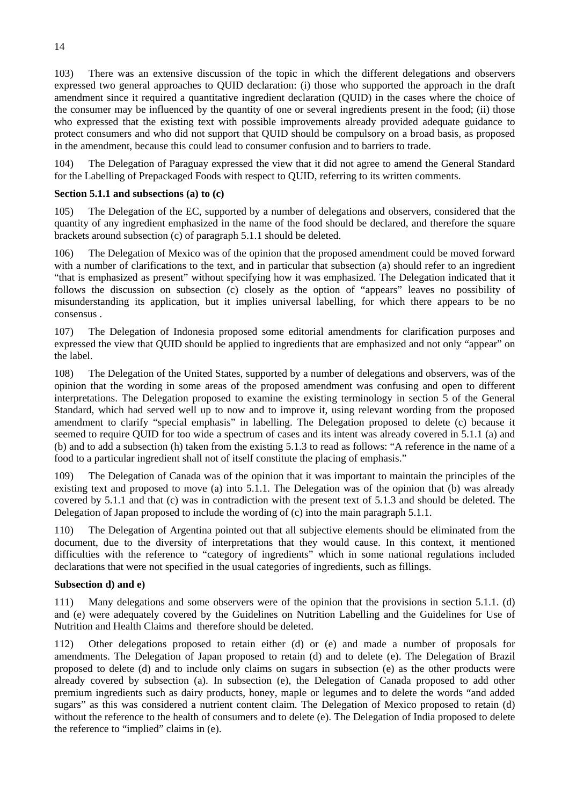103) There was an extensive discussion of the topic in which the different delegations and observers expressed two general approaches to QUID declaration: (i) those who supported the approach in the draft amendment since it required a quantitative ingredient declaration (QUID) in the cases where the choice of the consumer may be influenced by the quantity of one or several ingredients present in the food; (ii) those who expressed that the existing text with possible improvements already provided adequate guidance to protect consumers and who did not support that QUID should be compulsory on a broad basis, as proposed in the amendment, because this could lead to consumer confusion and to barriers to trade.

104) The Delegation of Paraguay expressed the view that it did not agree to amend the General Standard for the Labelling of Prepackaged Foods with respect to QUID, referring to its written comments.

## **Section 5.1.1 and subsections (a) to (c)**

105) The Delegation of the EC, supported by a number of delegations and observers, considered that the quantity of any ingredient emphasized in the name of the food should be declared, and therefore the square brackets around subsection (c) of paragraph 5.1.1 should be deleted.

106) The Delegation of Mexico was of the opinion that the proposed amendment could be moved forward with a number of clarifications to the text, and in particular that subsection (a) should refer to an ingredient "that is emphasized as present" without specifying how it was emphasized. The Delegation indicated that it follows the discussion on subsection (c) closely as the option of "appears" leaves no possibility of misunderstanding its application, but it implies universal labelling, for which there appears to be no consensus .

107) The Delegation of Indonesia proposed some editorial amendments for clarification purposes and expressed the view that QUID should be applied to ingredients that are emphasized and not only "appear" on the label.

108) The Delegation of the United States, supported by a number of delegations and observers, was of the opinion that the wording in some areas of the proposed amendment was confusing and open to different interpretations. The Delegation proposed to examine the existing terminology in section 5 of the General Standard, which had served well up to now and to improve it, using relevant wording from the proposed amendment to clarify "special emphasis" in labelling. The Delegation proposed to delete (c) because it seemed to require QUID for too wide a spectrum of cases and its intent was already covered in 5.1.1 (a) and (b) and to add a subsection (h) taken from the existing 5.1.3 to read as follows: "A reference in the name of a food to a particular ingredient shall not of itself constitute the placing of emphasis."

109) The Delegation of Canada was of the opinion that it was important to maintain the principles of the existing text and proposed to move (a) into 5.1.1. The Delegation was of the opinion that (b) was already covered by 5.1.1 and that (c) was in contradiction with the present text of 5.1.3 and should be deleted. The Delegation of Japan proposed to include the wording of (c) into the main paragraph 5.1.1.

110) The Delegation of Argentina pointed out that all subjective elements should be eliminated from the document, due to the diversity of interpretations that they would cause. In this context, it mentioned difficulties with the reference to "category of ingredients" which in some national regulations included declarations that were not specified in the usual categories of ingredients, such as fillings.

## **Subsection d) and e)**

111) Many delegations and some observers were of the opinion that the provisions in section 5.1.1. (d) and (e) were adequately covered by the Guidelines on Nutrition Labelling and the Guidelines for Use of Nutrition and Health Claims and therefore should be deleted.

112) Other delegations proposed to retain either (d) or (e) and made a number of proposals for amendments. The Delegation of Japan proposed to retain (d) and to delete (e). The Delegation of Brazil proposed to delete (d) and to include only claims on sugars in subsection (e) as the other products were already covered by subsection (a). In subsection (e), the Delegation of Canada proposed to add other premium ingredients such as dairy products, honey, maple or legumes and to delete the words "and added sugars" as this was considered a nutrient content claim. The Delegation of Mexico proposed to retain (d) without the reference to the health of consumers and to delete (e). The Delegation of India proposed to delete the reference to "implied" claims in (e).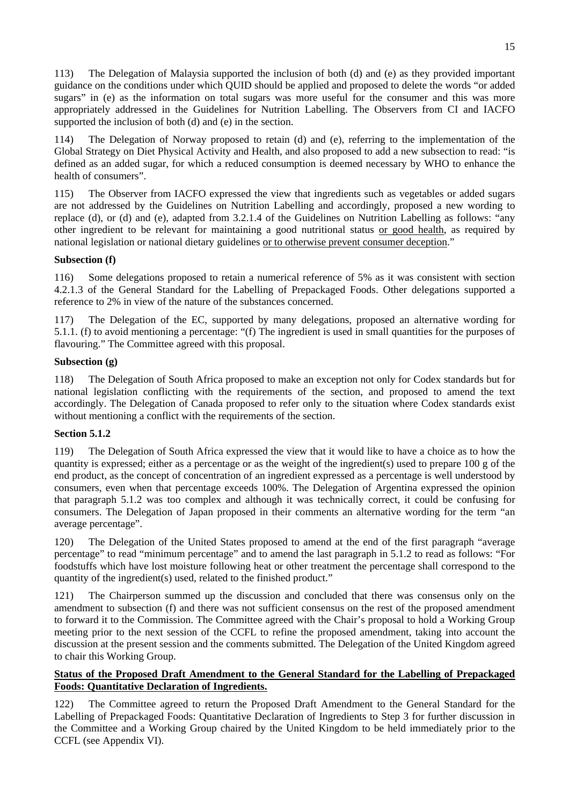113) The Delegation of Malaysia supported the inclusion of both (d) and (e) as they provided important guidance on the conditions under which QUID should be applied and proposed to delete the words "or added sugars" in (e) as the information on total sugars was more useful for the consumer and this was more appropriately addressed in the Guidelines for Nutrition Labelling. The Observers from CI and IACFO supported the inclusion of both (d) and (e) in the section.

114) The Delegation of Norway proposed to retain (d) and (e), referring to the implementation of the Global Strategy on Diet Physical Activity and Health, and also proposed to add a new subsection to read: "is defined as an added sugar, for which a reduced consumption is deemed necessary by WHO to enhance the health of consumers".

115) The Observer from IACFO expressed the view that ingredients such as vegetables or added sugars are not addressed by the Guidelines on Nutrition Labelling and accordingly, proposed a new wording to replace (d), or (d) and (e), adapted from 3.2.1.4 of the Guidelines on Nutrition Labelling as follows: "any other ingredient to be relevant for maintaining a good nutritional status or good health, as required by national legislation or national dietary guidelines or to otherwise prevent consumer deception."

## **Subsection (f)**

116) Some delegations proposed to retain a numerical reference of 5% as it was consistent with section 4.2.1.3 of the General Standard for the Labelling of Prepackaged Foods. Other delegations supported a reference to 2% in view of the nature of the substances concerned.

117) The Delegation of the EC, supported by many delegations, proposed an alternative wording for 5.1.1. (f) to avoid mentioning a percentage: "(f) The ingredient is used in small quantities for the purposes of flavouring." The Committee agreed with this proposal.

## **Subsection (g)**

118) The Delegation of South Africa proposed to make an exception not only for Codex standards but for national legislation conflicting with the requirements of the section, and proposed to amend the text accordingly. The Delegation of Canada proposed to refer only to the situation where Codex standards exist without mentioning a conflict with the requirements of the section.

## **Section 5.1.2**

119) The Delegation of South Africa expressed the view that it would like to have a choice as to how the quantity is expressed; either as a percentage or as the weight of the ingredient(s) used to prepare 100 g of the end product, as the concept of concentration of an ingredient expressed as a percentage is well understood by consumers, even when that percentage exceeds 100%. The Delegation of Argentina expressed the opinion that paragraph 5.1.2 was too complex and although it was technically correct, it could be confusing for consumers. The Delegation of Japan proposed in their comments an alternative wording for the term "an average percentage".

120) The Delegation of the United States proposed to amend at the end of the first paragraph "average percentage" to read "minimum percentage" and to amend the last paragraph in 5.1.2 to read as follows: "For foodstuffs which have lost moisture following heat or other treatment the percentage shall correspond to the quantity of the ingredient(s) used, related to the finished product."

121) The Chairperson summed up the discussion and concluded that there was consensus only on the amendment to subsection (f) and there was not sufficient consensus on the rest of the proposed amendment to forward it to the Commission. The Committee agreed with the Chair's proposal to hold a Working Group meeting prior to the next session of the CCFL to refine the proposed amendment, taking into account the discussion at the present session and the comments submitted. The Delegation of the United Kingdom agreed to chair this Working Group.

## **Status of the Proposed Draft Amendment to the General Standard for the Labelling of Prepackaged Foods: Quantitative Declaration of Ingredients.**

122) The Committee agreed to return the Proposed Draft Amendment to the General Standard for the Labelling of Prepackaged Foods: Quantitative Declaration of Ingredients to Step 3 for further discussion in the Committee and a Working Group chaired by the United Kingdom to be held immediately prior to the CCFL (see Appendix VI).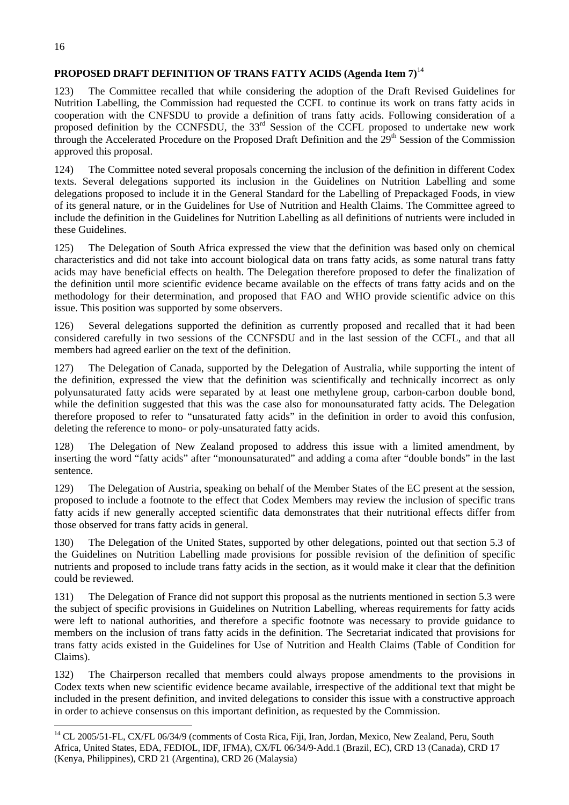## **PROPOSED DRAFT DEFINITION OF TRANS FATTY ACIDS (Agenda Item 7)**<sup>14</sup>

123) The Committee recalled that while considering the adoption of the Draft Revised Guidelines for Nutrition Labelling, the Commission had requested the CCFL to continue its work on trans fatty acids in cooperation with the CNFSDU to provide a definition of trans fatty acids. Following consideration of a proposed definition by the CCNFSDU, the 33<sup>rd</sup> Session of the CCFL proposed to undertake new work through the Accelerated Procedure on the Proposed Draft Definition and the  $29<sup>th</sup>$  Session of the Commission approved this proposal.

124) The Committee noted several proposals concerning the inclusion of the definition in different Codex texts. Several delegations supported its inclusion in the Guidelines on Nutrition Labelling and some delegations proposed to include it in the General Standard for the Labelling of Prepackaged Foods, in view of its general nature, or in the Guidelines for Use of Nutrition and Health Claims. The Committee agreed to include the definition in the Guidelines for Nutrition Labelling as all definitions of nutrients were included in these Guidelines.

125) The Delegation of South Africa expressed the view that the definition was based only on chemical characteristics and did not take into account biological data on trans fatty acids, as some natural trans fatty acids may have beneficial effects on health. The Delegation therefore proposed to defer the finalization of the definition until more scientific evidence became available on the effects of trans fatty acids and on the methodology for their determination, and proposed that FAO and WHO provide scientific advice on this issue. This position was supported by some observers.

126) Several delegations supported the definition as currently proposed and recalled that it had been considered carefully in two sessions of the CCNFSDU and in the last session of the CCFL, and that all members had agreed earlier on the text of the definition.

127) The Delegation of Canada, supported by the Delegation of Australia, while supporting the intent of the definition, expressed the view that the definition was scientifically and technically incorrect as only polyunsaturated fatty acids were separated by at least one methylene group, carbon-carbon double bond, while the definition suggested that this was the case also for monounsaturated fatty acids. The Delegation therefore proposed to refer to "unsaturated fatty acids" in the definition in order to avoid this confusion, deleting the reference to mono- or poly-unsaturated fatty acids.

128) The Delegation of New Zealand proposed to address this issue with a limited amendment, by inserting the word "fatty acids" after "monounsaturated" and adding a coma after "double bonds" in the last sentence.

129) The Delegation of Austria, speaking on behalf of the Member States of the EC present at the session, proposed to include a footnote to the effect that Codex Members may review the inclusion of specific trans fatty acids if new generally accepted scientific data demonstrates that their nutritional effects differ from those observed for trans fatty acids in general.

130) The Delegation of the United States, supported by other delegations, pointed out that section 5.3 of the Guidelines on Nutrition Labelling made provisions for possible revision of the definition of specific nutrients and proposed to include trans fatty acids in the section, as it would make it clear that the definition could be reviewed.

131) The Delegation of France did not support this proposal as the nutrients mentioned in section 5.3 were the subject of specific provisions in Guidelines on Nutrition Labelling, whereas requirements for fatty acids were left to national authorities, and therefore a specific footnote was necessary to provide guidance to members on the inclusion of trans fatty acids in the definition. The Secretariat indicated that provisions for trans fatty acids existed in the Guidelines for Use of Nutrition and Health Claims (Table of Condition for Claims).

132) The Chairperson recalled that members could always propose amendments to the provisions in Codex texts when new scientific evidence became available, irrespective of the additional text that might be included in the present definition, and invited delegations to consider this issue with a constructive approach in order to achieve consensus on this important definition, as requested by the Commission.

 $\overline{a}$ <sup>14</sup> CL 2005/51-FL, CX/FL 06/34/9 (comments of Costa Rica, Fiji, Iran, Jordan, Mexico, New Zealand, Peru, South Africa, United States, EDA, FEDIOL, IDF, IFMA), CX/FL 06/34/9-Add.1 (Brazil, EC), CRD 13 (Canada), CRD 17 (Kenya, Philippines), CRD 21 (Argentina), CRD 26 (Malaysia)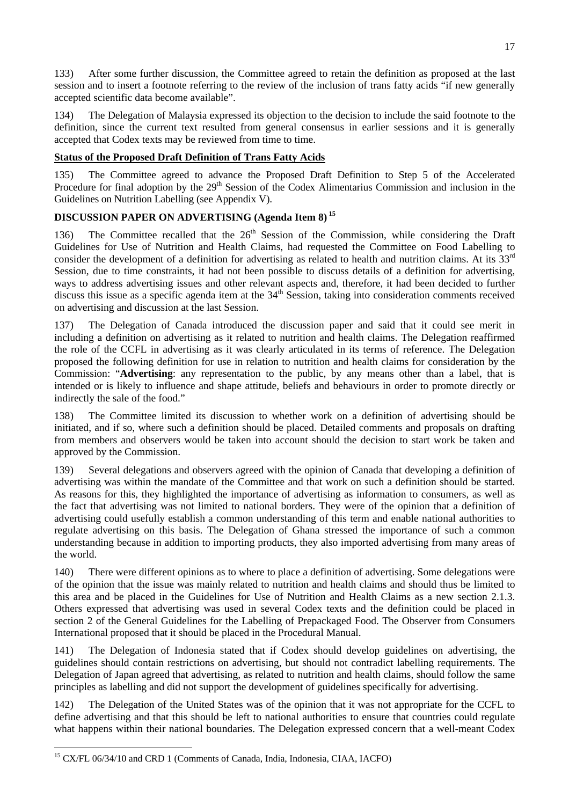133) After some further discussion, the Committee agreed to retain the definition as proposed at the last session and to insert a footnote referring to the review of the inclusion of trans fatty acids "if new generally accepted scientific data become available".

134) The Delegation of Malaysia expressed its objection to the decision to include the said footnote to the definition, since the current text resulted from general consensus in earlier sessions and it is generally accepted that Codex texts may be reviewed from time to time.

## **Status of the Proposed Draft Definition of Trans Fatty Acids**

135) The Committee agreed to advance the Proposed Draft Definition to Step 5 of the Accelerated Procedure for final adoption by the 29<sup>th</sup> Session of the Codex Alimentarius Commission and inclusion in the Guidelines on Nutrition Labelling (see Appendix V).

## **DISCUSSION PAPER ON ADVERTISING (Agenda Item 8) 15**

136) The Committee recalled that the  $26<sup>th</sup>$  Session of the Commission, while considering the Draft Guidelines for Use of Nutrition and Health Claims, had requested the Committee on Food Labelling to consider the development of a definition for advertising as related to health and nutrition claims. At its 33<sup>rd</sup> Session, due to time constraints, it had not been possible to discuss details of a definition for advertising, ways to address advertising issues and other relevant aspects and, therefore, it had been decided to further discuss this issue as a specific agenda item at the  $34<sup>th</sup>$  Session, taking into consideration comments received on advertising and discussion at the last Session.

137) The Delegation of Canada introduced the discussion paper and said that it could see merit in including a definition on advertising as it related to nutrition and health claims. The Delegation reaffirmed the role of the CCFL in advertising as it was clearly articulated in its terms of reference. The Delegation proposed the following definition for use in relation to nutrition and health claims for consideration by the Commission: "**Advertising**: any representation to the public, by any means other than a label, that is intended or is likely to influence and shape attitude, beliefs and behaviours in order to promote directly or indirectly the sale of the food."

138) The Committee limited its discussion to whether work on a definition of advertising should be initiated, and if so, where such a definition should be placed. Detailed comments and proposals on drafting from members and observers would be taken into account should the decision to start work be taken and approved by the Commission.

Several delegations and observers agreed with the opinion of Canada that developing a definition of advertising was within the mandate of the Committee and that work on such a definition should be started. As reasons for this, they highlighted the importance of advertising as information to consumers, as well as the fact that advertising was not limited to national borders. They were of the opinion that a definition of advertising could usefully establish a common understanding of this term and enable national authorities to regulate advertising on this basis. The Delegation of Ghana stressed the importance of such a common understanding because in addition to importing products, they also imported advertising from many areas of the world.

140) There were different opinions as to where to place a definition of advertising. Some delegations were of the opinion that the issue was mainly related to nutrition and health claims and should thus be limited to this area and be placed in the Guidelines for Use of Nutrition and Health Claims as a new section 2.1.3. Others expressed that advertising was used in several Codex texts and the definition could be placed in section 2 of the General Guidelines for the Labelling of Prepackaged Food. The Observer from Consumers International proposed that it should be placed in the Procedural Manual.

141) The Delegation of Indonesia stated that if Codex should develop guidelines on advertising, the guidelines should contain restrictions on advertising, but should not contradict labelling requirements. The Delegation of Japan agreed that advertising, as related to nutrition and health claims, should follow the same principles as labelling and did not support the development of guidelines specifically for advertising.

142) The Delegation of the United States was of the opinion that it was not appropriate for the CCFL to define advertising and that this should be left to national authorities to ensure that countries could regulate what happens within their national boundaries. The Delegation expressed concern that a well-meant Codex

 $\overline{a}$ 

<sup>&</sup>lt;sup>15</sup> CX/FL 06/34/10 and CRD 1 (Comments of Canada, India, Indonesia, CIAA, IACFO)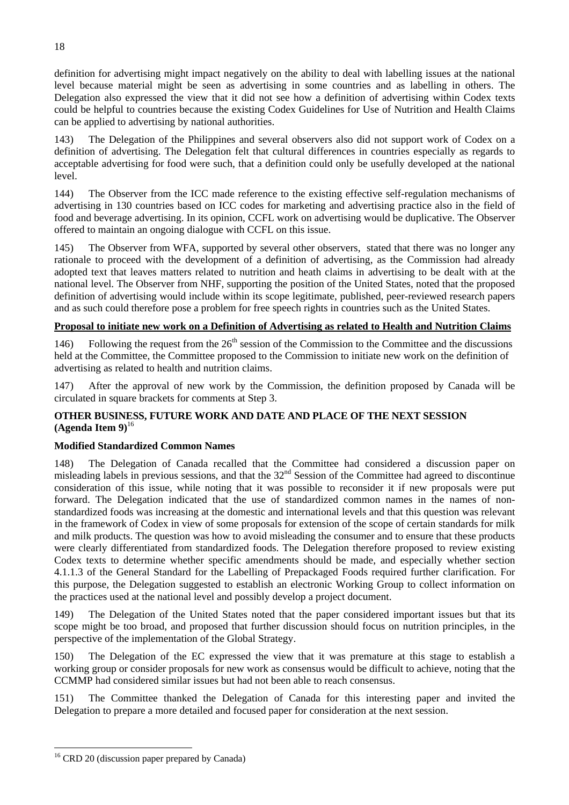definition for advertising might impact negatively on the ability to deal with labelling issues at the national level because material might be seen as advertising in some countries and as labelling in others. The Delegation also expressed the view that it did not see how a definition of advertising within Codex texts could be helpful to countries because the existing Codex Guidelines for Use of Nutrition and Health Claims can be applied to advertising by national authorities.

143) The Delegation of the Philippines and several observers also did not support work of Codex on a definition of advertising. The Delegation felt that cultural differences in countries especially as regards to acceptable advertising for food were such, that a definition could only be usefully developed at the national level.

144) The Observer from the ICC made reference to the existing effective self-regulation mechanisms of advertising in 130 countries based on ICC codes for marketing and advertising practice also in the field of food and beverage advertising. In its opinion, CCFL work on advertising would be duplicative. The Observer offered to maintain an ongoing dialogue with CCFL on this issue.

145) The Observer from WFA, supported by several other observers, stated that there was no longer any rationale to proceed with the development of a definition of advertising, as the Commission had already adopted text that leaves matters related to nutrition and heath claims in advertising to be dealt with at the national level. The Observer from NHF, supporting the position of the United States, noted that the proposed definition of advertising would include within its scope legitimate, published, peer-reviewed research papers and as such could therefore pose a problem for free speech rights in countries such as the United States.

## **Proposal to initiate new work on a Definition of Advertising as related to Health and Nutrition Claims**

146) Following the request from the  $26<sup>th</sup>$  session of the Commission to the Committee and the discussions held at the Committee, the Committee proposed to the Commission to initiate new work on the definition of advertising as related to health and nutrition claims.

147) After the approval of new work by the Commission, the definition proposed by Canada will be circulated in square brackets for comments at Step 3.

## **OTHER BUSINESS, FUTURE WORK AND DATE AND PLACE OF THE NEXT SESSION (Agenda Item 9)**<sup>16</sup>

## **Modified Standardized Common Names**

148) The Delegation of Canada recalled that the Committee had considered a discussion paper on misleading labels in previous sessions, and that the  $32<sup>nd</sup>$  Session of the Committee had agreed to discontinue consideration of this issue, while noting that it was possible to reconsider it if new proposals were put forward. The Delegation indicated that the use of standardized common names in the names of nonstandardized foods was increasing at the domestic and international levels and that this question was relevant in the framework of Codex in view of some proposals for extension of the scope of certain standards for milk and milk products. The question was how to avoid misleading the consumer and to ensure that these products were clearly differentiated from standardized foods. The Delegation therefore proposed to review existing Codex texts to determine whether specific amendments should be made, and especially whether section 4.1.1.3 of the General Standard for the Labelling of Prepackaged Foods required further clarification. For this purpose, the Delegation suggested to establish an electronic Working Group to collect information on the practices used at the national level and possibly develop a project document.

The Delegation of the United States noted that the paper considered important issues but that its scope might be too broad, and proposed that further discussion should focus on nutrition principles, in the perspective of the implementation of the Global Strategy.

150) The Delegation of the EC expressed the view that it was premature at this stage to establish a working group or consider proposals for new work as consensus would be difficult to achieve, noting that the CCMMP had considered similar issues but had not been able to reach consensus.

151) The Committee thanked the Delegation of Canada for this interesting paper and invited the Delegation to prepare a more detailed and focused paper for consideration at the next session.

 $\overline{a}$ <sup>16</sup> CRD 20 (discussion paper prepared by Canada)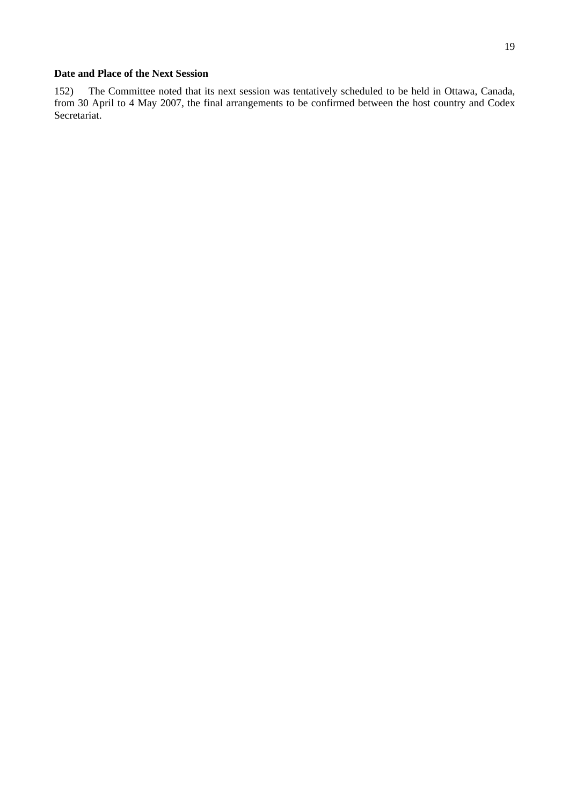## **Date and Place of the Next Session**

152) The Committee noted that its next session was tentatively scheduled to be held in Ottawa, Canada, from 30 April to 4 May 2007, the final arrangements to be confirmed between the host country and Codex Secretariat.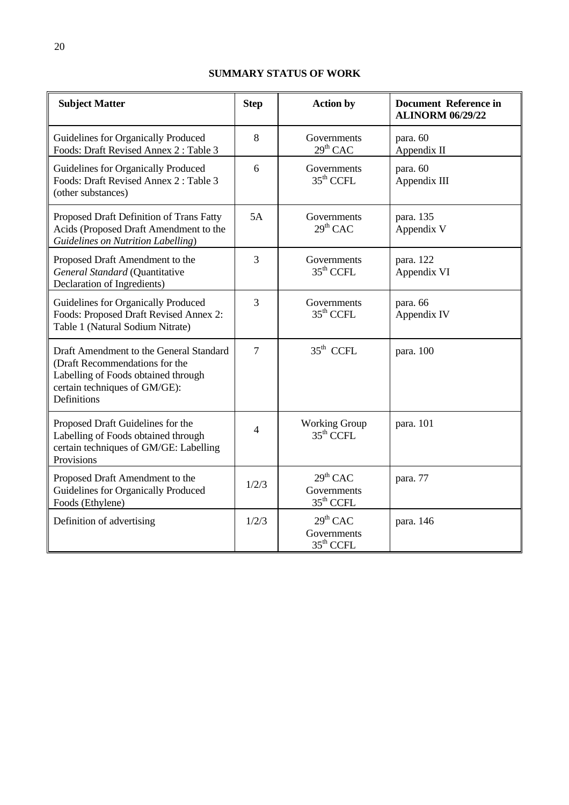## **SUMMARY STATUS OF WORK**

| <b>Subject Matter</b>                                                                                                                                            | <b>Step</b> | <b>Action by</b>                                      | <b>Document Reference in</b><br><b>ALINORM 06/29/22</b> |
|------------------------------------------------------------------------------------------------------------------------------------------------------------------|-------------|-------------------------------------------------------|---------------------------------------------------------|
| Guidelines for Organically Produced<br>Foods: Draft Revised Annex 2: Table 3                                                                                     | 8           | Governments<br>$29th$ CAC                             | para. 60<br>Appendix II                                 |
| Guidelines for Organically Produced<br>Foods: Draft Revised Annex 2: Table 3<br>(other substances)                                                               | 6           | Governments<br>35 <sup>th</sup> CCFL                  | para. 60<br>Appendix III                                |
| Proposed Draft Definition of Trans Fatty<br>Acids (Proposed Draft Amendment to the<br>Guidelines on Nutrition Labelling)                                         | 5A          | Governments<br>$29th$ CAC                             | para. 135<br>Appendix V                                 |
| Proposed Draft Amendment to the<br>General Standard (Quantitative<br>Declaration of Ingredients)                                                                 | 3           | Governments<br>35 <sup>th</sup> CCFL                  | para. 122<br>Appendix VI                                |
| Guidelines for Organically Produced<br>Foods: Proposed Draft Revised Annex 2:<br>Table 1 (Natural Sodium Nitrate)                                                | 3           | Governments<br>$35th$ CCFL                            | para. 66<br>Appendix IV                                 |
| Draft Amendment to the General Standard<br>(Draft Recommendations for the<br>Labelling of Foods obtained through<br>certain techniques of GM/GE):<br>Definitions | 7           | 35 <sup>th</sup> CCFL                                 | para. 100                                               |
| Proposed Draft Guidelines for the<br>Labelling of Foods obtained through<br>certain techniques of GM/GE: Labelling<br>Provisions                                 | 4           | <b>Working Group</b><br>$35th$ CCFL                   | para. 101                                               |
| Proposed Draft Amendment to the<br>Guidelines for Organically Produced<br>Foods (Ethylene)                                                                       | 1/2/3       | $29^{th}$ CAC<br>Governments<br>35 <sup>th</sup> CCFL | para. 77                                                |
| Definition of advertising                                                                                                                                        | 1/2/3       | $29th$ CAC<br>Governments<br>$35th$ CCFL              | para. 146                                               |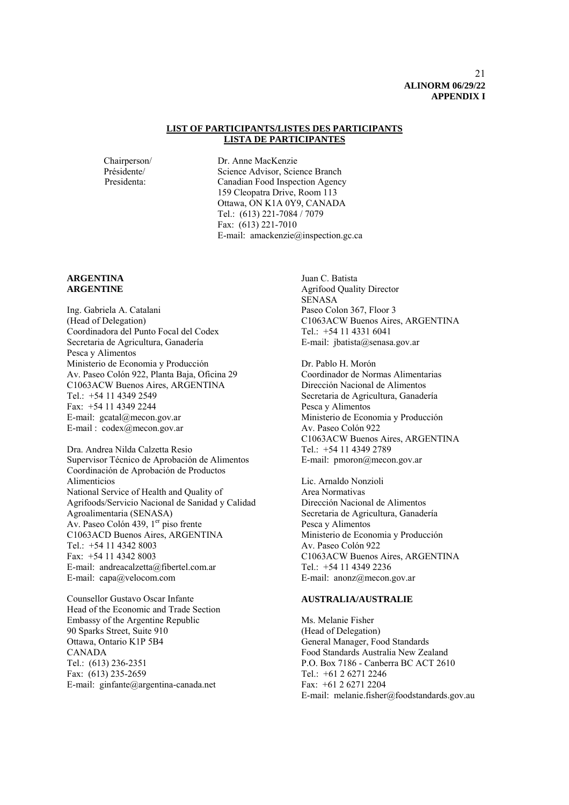#### $21$ **ALINORM 06/29/22 APPENDIX I**

#### **LIST OF PARTICIPANTS/LISTES DES PARTICIPANTS LISTA DE PARTICIPANTES**

Chairperson/ Dr. Anne MacKenzie Présidente/ Science Advisor, Science Branch Presidenta: Canadian Food Inspection Agency 159 Cleopatra Drive, Room 113 Ottawa, ON K1A 0Y9, CANADA Tel.: (613) 221-7084 / 7079 Fax: (613) 221-7010 E-mail: amackenzie@inspection.gc.ca

#### **ARGENTINA ARGENTINE**

Ing. Gabriela A. Catalani (Head of Delegation) Coordinadora del Punto Focal del Codex Secretaria de Agricultura, Ganadería Pesca y Alimentos Ministerio de Economia y Producción Av. Paseo Colón 922, Planta Baja, Oficina 29 C1063ACW Buenos Aires, ARGENTINA Tel.: +54 11 4349 2549 Fax: +54 11 4349 2244 E-mail: gcatal@mecon.gov.ar E-mail : codex@mecon.gov.ar

Dra. Andrea Nilda Calzetta Resio Supervisor Técnico de Aprobación de Alimentos Coordinación de Aprobación de Productos Alimenticios National Service of Health and Quality of Agrifoods/Servicio Nacional de Sanidad y Calidad Agroalimentaria (SENASA) Av. Paseo Colón 439, 1<sup>er</sup> piso frente C1063ACD Buenos Aires, ARGENTINA Tel:  $+54$  11 4342 8003 Fax: +54 11 4342 8003 E-mail: andreacalzetta@fibertel.com.ar E-mail: capa@velocom.com

Counsellor Gustavo Oscar Infante Head of the Economic and Trade Section Embassy of the Argentine Republic 90 Sparks Street, Suite 910 Ottawa, Ontario K1P 5B4 CANADA Tel.: (613) 236-2351 Fax: (613) 235-2659 E-mail: ginfante@argentina-canada.net

Juan C. Batista Agrifood Quality Director SENASA Paseo Colon 367, Floor 3 C1063ACW Buenos Aires, ARGENTINA Tel.: +54 11 4331 6041 E-mail: jbatista@senasa.gov.ar

Dr. Pablo H. Morón Coordinador de Normas Alimentarias Dirección Nacional de Alimentos Secretaria de Agricultura, Ganadería Pesca y Alimentos Ministerio de Economia y Producción Av. Paseo Colón 922 C1063ACW Buenos Aires, ARGENTINA Tel.: +54 11 4349 2789 E-mail: pmoron@mecon.gov.ar

Lic. Arnaldo Nonzioli Area Normativas Dirección Nacional de Alimentos Secretaria de Agricultura, Ganadería Pesca y Alimentos Ministerio de Economia y Producción Av. Paseo Colón 922 C1063ACW Buenos Aires, ARGENTINA Tel.: +54 11 4349 2236 E-mail: anonz@mecon.gov.ar

#### **AUSTRALIA/AUSTRALIE**

Ms. Melanie Fisher (Head of Delegation) General Manager, Food Standards Food Standards Australia New Zealand P.O. Box 7186 - Canberra BC ACT 2610 Tel.: +61 2 6271 2246 Fax: +61 2 6271 2204 E-mail: melanie.fisher@foodstandards.gov.au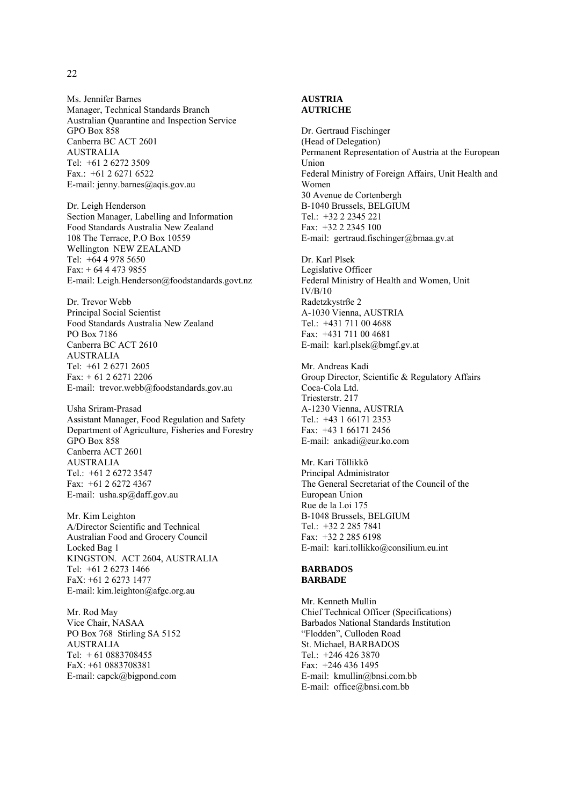Ms. Jennifer Barnes Manager, Technical Standards Branch Australian Quarantine and Inspection Service GPO Box 858 Canberra BC ACT 2601 AUSTRALIA Tel: +61 2 6272 3509 Fax.: +61 2 6271 6522 E-mail: jenny.barnes@aqis.gov.au

Dr. Leigh Henderson Section Manager, Labelling and Information Food Standards Australia New Zealand 108 The Terrace, P.O Box 10559 Wellington NEW ZEALAND Tel: +64 4 978 5650 Fax: + 64 4 473 9855 E-mail: Leigh.Henderson@foodstandards.govt.nz

Dr. Trevor Webb Principal Social Scientist Food Standards Australia New Zealand PO Box 7186 Canberra BC ACT 2610 AUSTRALIA Tel:  $+61$  2 6271 2605 Fax: *+* 61 2 6271 2206 E-mail: trevor.webb@foodstandards.gov.au

Usha Sriram-Prasad Assistant Manager, Food Regulation and Safety Department of Agriculture, Fisheries and Forestry GPO Box 858 Canberra ACT 2601 AUSTRALIA Tel.: +61 2 6272 3547 Fax: +61 2 6272 4367 E-mail: usha.sp@daff.gov.au

Mr. Kim Leighton A/Director Scientific and Technical Australian Food and Grocery Council Locked Bag 1 KINGSTON. ACT 2604, AUSTRALIA Tel: +61 2 6273 1466 FaX: +61 2 6273 1477 E-mail: kim.leighton@afgc.org.au

Mr. Rod May Vice Chair, NASAA PO Box 768 Stirling SA 5152 AUSTRALIA Tel: + 61 0883708455 FaX: +61 0883708381 E-mail: capck@bigpond.com

#### **AUSTRIA AUTRICHE**

Dr. Gertraud Fischinger (Head of Delegation) Permanent Representation of Austria at the European Union Federal Ministry of Foreign Affairs, Unit Health and Women 30 Avenue de Cortenbergh B-1040 Brussels, BELGIUM Tel.: +32 2 2345 221 Fax: +32 2 2345 100 E-mail: gertraud.fischinger@bmaa.gv.at

Dr. Karl Plsek Legislative Officer Federal Ministry of Health and Women, Unit IV/B/10 Radetzkystrße 2 A-1030 Vienna, AUSTRIA Tel.: +431 711 00 4688 Fax: +431 711 00 4681 E-mail: karl.plsek@bmgf.gv.at

Mr. Andreas Kadi Group Director, Scientific & Regulatory Affairs Coca-Cola Ltd. Triesterstr. 217 A-1230 Vienna, AUSTRIA Tel.: +43 1 66171 2353 Fax: +43 1 66171 2456 E-mail: ankadi@eur.ko.com

Mr. Kari Töllikkö Principal Administrator The General Secretariat of the Council of the European Union Rue de la Loi 175 B-1048 Brussels, BELGIUM Tel.: +32 2 285 7841 Fax: +32 2 285 6198 E-mail: kari.tollikko@consilium.eu.int

### **BARBADOS BARBADE**

Mr. Kenneth Mullin Chief Technical Officer (Specifications) Barbados National Standards Institution "Flodden", Culloden Road St. Michael, BARBADOS Tel.: +246 426 3870 Fax: +246 436 1495 E-mail: kmullin@bnsi.com.bb E-mail: office@bnsi.com.bb

#### 22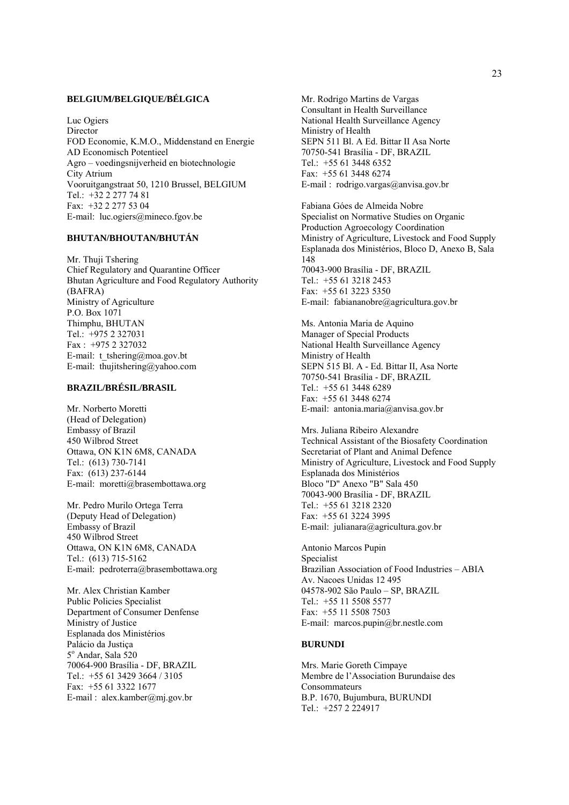#### **BELGIUM/BELGIQUE/BÉLGICA**

Luc Ogiers **Director** FOD Economie, K.M.O., Middenstand en Energie AD Economisch Potentieel Agro – voedingsnijverheid en biotechnologie City Atrium Vooruitgangstraat 50, 1210 Brussel, BELGIUM Tel.: +32 2 277 74 81 Fax: +32 2 277 53 04 E-mail: luc.ogiers@mineco.fgov.be

#### **BHUTAN/BHOUTAN/BHUTÁN**

Mr. Thuji Tshering Chief Regulatory and Quarantine Officer Bhutan Agriculture and Food Regulatory Authority (BAFRA) Ministry of Agriculture P.O. Box 1071 Thimphu, BHUTAN Tel.: +975 2 327031 Fax : +975 2 327032 E-mail: t\_tshering@moa.gov.bt E-mail: thujitshering@yahoo.com

## **BRAZIL/BRÉSIL/BRASIL**

Mr. Norberto Moretti (Head of Delegation) Embassy of Brazil 450 Wilbrod Street Ottawa, ON K1N 6M8, CANADA Tel.: (613) 730-7141 Fax: (613) 237-6144 E-mail: moretti@brasembottawa.org

Mr. Pedro Murilo Ortega Terra (Deputy Head of Delegation) Embassy of Brazil 450 Wilbrod Street Ottawa, ON K1N 6M8, CANADA Tel.: (613) 715-5162 E-mail: pedroterra@brasembottawa.org

Mr. Alex Christian Kamber Public Policies Specialist Department of Consumer Denfense Ministry of Justice Esplanada dos Ministérios Palácio da Justiça 5<sup>°</sup> Andar, Sala 520 70064-900 Brasília - DF, BRAZIL Tel.: +55 61 3429 3664 / 3105 Fax: +55 61 3322 1677 E-mail : alex.kamber@mj.gov.br

Mr. Rodrigo Martins de Vargas Consultant in Health Surveillance National Health Surveillance Agency Ministry of Health SEPN 511 Bl. A Ed. Bittar II Asa Norte 70750-541 Brasília - DF, BRAZIL Tel.: +55 61 3448 6352 Fax: +55 61 3448 6274 E-mail : rodrigo.vargas@anvisa.gov.br

Fabiana Góes de Almeida Nobre Specialist on Normative Studies on Organic Production Agroecology Coordination Ministry of Agriculture, Livestock and Food Supply Esplanada dos Ministérios, Bloco D, Anexo B, Sala 148 70043-900 Brasília - DF, BRAZIL Tel.: +55 61 3218 2453 Fax: +55 61 3223 5350 E-mail: fabiananobre@agricultura.gov.br

Ms. Antonia Maria de Aquino Manager of Special Products National Health Surveillance Agency Ministry of Health SEPN 515 Bl. A - Ed. Bittar II, Asa Norte 70750-541 Brasília - DF, BRAZIL Tel.: +55 61 3448 6289 Fax: +55 61 3448 6274 E-mail: antonia.maria@anvisa.gov.br

Mrs. Juliana Ribeiro Alexandre Technical Assistant of the Biosafety Coordination Secretariat of Plant and Animal Defence Ministry of Agriculture, Livestock and Food Supply Esplanada dos Ministérios Bloco "D" Anexo "B" Sala 450 70043-900 Brasília - DF, BRAZIL Tel.: +55 61 3218 2320 Fax: +55 61 3224 3995 E-mail: julianara@agricultura.gov.br

Antonio Marcos Pupin Specialist Brazilian Association of Food Industries – ABIA Av. Nacoes Unidas 12 495 04578-902 São Paulo – SP, BRAZIL Tel.: +55 11 5508 5577 Fax: +55 11 5508 7503 E-mail: marcos.pupin@br.nestle.com

#### **BURUNDI**

Mrs. Marie Goreth Cimpaye Membre de l'Association Burundaise des Consommateurs B.P. 1670, Bujumbura, BURUNDI Tel.: +257 2 224917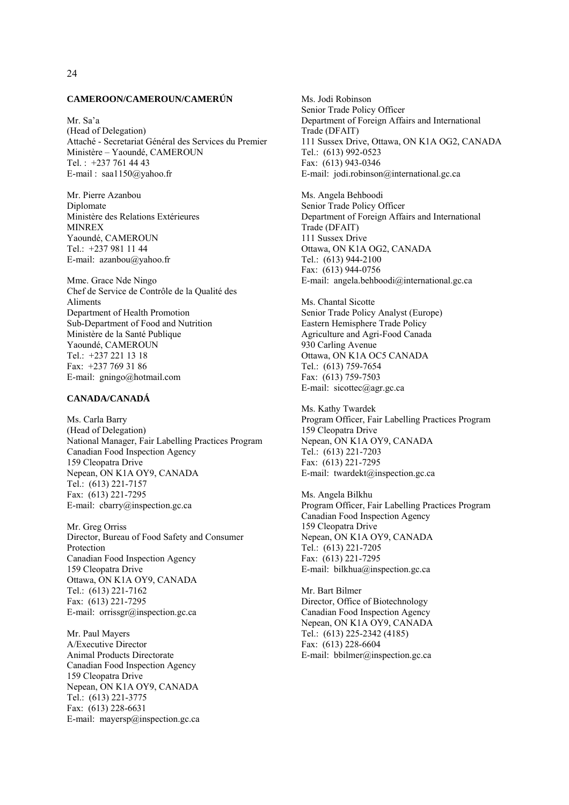#### **CAMEROON/CAMEROUN/CAMERÚN**

Mr. Sa'a (Head of Delegation) Attaché - Secretariat Général des Services du Premier Ministère – Yaoundé, CAMEROUN Tel. : +237 761 44 43 E-mail : saa1150@yahoo.fr

Mr. Pierre Azanbou Diplomate Ministère des Relations Extérieures MINREX Yaoundé, CAMEROUN Tel.: +237 981 11 44 E-mail: azanbou@yahoo.fr

Mme. Grace Nde Ningo Chef de Service de Contrôle de la Qualité des Aliments Department of Health Promotion Sub-Department of Food and Nutrition Ministère de la Santé Publique Yaoundé, CAMEROUN Tel.: +237 221 13 18 Fax: +237 769 31 86 E-mail: gningo@hotmail.com

#### **CANADA/CANADÁ**

Ms. Carla Barry (Head of Delegation) National Manager, Fair Labelling Practices Program Canadian Food Inspection Agency 159 Cleopatra Drive Nepean, ON K1A OY9, CANADA Tel.: (613) 221-7157 Fax: (613) 221-7295 E-mail: cbarry@inspection.gc.ca

Mr. Greg Orriss Director, Bureau of Food Safety and Consumer Protection Canadian Food Inspection Agency 159 Cleopatra Drive Ottawa, ON K1A OY9, CANADA Tel.: (613) 221-7162 Fax: (613) 221-7295 E-mail: orrissgr@inspection.gc.ca

Mr. Paul Mayers A/Executive Director Animal Products Directorate Canadian Food Inspection Agency 159 Cleopatra Drive Nepean, ON K1A OY9, CANADA Tel.: (613) 221-3775 Fax: (613) 228-6631 E-mail: mayersp@inspection.gc.ca Ms. Jodi Robinson Senior Trade Policy Officer Department of Foreign Affairs and International Trade (DFAIT) 111 Sussex Drive, Ottawa, ON K1A OG2, CANADA Tel.: (613) 992-0523 Fax: (613) 943-0346 E-mail: jodi.robinson@international.gc.ca

Ms. Angela Behboodi Senior Trade Policy Officer Department of Foreign Affairs and International Trade (DFAIT) 111 Sussex Drive Ottawa, ON K1A OG2, CANADA Tel.: (613) 944-2100 Fax: (613) 944-0756 E-mail: angela.behboodi@international.gc.ca

Ms. Chantal Sicotte Senior Trade Policy Analyst (Europe) Eastern Hemisphere Trade Policy Agriculture and Agri-Food Canada 930 Carling Avenue Ottawa, ON K1A OC5 CANADA Tel.: (613) 759-7654 Fax: (613) 759-7503 E-mail: sicottec@agr.gc.ca

Ms. Kathy Twardek Program Officer, Fair Labelling Practices Program 159 Cleopatra Drive Nepean, ON K1A OY9, CANADA Tel.: (613) 221-7203 Fax: (613) 221-7295 E-mail: twardekt@inspection.gc.ca

Ms. Angela Bilkhu Program Officer, Fair Labelling Practices Program Canadian Food Inspection Agency 159 Cleopatra Drive Nepean, ON K1A OY9, CANADA Tel.: (613) 221-7205 Fax: (613) 221-7295 E-mail: bilkhua@inspection.gc.ca

Mr. Bart Bilmer Director, Office of Biotechnology Canadian Food Inspection Agency Nepean, ON K1A OY9, CANADA Tel.: (613) 225-2342 (4185) Fax: (613) 228-6604 E-mail: bbilmer@inspection.gc.ca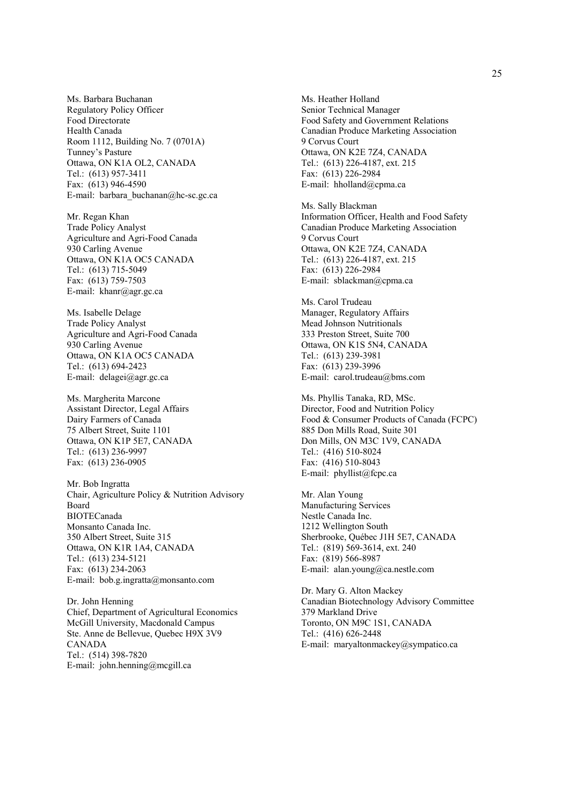Ms. Barbara Buchanan Regulatory Policy Officer Food Directorate Health Canada Room 1112, Building No. 7 (0701A) Tunney's Pasture Ottawa, ON K1A OL2, CANADA Tel.: (613) 957-3411 Fax: (613) 946-4590 E-mail: barbara buchanan@hc-sc.gc.ca

Mr. Regan Khan Trade Policy Analyst Agriculture and Agri-Food Canada 930 Carling Avenue Ottawa, ON K1A OC5 CANADA Tel.: (613) 715-5049 Fax: (613) 759-7503 E-mail: khanr@agr.gc.ca

Ms. Isabelle Delage Trade Policy Analyst Agriculture and Agri-Food Canada 930 Carling Avenue Ottawa, ON K1A OC5 CANADA Tel.: (613) 694-2423 E-mail: delagei@agr.gc.ca

Ms. Margherita Marcone Assistant Director, Legal Affairs Dairy Farmers of Canada 75 Albert Street, Suite 1101 Ottawa, ON K1P 5E7, CANADA Tel.: (613) 236-9997 Fax: (613) 236-0905

Mr. Bob Ingratta Chair, Agriculture Policy & Nutrition Advisory Board BIOTECanada Monsanto Canada Inc. 350 Albert Street, Suite 315 Ottawa, ON K1R 1A4, CANADA Tel.: (613) 234-5121 Fax: (613) 234-2063 E-mail: bob.g.ingratta@monsanto.com

Dr. John Henning Chief, Department of Agricultural Economics McGill University, Macdonald Campus Ste. Anne de Bellevue, Quebec H9X 3V9 CANADA Tel.: (514) 398-7820 E-mail: john.henning@mcgill.ca

Ms. Heather Holland Senior Technical Manager Food Safety and Government Relations Canadian Produce Marketing Association 9 Corvus Court Ottawa, ON K2E 7Z4, CANADA Tel.: (613) 226-4187, ext. 215 Fax: (613) 226-2984 E-mail: hholland@cpma.ca

Ms. Sally Blackman Information Officer, Health and Food Safety Canadian Produce Marketing Association 9 Corvus Court Ottawa, ON K2E 7Z4, CANADA Tel.: (613) 226-4187, ext. 215 Fax: (613) 226-2984 E-mail: sblackman@cpma.ca

Ms. Carol Trudeau Manager, Regulatory Affairs Mead Johnson Nutritionals 333 Preston Street, Suite 700 Ottawa, ON K1S 5N4, CANADA Tel.: (613) 239-3981 Fax: (613) 239-3996 E-mail: carol.trudeau@bms.com

Ms. Phyllis Tanaka, RD, MSc. Director, Food and Nutrition Policy Food & Consumer Products of Canada (FCPC) 885 Don Mills Road, Suite 301 Don Mills, ON M3C 1V9, CANADA Tel.: (416) 510-8024 Fax: (416) 510-8043 E-mail: phyllist@fcpc.ca

Mr. Alan Young Manufacturing Services Nestle Canada Inc. 1212 Wellington South Sherbrooke, Québec J1H 5E7, CANADA Tel.: (819) 569-3614, ext. 240 Fax: (819) 566-8987 E-mail: alan.young@ca.nestle.com

Dr. Mary G. Alton Mackey Canadian Biotechnology Advisory Committee 379 Markland Drive Toronto, ON M9C 1S1, CANADA Tel.: (416) 626-2448 E-mail: maryaltonmackey@sympatico.ca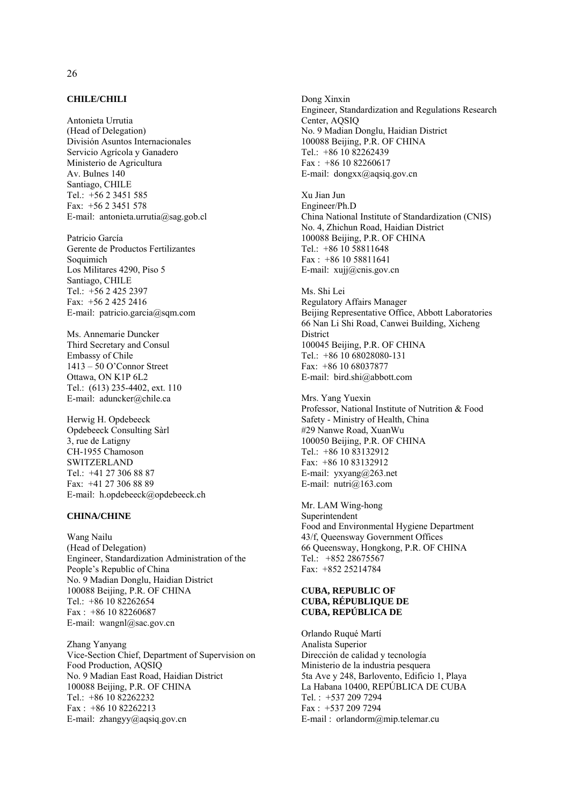### **CHILE/CHILI**

Antonieta Urrutia (Head of Delegation) División Asuntos Internacionales Servicio Agrícola y Ganadero Ministerio de Agricultura Av. Bulnes 140 Santiago, CHILE Tel.: +56 2 3451 585 Fax: +56 2 3451 578 E-mail: antonieta.urrutia@sag.gob.cl

Patricio García Gerente de Productos Fertilizantes Soquimich Los Militares 4290, Piso 5 Santiago, CHILE Tel.: +56 2 425 2397 Fax: +56 2 425 2416 E-mail: patricio.garcia@sqm.com

Ms. Annemarie Duncker Third Secretary and Consul Embassy of Chile 1413 – 50 O'Connor Street Ottawa, ON K1P 6L2 Tel.: (613) 235-4402, ext. 110 E-mail: aduncker@chile.ca

Herwig H. Opdebeeck Opdebeeck Consulting Sàrl 3, rue de Latigny CH-1955 Chamoson SWITZERLAND Tel.: +41 27 306 88 87 Fax: +41 27 306 88 89 E-mail: h.opdebeeck@opdebeeck.ch

#### **CHINA/CHINE**

Wang Nailu (Head of Delegation) Engineer, Standardization Administration of the People's Republic of China No. 9 Madian Donglu, Haidian District 100088 Beijing, P.R. OF CHINA Tel.: +86 10 82262654 Fax : +86 10 82260687 E-mail: wangnl@sac.gov.cn

Zhang Yanyang Vice-Section Chief, Department of Supervision on Food Production, AQSIQ No. 9 Madian East Road, Haidian District 100088 Beijing, P.R. OF CHINA Tel.: +86 10 82262232 Fax : +86 10 82262213 E-mail: zhangyy@aqsiq.gov.cn

Dong Xinxin Engineer, Standardization and Regulations Research Center, AQSIQ No. 9 Madian Donglu, Haidian District 100088 Beijing, P.R. OF CHINA Tel.: +86 10 82262439 Fax : +86 10 82260617 E-mail: dongxx@aqsiq.gov.cn

Xu Jian Jun Engineer/Ph.D China National Institute of Standardization (CNIS) No. 4, Zhichun Road, Haidian District 100088 Beijing, P.R. OF CHINA Tel.: +86 10 58811648 Fax : +86 10 58811641 E-mail: xujj@cnis.gov.cn

Ms. Shi Lei Regulatory Affairs Manager Beijing Representative Office, Abbott Laboratories 66 Nan Li Shi Road, Canwei Building, Xicheng **District** 100045 Beijing, P.R. OF CHINA Tel.: +86 10 68028080-131 Fax: +86 10 68037877 E-mail: bird.shi@abbott.com

Mrs. Yang Yuexin Professor, National Institute of Nutrition & Food Safety - Ministry of Health, China #29 Nanwe Road, XuanWu 100050 Beijing, P.R. OF CHINA Tel.: +86 10 83132912 Fax: +86 10 83132912 E-mail: yxyang@263.net E-mail:  $nutri@163.com$ 

Mr. LAM Wing-hong **Superintendent** Food and Environmental Hygiene Department 43/f, Queensway Government Offices 66 Queensway, Hongkong, P.R. OF CHINA Tel.: +852 28675567 Fax: +852 25214784

#### **CUBA, REPUBLIC OF CUBA, RÉPUBLIQUE DE CUBA, REPÚBLICA DE**

Orlando Ruqué Martí Analista Superior Dirección de calidad y tecnología Ministerio de la industria pesquera 5ta Ave y 248, Barlovento, Edificio 1, Playa La Habana 10400, REPÚBLICA DE CUBA Tel. : +537 209 7294  $Fax \div 5372097294$ E-mail : orlandorm@mip.telemar.cu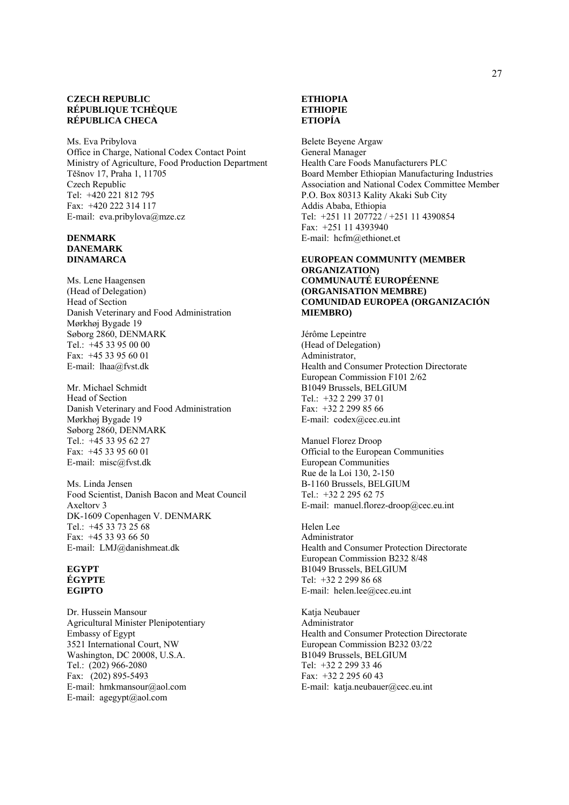#### **CZECH REPUBLIC RÉPUBLIQUE TCHÈQUE RÉPUBLICA CHECA**

Ms. Eva Pribylova Office in Charge, National Codex Contact Point Ministry of Agriculture, Food Production Department Těšnov 17, Praha 1, 11705 Czech Republic Tel: +420 221 812 795 Fax: +420 222 314 117 E-mail: eva.pribylova@mze.cz

#### **DENMARK DANEMARK DINAMARCA**

Ms. Lene Haagensen (Head of Delegation) Head of Section Danish Veterinary and Food Administration Mørkhøj Bygade 19 Søborg 2860, DENMARK Tel.: +45 33 95 00 00 Fax: +45 33 95 60 01 E-mail: lhaa@fvst.dk

Mr. Michael Schmidt Head of Section Danish Veterinary and Food Administration Mørkhøj Bygade 19 Søborg 2860, DENMARK Tel.: +45 33 95 62 27 Fax: +45 33 95 60 01 E-mail: misc@fvst.dk

Ms. Linda Jensen Food Scientist, Danish Bacon and Meat Council Axeltorv 3 DK-1609 Copenhagen V. DENMARK Tel.: +45 33 73 25 68 Fax: +45 33 93 66 50 E-mail: LMJ@danishmeat.dk

#### **EGYPT ÉGYPTE EGIPTO**

Dr. Hussein Mansour Agricultural Minister Plenipotentiary Embassy of Egypt 3521 International Court, NW Washington, DC 20008, U.S.A. Tel.: (202) 966-2080 Fax: (202) 895-5493 E-mail: hmkmansour@aol.com E-mail: agegypt@aol.com

### **ETHIOPIA ETHIOPIE ETIOPÍA**

Belete Beyene Argaw General Manager Health Care Foods Manufacturers PLC Board Member Ethiopian Manufacturing Industries Association and National Codex Committee Member P.O. Box 80313 Kality Akaki Sub City Addis Ababa, Ethiopia Tel: +251 11 207722 / +251 11 4390854 Fax: +251 11 4393940 E-mail: hcfm@ethionet.et

#### **EUROPEAN COMMUNITY (MEMBER ORGANIZATION) COMMUNAUTÉ EUROPÉENNE (ORGANISATION MEMBRE) COMUNIDAD EUROPEA (ORGANIZACIÓN MIEMBRO)**

Jérôme Lepeintre (Head of Delegation) Administrator, Health and Consumer Protection Directorate European Commission F101 2/62 B1049 Brussels, BELGIUM Tel.: +32 2 299 37 01 Fax: +32 2 299 85 66 E-mail: codex@cec.eu.int

Manuel Florez Droop Official to the European Communities European Communities Rue de la Loi 130, 2-150 B-1160 Brussels, BELGIUM Tel.: +32 2 295 62 75 E-mail: manuel.florez-droop@cec.eu.int

Helen Lee Administrator Health and Consumer Protection Directorate European Commission B232 8/48 B1049 Brussels, BELGIUM Tel: +32 2 299 86 68 E-mail: helen.lee@cec.eu.int

Katja Neubauer Administrator Health and Consumer Protection Directorate European Commission B232 03/22 B1049 Brussels, BELGIUM Tel: +32 2 299 33 46 Fax: +32 2 295 60 43 E-mail: katja.neubauer@cec.eu.int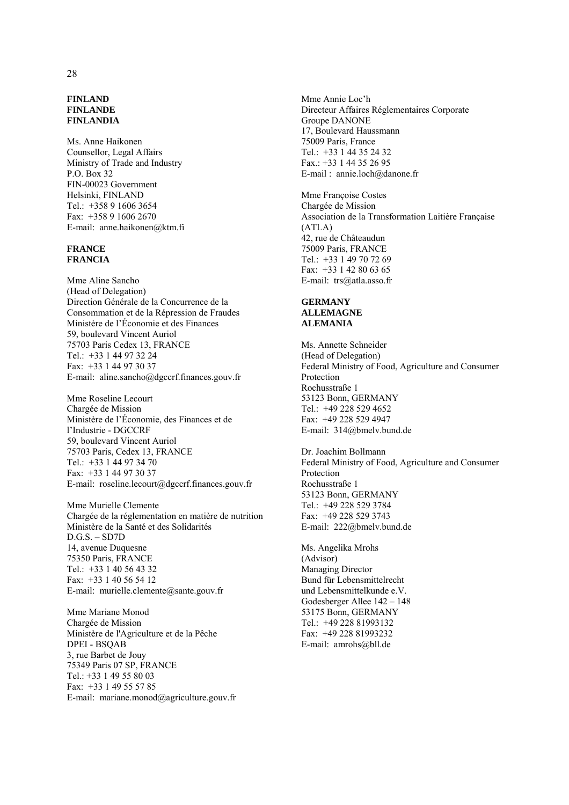#### **FINLAND FINLANDE FINLANDIA**

Ms. Anne Haikonen Counsellor, Legal Affairs Ministry of Trade and Industry P.O. Box 32 FIN-00023 Government Helsinki, FINLAND Tel.: +358 9 1606 3654 Fax: +358 9 1606 2670 E-mail: anne.haikonen@ktm.fi

#### **FRANCE FRANCIA**

Mme Aline Sancho (Head of Delegation) Direction Générale de la Concurrence de la Consommation et de la Répression de Fraudes Ministère de l'Économie et des Finances 59, boulevard Vincent Auriol 75703 Paris Cedex 13, FRANCE Tel.: +33 1 44 97 32 24 Fax: +33 1 44 97 30 37 E-mail: aline.sancho@dgccrf.finances.gouv.fr

Mme Roseline Lecourt Chargée de Mission Ministère de l'Économie, des Finances et de l'Industrie - DGCCRF 59, boulevard Vincent Auriol 75703 Paris, Cedex 13, FRANCE Tel.: +33 1 44 97 34 70 Fax: +33 1 44 97 30 37 E-mail: roseline.lecourt@dgccrf.finances.gouv.fr

Mme Murielle Clemente Chargée de la réglementation en matière de nutrition Ministère de la Santé et des Solidarités D.G.S. – SD7D 14, avenue Duquesne 75350 Paris, FRANCE Tel.: +33 1 40 56 43 32 Fax: +33 1 40 56 54 12 E-mail: murielle.clemente@sante.gouv.fr

Mme Mariane Monod Chargée de Mission Ministère de l'Agriculture et de la Pêche DPEI - BSQAB 3, rue Barbet de Jouy 75349 Paris 07 SP, FRANCE Tel.: +33 1 49 55 80 03 Fax: +33 1 49 55 57 85 E-mail: mariane.monod@agriculture.gouv.fr Mme Annie Loc'h Directeur Affaires Réglementaires Corporate Groupe DANONE 17, Boulevard Haussmann 75009 Paris, France Tel.: +33 1 44 35 24 32 Fax.: +33 1 44 35 26 95 E-mail : annie.loch@danone.fr

Mme Françoise Costes Chargée de Mission Association de la Transformation Laitière Française (ATLA) 42, rue de Châteaudun 75009 Paris, FRANCE Tel.: +33 1 49 70 72 69 Fax: +33 1 42 80 63 65 E-mail: trs@atla.asso.fr

#### **GERMANY ALLEMAGNE ALEMANIA**

Ms. Annette Schneider (Head of Delegation) Federal Ministry of Food, Agriculture and Consumer Protection Rochusstraße 1 53123 Bonn, GERMANY Tel.: +49 228 529 4652 Fax: +49 228 529 4947 E-mail: 314@bmelv.bund.de

Dr. Joachim Bollmann Federal Ministry of Food, Agriculture and Consumer Protection Rochusstraße 1 53123 Bonn, GERMANY Tel.: +49 228 529 3784 Fax: +49 228 529 3743 E-mail: 222@bmelv.bund.de

Ms. Angelika Mrohs (Advisor) Managing Director Bund für Lebensmittelrecht und Lebensmittelkunde e.V. Godesberger Allee 142 – 148 53175 Bonn, GERMANY Tel.: +49 228 81993132 Fax: +49 228 81993232 E-mail: amrohs@bll.de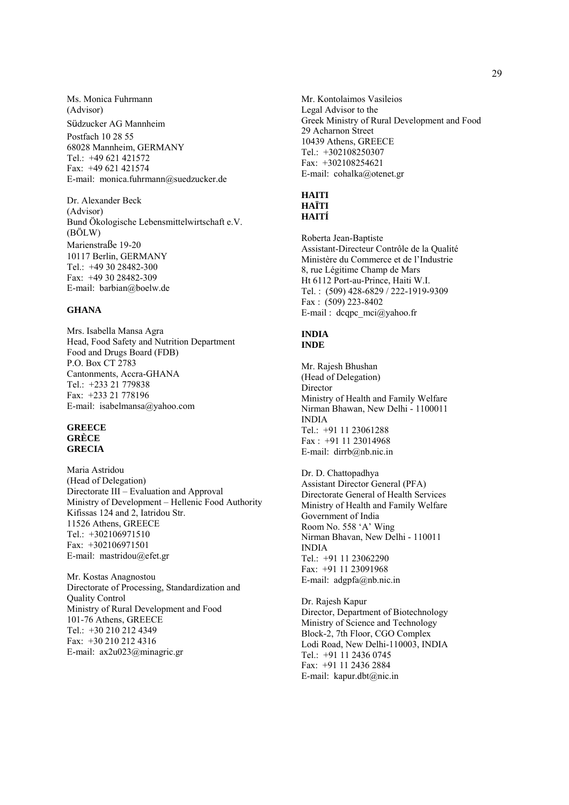Ms. Monica Fuhrmann (Advisor) Südzucker AG Mannheim Postfach 10 28 55 68028 Mannheim, GERMANY Tel.: +49 621 421572 Fax: +49 621 421574 E-mail: monica.fuhrmann@suedzucker.de

Dr. Alexander Beck (Advisor) Bund Ökologische Lebensmittelwirtschaft e.V. (BÖLW) Marienstraße 19-20 10117 Berlin, GERMANY Tel.: +49 30 28482-300 Fax: +49 30 28482-309 E-mail: barbian@boelw.de

#### **GHANA**

Mrs. Isabella Mansa Agra Head, Food Safety and Nutrition Department Food and Drugs Board (FDB) P.O. Box CT 2783 Cantonments, Accra-GHANA Tel.: +233 21 779838 Fax: +233 21 778196 E-mail: isabelmansa@yahoo.com

#### **GREECE GRÈCE GRECIA**

Maria Astridou (Head of Delegation) Directorate III – Evaluation and Approval Ministry of Development – Hellenic Food Authority Kifissas 124 and 2, Iatridou Str. 11526 Athens, GREECE Tel.: +302106971510 Fax: +302106971501 E-mail: mastridou@efet.gr

Mr. Kostas Anagnostou Directorate of Processing, Standardization and Quality Control Ministry of Rural Development and Food 101-76 Athens, GREECE Tel.: +30 210 212 4349 Fax: +30 210 212 4316 E-mail: ax2u023@minagric.gr

Mr. Kontolaimos Vasileios Legal Advisor to the Greek Ministry of Rural Development and Food 29 Acharnon Street 10439 Athens, GREECE Tel.: +302108250307 Fax: +302108254621 E-mail: cohalka@otenet.gr

#### **HAITI HAÏTI HAITÍ**

Roberta Jean-Baptiste Assistant-Directeur Contrôle de la Qualité Ministère du Commerce et de l'Industrie 8, rue Légitime Champ de Mars Ht 6112 Port-au-Prince, Haiti W.I. Tel. : (509) 428-6829 / 222-1919-9309 Fax : (509) 223-8402 E-mail : dcqpc\_mci@yahoo.fr

#### **INDIA INDE**

Mr. Rajesh Bhushan (Head of Delegation) Director Ministry of Health and Family Welfare Nirman Bhawan, New Delhi - 1100011 INDIA Tel.: +91 11 23061288 Fax : +91 11 23014968 E-mail: dirrb@nb.nic.in

Dr. D. Chattopadhya Assistant Director General (PFA) Directorate General of Health Services Ministry of Health and Family Welfare Government of India Room No. 558 'A' Wing Nirman Bhavan, New Delhi - 110011 INDIA Tel.: +91 11 23062290 Fax: +91 11 23091968 E-mail: adgpfa@nb.nic.in

Dr. Rajesh Kapur Director, Department of Biotechnology Ministry of Science and Technology Block-2, 7th Floor, CGO Complex Lodi Road, New Delhi-110003, INDIA Tel.: +91 11 2436 0745 Fax: +91 11 2436 2884 E-mail: kapur.dbt@nic.in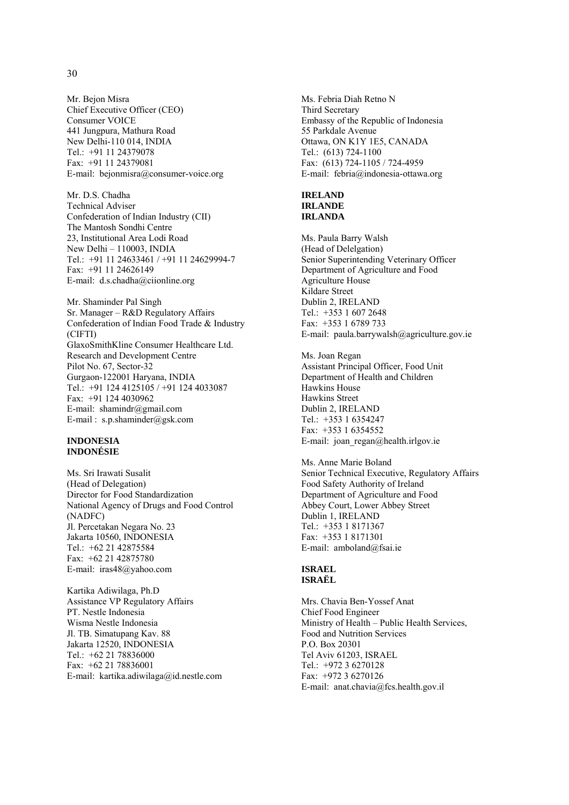Mr. Bejon Misra Chief Executive Officer (CEO) Consumer VOICE 441 Jungpura, Mathura Road New Delhi-110 014, INDIA Tel.: +91 11 24379078 Fax: +91 11 24379081 E-mail: bejonmisra@consumer-voice.org

Mr. D.S. Chadha Technical Adviser Confederation of Indian Industry (CII) The Mantosh Sondhi Centre 23, Institutional Area Lodi Road New Delhi – 110003, INDIA Tel.: +91 11 24633461 / +91 11 24629994-7 Fax: +91 11 24626149 E-mail: d.s.chadha@ciionline.org

Mr. Shaminder Pal Singh Sr. Manager – R&D Regulatory Affairs Confederation of Indian Food Trade & Industry (CIFTI) GlaxoSmithKline Consumer Healthcare Ltd. Research and Development Centre Pilot No. 67, Sector-32 Gurgaon-122001 Haryana, INDIA Tel.: +91 124 4125105 / +91 124 4033087 Fax: +91 124 4030962 E-mail: shamindr@gmail.com E-mail : s.p.shaminder@gsk.com

#### **INDONESIA INDONÉSIE**

Ms. Sri Irawati Susalit (Head of Delegation) Director for Food Standardization National Agency of Drugs and Food Control (NADFC) Jl. Percetakan Negara No. 23 Jakarta 10560, INDONESIA Tel.: +62 21 42875584 Fax: +62 21 42875780 E-mail: iras48@yahoo.com

Kartika Adiwilaga, Ph.D Assistance VP Regulatory Affairs PT. Nestle Indonesia Wisma Nestle Indonesia Jl. TB. Simatupang Kav. 88 Jakarta 12520, INDONESIA Tel.: +62 21 78836000 Fax: +62 21 78836001 E-mail: kartika.adiwilaga@id.nestle.com Ms. Febria Diah Retno N Third Secretary Embassy of the Republic of Indonesia 55 Parkdale Avenue Ottawa, ON K1Y 1E5, CANADA Tel.: (613) 724-1100 Fax: (613) 724-1105 / 724-4959 E-mail: febria@indonesia-ottawa.org

#### **IRELAND IRLANDE IRLANDA**

Ms. Paula Barry Walsh (Head of Delelgation) Senior Superintending Veterinary Officer Department of Agriculture and Food Agriculture House Kildare Street Dublin 2, IRELAND Tel.: +353 1 607 2648 Fax: +353 1 6789 733 E-mail: paula.barrywalsh@agriculture.gov.ie

Ms. Joan Regan Assistant Principal Officer, Food Unit Department of Health and Children Hawkins House Hawkins Street Dublin 2, IRELAND Tel.: +353 1 6354247 Fax: +353 1 6354552 E-mail: joan\_regan@health.irlgov.ie

Ms. Anne Marie Boland Senior Technical Executive, Regulatory Affairs Food Safety Authority of Ireland Department of Agriculture and Food Abbey Court, Lower Abbey Street Dublin 1, IRELAND Tel.: +353 1 8171367 Fax: +353 1 8171301 E-mail: amboland@fsai.ie

## **ISRAEL ISRAËL**

Mrs. Chavia Ben-Yossef Anat Chief Food Engineer Ministry of Health – Public Health Services, Food and Nutrition Services P.O. Box 20301 Tel Aviv 61203, ISRAEL Tel.: +972 3 6270128 Fax: +972 3 6270126 E-mail: anat.chavia@fcs.health.gov.il

30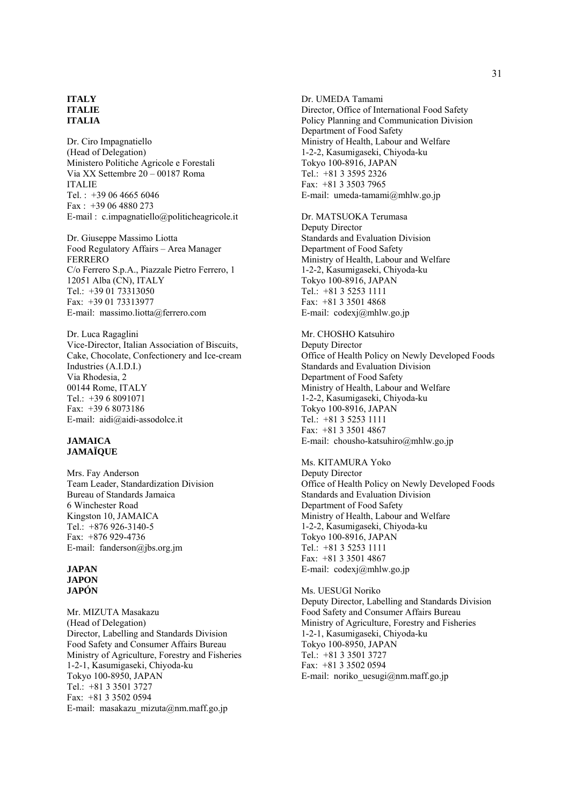#### **ITALY ITALIE ITALIA**

Dr. Ciro Impagnatiello (Head of Delegation) Ministero Politiche Agricole e Forestali Via XX Settembre 20 – 00187 Roma ITALIE Tel.:  $+390646656046$ Fax : +39 06 4880 273 E-mail : c.impagnatiello@politicheagricole.it

Dr. Giuseppe Massimo Liotta Food Regulatory Affairs – Area Manager FERRERO C/o Ferrero S.p.A., Piazzale Pietro Ferrero, 1 12051 Alba (CN), ITALY Tel.: +39 01 73313050 Fax: +39 01 73313977 E-mail: massimo.liotta@ferrero.com

Dr. Luca Ragaglini Vice-Director, Italian Association of Biscuits, Cake, Chocolate, Confectionery and Ice-cream Industries (A.I.D.I.) Via Rhodesia, 2 00144 Rome, ITALY Tel.: +39 6 8091071 Fax: +39 6 8073186 E-mail: aidi@aidi-assodolce.it

#### **JAMAICA JAMAÏQUE**

Mrs. Fay Anderson Team Leader, Standardization Division Bureau of Standards Jamaica 6 Winchester Road Kingston 10, JAMAICA Tel.: +876 926-3140-5 Fax: +876 929-4736 E-mail: fanderson@jbs.org.jm

#### **JAPAN JAPON JAPÓN**

Mr. MIZUTA Masakazu (Head of Delegation) Director, Labelling and Standards Division Food Safety and Consumer Affairs Bureau Ministry of Agriculture, Forestry and Fisheries 1-2-1, Kasumigaseki, Chiyoda-ku Tokyo 100-8950, JAPAN Tel.: +81 3 3501 3727 Fax: +81 3 3502 0594 E-mail: masakazu mizuta@nm.maff.go.jp

Dr. UMEDA Tamami Director, Office of International Food Safety Policy Planning and Communication Division Department of Food Safety Ministry of Health, Labour and Welfare 1-2-2, Kasumigaseki, Chiyoda-ku Tokyo 100-8916, JAPAN Tel.: +81 3 3595 2326 Fax: +81 3 3503 7965 E-mail: umeda-tamami@mhlw.go.jp

Dr. MATSUOKA Terumasa Deputy Director Standards and Evaluation Division Department of Food Safety Ministry of Health, Labour and Welfare 1-2-2, Kasumigaseki, Chiyoda-ku Tokyo 100-8916, JAPAN Tel.: +81 3 5253 1111 Fax: +81 3 3501 4868 E-mail: codexj@mhlw.go.jp

Mr. CHOSHO Katsuhiro Deputy Director Office of Health Policy on Newly Developed Foods Standards and Evaluation Division Department of Food Safety Ministry of Health, Labour and Welfare 1-2-2, Kasumigaseki, Chiyoda-ku Tokyo 100-8916, JAPAN Tel.: +81 3 5253 1111 Fax: +81 3 3501 4867 E-mail: chousho-katsuhiro@mhlw.go.jp

Ms. KITAMURA Yoko Deputy Director Office of Health Policy on Newly Developed Foods Standards and Evaluation Division Department of Food Safety Ministry of Health, Labour and Welfare 1-2-2, Kasumigaseki, Chiyoda-ku Tokyo 100-8916, JAPAN Tel.: +81 3 5253 1111 Fax: +81 3 3501 4867 E-mail: codexj@mhlw.go.jp

Ms. UESUGI Noriko Deputy Director, Labelling and Standards Division Food Safety and Consumer Affairs Bureau Ministry of Agriculture, Forestry and Fisheries 1-2-1, Kasumigaseki, Chiyoda-ku Tokyo 100-8950, JAPAN Tel.: +81 3 3501 3727 Fax: +81 3 3502 0594 E-mail: noriko uesugi $@$ nm.maff.go.jp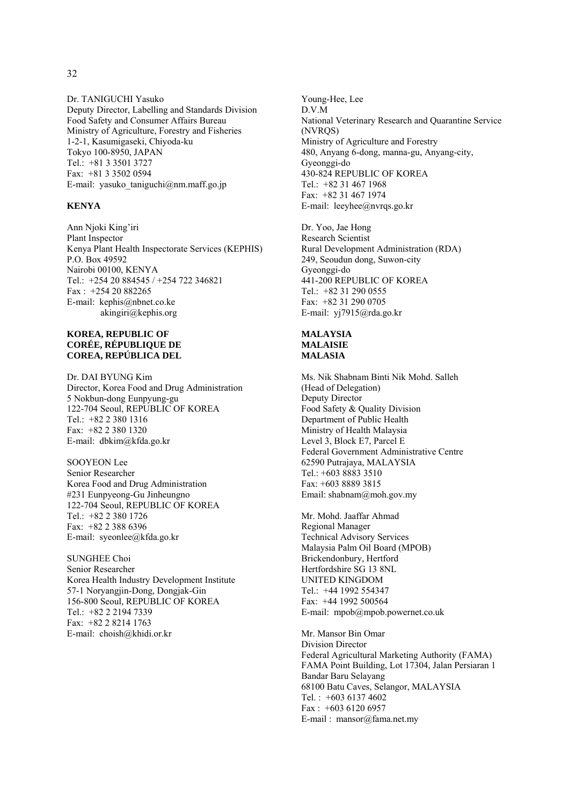Dr. TANIGUCHI Yasuko Deputy Director, Labelling and Standards Division Food Safety and Consumer Affairs Bureau Ministry of Agriculture, Forestry and Fisheries 1-2-1, Kasumigaseki, Chiyoda-ku Tokyo 100-8950, JAPAN Tel.: +81 3 3501 3727 Fax: +81 3 3502 0594 E-mail: yasuko taniguchi@nm.maff.go.jp

#### **KENYA**

Ann Njoki King'iri Plant Inspector Kenya Plant Health Inspectorate Services (KEPHIS) P.O. Box 49592 Nairobi 00100, KENYA Tel.: +254 20 884545 / +254 722 346821 Fax : +254 20 882265 E-mail: kephis@nbnet.co.ke akingiri@kephis.org

#### **KOREA, REPUBLIC OF CORÉE, RÉPUBLIQUE DE COREA, REPÚBLICA DEL**

Dr. DAI BYUNG Kim Director, Korea Food and Drug Administration 5 Nokbun-dong Eunpyung-gu 122-704 Seoul, REPUBLIC OF KOREA Tel.: +82 2 380 1316 Fax: +82 2 380 1320 E-mail: dbkim@kfda.go.kr

SOOYEON Lee Senior Researcher Korea Food and Drug Administration #231 Eunpyeong-Gu Jinheungno 122-704 Seoul, REPUBLIC OF KOREA Tel.: +82 2 380 1726 Fax: +82 2 388 6396 E-mail: syeonlee@kfda.go.kr

SUNGHEE Choi Senior Researcher Korea Health Industry Development Institute 57-1 Noryangjin-Dong, Dongjak-Gin 156-800 Seoul, REPUBLIC OF KOREA Tel.: +82 2 2194 7339 Fax: +82 2 8214 1763 E-mail: choish@khidi.or.kr

Young-Hee, Lee D.V.M National Veterinary Research and Quarantine Service (NVRQS) Ministry of Agriculture and Forestry 480, Anyang 6-dong, manna-gu, Anyang-city, Gyeonggi-do 430-824 REPUBLIC OF KOREA Tel.: +82 31 467 1968 Fax: +82 31 467 1974 E-mail: leeyhee@nvrqs.go.kr

Dr. Yoo, Jae Hong Research Scientist Rural Development Administration (RDA) 249, Seoudun dong, Suwon-city Gyeonggi-do 441-200 REPUBLIC OF KOREA Tel.: +82 31 290 0555 Fax: +82 31 290 0705 E-mail: yj7915@rda.go.kr

#### **MALAYSIA MALAISIE MALASIA**

Ms. Nik Shabnam Binti Nik Mohd. Salleh (Head of Delegation) Deputy Director Food Safety & Quality Division Department of Public Health Ministry of Health Malaysia Level 3, Block E7, Parcel E Federal Government Administrative Centre 62590 Putrajaya, MALAYSIA Tel:  $+60388333510$ Fax: +603 8889 3815 Email: shabnam@moh.gov.my

Mr. Mohd. Jaaffar Ahmad Regional Manager Technical Advisory Services Malaysia Palm Oil Board (MPOB) Brickendonbury, Hertford Hertfordshire SG 13 8NL UNITED KINGDOM Tel.: +44 1992 554347 Fax: +44 1992 500564 E-mail: mpob@mpob.powernet.co.uk

Mr. Mansor Bin Omar Division Director Federal Agricultural Marketing Authority (FAMA) FAMA Point Building, Lot 17304, Jalan Persiaran 1 Bandar Baru Selayang 68100 Batu Caves, Selangor, MALAYSIA Tel. : +603 6137 4602  $Fax + 60361206957$ E-mail : mansor@fama.net.my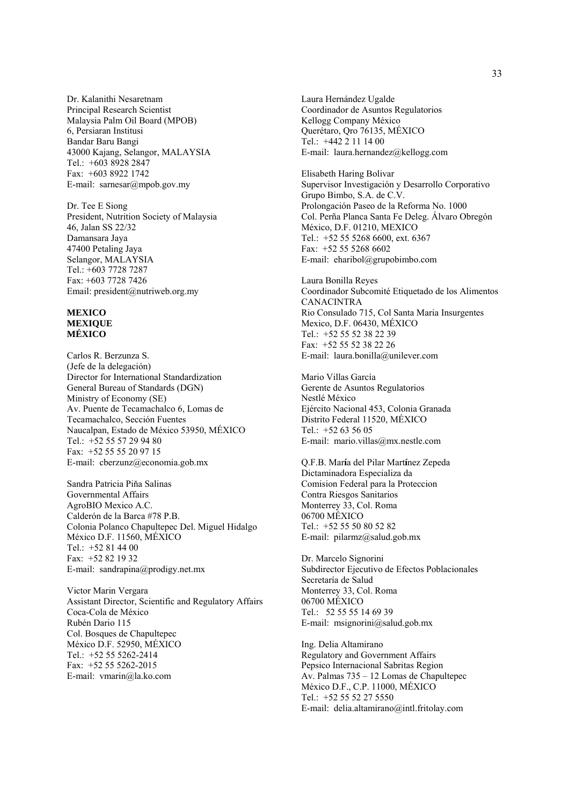Dr. Kalanithi Nesaretnam Principal Research Scientist Malaysia Palm Oil Board (MPOB) 6, Persiaran Institusi Bandar Baru Bangi 43000 Kajang, Selangor, MALAYSIA Tel.: +603 8928 2847 Fax: +603 8922 1742 E-mail: sarnesar@mpob.gov.my

Dr. Tee E Siong President, Nutrition Society of Malaysia 46, Jalan SS 22/32 Damansara Jaya 47400 Petaling Jaya Selangor, MALAYSIA Tel.: +603 7728 7287 Fax: +603 7728 7426 Email: president@nutriweb.org.my

#### **MEXICO MEXIQUE MÉXICO**

Carlos R. Berzunza S. (Jefe de la delegación) Director for International Standardization General Bureau of Standards (DGN) Ministry of Economy (SE) Av. Puente de Tecamachalco 6, Lomas de Tecamachalco, Sección Fuentes Naucalpan, Estado de México 53950, MÉXICO Tel.: +52 55 57 29 94 80 Fax: +52 55 55 20 97 15 E-mail: cberzunz@economia.gob.mx

Sandra Patricia Piňa Salinas Governmental Affairs AgroBIO Mexico A.C. Calderón de la Barca #78 P.B. Colonia Polanco Chapultepec Del. Miguel Hidalgo México D.F. 11560, MÉXICO Tel.: +52 81 44 00 Fax: +52 82 19 32 E-mail: sandrapina@prodigy.net.mx

Victor Marin Vergara Assistant Director, Scientific and Regulatory Affairs Coca-Cola de México Rubén Dario 115 Col. Bosques de Chapultepec México D.F. 52950, MÉXICO Tel.: +52 55 5262-2414 Fax: +52 55 5262-2015 E-mail: vmarin@la.ko.com

Laura Hernández Ugalde Coordinador de Asuntos Regulatorios Kellogg Company México Querétaro, Qro 76135, MÉXICO Tel.: +442 2 11 14 00 E-mail: laura.hernandez@kellogg.com

Elisabeth Haring Bolivar Supervisor Investigación y Desarrollo Corporativo Grupo Bimbo, S.A. de C.V. Prolongación Paseo de la Reforma No. 1000 Col. Perña Planca Santa Fe Deleg. Álvaro Obregón México, D.F. 01210, MEXICO Tel.: +52 55 5268 6600, ext. 6367 Fax: +52 55 5268 6602 E-mail: eharibol@grupobimbo.com

Laura Bonilla Reyes Coordinador Subcomité Etiquetado de los Alimentos CANACINTRA Rio Consulado 715, Col Santa Maria Insurgentes Mexico, D.F. 06430, MÉXICO Tel.: +52 55 52 38 22 39 Fax: +52 55 52 38 22 26 E-mail: laura.bonilla@unilever.com

Mario Villas García Gerente de Asuntos Regulatorios Nestlé México Ejército Nacional 453, Colonia Granada Distrito Federal 11520, MÉXICO Tel.: +52 63 56 05 E-mail: mario.villas@mx.nestle.com

Q.F.B. Mar**í**a del Pilar Mart**í**nez Zepeda Dictaminadora Especializa da Comision Federal para la Proteccion Contra Riesgos Sanitarios Monterrey 33, Col. Roma 06700 MÉXICO Tel.: +52 55 50 80 52 82 E-mail: pilarmz@salud.gob.mx

Dr. Marcelo Signorini Subdirector Ejecutivo de Efectos Poblacionales Secretaría de Salud Monterrey 33, Col. Roma 06700 MÉXICO Tel.: 52 55 55 14 69 39 E-mail: msignorini@salud.gob.mx

Ing. Delia Altamirano Regulatory and Government Affairs Pepsico Internacional Sabritas Region Av. Palmas 735 – 12 Lomas de Chapultepec México D.F., C.P. 11000, MÉXICO Tel.: +52 55 52 27 5550 E-mail: delia.altamirano@intl.fritolay.com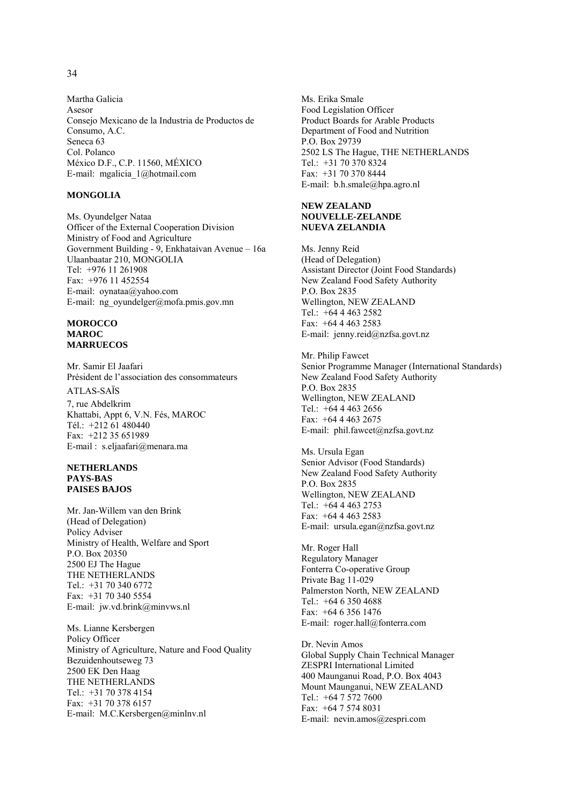#### 34

Martha Galicia Asesor Consejo Mexicano de la Industria de Productos de Consumo, A.C. Seneca 63 Col. Polanco México D.F., C.P. 11560, MÉXICO E-mail: mgalicia\_1@hotmail.com

#### **MONGOLIA**

Ms. Oyundelger Nataa Officer of the External Cooperation Division Ministry of Food and Agriculture Government Building - 9, Enkhataivan Avenue – 16a Ulaanbaatar 210, MONGOLIA Tel: +976 11 261908 Fax: +976 11 452554 E-mail: oynataa@yahoo.com E-mail: ng\_oyundelger@mofa.pmis.gov.mn

#### **MOROCCO MAROC MARRUECOS**

Mr. Samir El Jaafari Président de l'association des consommateurs

ATLAS-SAÏS

7, rue Abdelkrim Khattabi, Appt 6, V.N. Fés, MAROC Tél.: +212 61 480440 Fax: +212 35 651989 E-mail : s.eljaafari@menara.ma

#### **NETHERLANDS PAYS-BAS PAISES BAJOS**

Mr. Jan-Willem van den Brink (Head of Delegation) Policy Adviser Ministry of Health, Welfare and Sport P.O. Box 20350 2500 EJ The Hague THE NETHERLANDS Tel.: +31 70 340 6772 Fax: +31 70 340 5554 E-mail: jw.vd.brink@minvws.nl

Ms. Lianne Kersbergen Policy Officer Ministry of Agriculture, Nature and Food Quality Bezuidenhoutseweg 73 2500 EK Den Haag THE NETHERLANDS Tel.: +31 70 378 4154 Fax: +31 70 378 6157 E-mail: M.C.Kersbergen@minlnv.nl

Ms. Erika Smale Food Legislation Officer Product Boards for Arable Products Department of Food and Nutrition P.O. Box 29739 2502 LS The Hague, THE NETHERLANDS Tel.: +31 70 370 8324 Fax: +31 70 370 8444 E-mail: b.h.smale@hpa.agro.nl

#### **NEW ZEALAND NOUVELLE-ZELANDE NUEVA ZELANDIA**

Ms. Jenny Reid (Head of Delegation) Assistant Director (Joint Food Standards) New Zealand Food Safety Authority P.O. Box 2835 Wellington, NEW ZEALAND Tel.: +64 4 463 2582 Fax: +64 4 463 2583 E-mail: jenny.reid@nzfsa.govt.nz

Mr. Philip Fawcet Senior Programme Manager (International Standards) New Zealand Food Safety Authority P.O. Box 2835 Wellington, NEW ZEALAND Tel.: +64 4 463 2656 Fax: +64 4 463 2675 E-mail: phil.fawcet@nzfsa.govt.nz

Ms. Ursula Egan Senior Advisor (Food Standards) New Zealand Food Safety Authority P.O. Box 2835 Wellington, NEW ZEALAND Tel.: +64 4 463 2753 Fax: +64 4 463 2583 E-mail: ursula.egan@nzfsa.govt.nz

Mr. Roger Hall Regulatory Manager Fonterra Co-operative Group Private Bag 11-029 Palmerston North, NEW ZEALAND Tel.: +64 6 350 4688 Fax: +64 6 356 1476 E-mail: roger.hall@fonterra.com

Dr. Nevin Amos Global Supply Chain Technical Manager ZESPRI International Limited 400 Maunganui Road, P.O. Box 4043 Mount Maunganui, NEW ZEALAND Tel.: +64 7 572 7600  $Fax: +6475748031$ E-mail: nevin.amos@zespri.com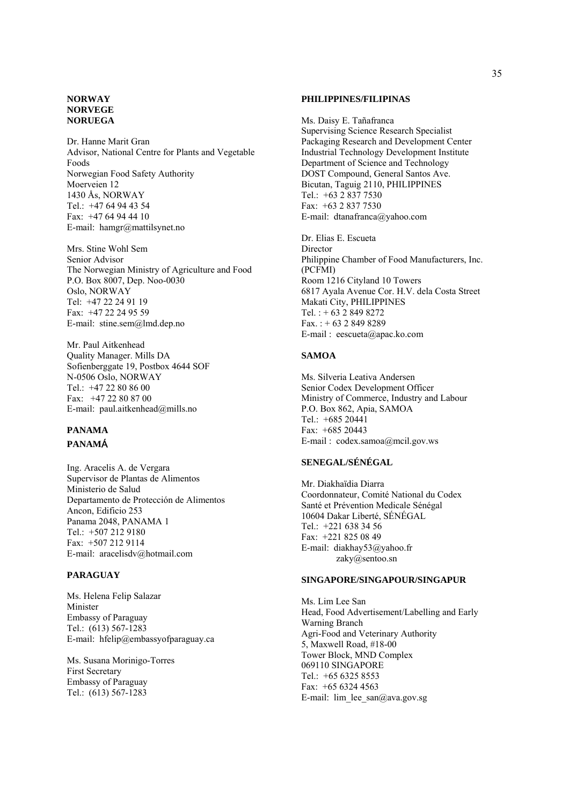#### **NORWAY NORVEGE NORUEGA**

Dr. Hanne Marit Gran Advisor, National Centre for Plants and Vegetable Foods Norwegian Food Safety Authority Moerveien 12 1430 Ås, NORWAY Tel.: +47 64 94 43 54 Fax: +47 64 94 44 10 E-mail: hamgr@mattilsynet.no

Mrs. Stine Wohl Sem Senior Advisor The Norwegian Ministry of Agriculture and Food P.O. Box 8007, Dep. Noo-0030 Oslo, NORWAY Tel: +47 22 24 91 19 Fax: +47 22 24 95 59 E-mail: stine.sem@lmd.dep.no

Mr. Paul Aitkenhead Quality Manager. Mills DA Sofienberggate 19, Postbox 4644 SOF N-0506 Oslo, NORWAY Tel.: +47 22 80 86 00 Fax: +47 22 80 87 00 E-mail: paul.aitkenhead@mills.no

## **PANAMA PANAM**Á

Ing. Aracelis A. de Vergara Supervisor de Plantas de Alimentos Ministerio de Salud Departamento de Protección de Alimentos Ancon, Edificio 253 Panama 2048, PANAMA 1 Tel.: +507 212 9180 Fax: +507 212 9114 E-mail: aracelisdv@hotmail.com

#### **PARAGUAY**

Ms. Helena Felip Salazar Minister Embassy of Paraguay Tel.: (613) 567-1283 E-mail: hfelip@embassyofparaguay.ca

Ms. Susana Morinigo-Torres First Secretary Embassy of Paraguay Tel.: (613) 567-1283

#### **PHILIPPINES/FILIPINAS**

Ms. Daisy E. Tañafranca Supervising Science Research Specialist Packaging Research and Development Center Industrial Technology Development Institute Department of Science and Technology DOST Compound, General Santos Ave. Bicutan, Taguig 2110, PHILIPPINES Tel.: +63 2 837 7530 Fax: +63 2 837 7530 E-mail: dtanafranca@yahoo.com

Dr. Elias E. Escueta **Director** Philippine Chamber of Food Manufacturers, Inc. (PCFMI) Room 1216 Cityland 10 Towers 6817 Ayala Avenue Cor. H.V. dela Costa Street Makati City, PHILIPPINES Tel. : + 63 2 849 8272 Fax. : + 63 2 849 8289 E-mail : eescueta@apac.ko.com

#### **SAMOA**

Ms. Silveria Leativa Andersen Senior Codex Development Officer Ministry of Commerce, Industry and Labour P.O. Box 862, Apia, SAMOA Tel.: +685 20441 Fax: +685 20443 E-mail : codex.samoa@mcil.gov.ws

#### **SENEGAL/SÉNÉGAL**

Mr. Diakhaïdia Diarra Coordonnateur, Comité National du Codex Santé et Prévention Medicale Sénégal 10604 Dakar Liberté, SÉNÉGAL Tel.: +221 638 34 56 Fax: +221 825 08 49 E-mail: diakhay53@yahoo.fr zaky@sentoo.sn

## **SINGAPORE/SINGAPOUR/SINGAPUR**

Ms. Lim Lee San Head, Food Advertisement/Labelling and Early Warning Branch Agri-Food and Veterinary Authority 5, Maxwell Road, #18-00 Tower Block, MND Complex 069110 SINGAPORE Tel.: +65 6325 8553 Fax: +65 6324 4563 E-mail: lim\_lee\_san@ava.gov.sg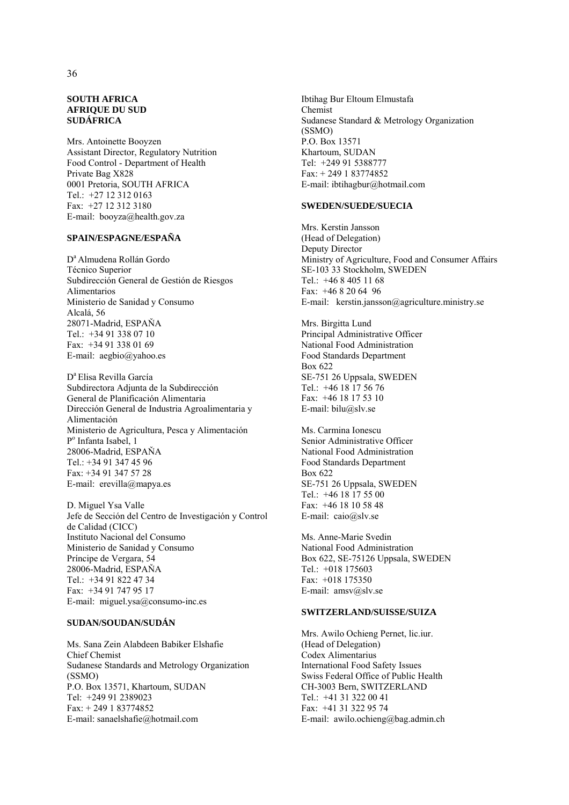#### **SOUTH AFRICA AFRIQUE DU SUD SUDÁFRICA**

Mrs. Antoinette Booyzen Assistant Director, Regulatory Nutrition Food Control - Department of Health Private Bag X828 0001 Pretoria, SOUTH AFRICA Tel.: +27 12 312 0163 Fax: +27 12 312 3180 E-mail: booyza@health.gov.za

## **SPAIN/ESPAGNE/ESPAÑA**

D<sup>a</sup> Almudena Rollán Gordo Técnico Superior Subdirección General de Gestión de Riesgos Alimentarios Ministerio de Sanidad y Consumo Alcalá, 56 28071-Madrid, ESPAŇA Tel.: +34 91 338 07 10 Fax: +34 91 338 01 69 E-mail: aegbio@yahoo.es

D<sup>a</sup> Elisa Revilla García Subdirectora Adjunta de la Subdirección General de Planificación Alimentaria Dirección General de Industria Agroalimentaria y Alimentación Ministerio de Agricultura, Pesca y Alimentación Po Infanta Isabel, 1 28006-Madrid, ESPAŇA Tel.: +34 91 347 45 96 Fax: +34 91 347 57 28 E-mail: erevilla@mapya.es

D. Miguel Ysa Valle Jefe de Sección del Centro de Investigación y Control de Calidad (CICC) Instituto Nacional del Consumo Ministerio de Sanidad y Consumo Príncipe de Vergara, 54 28006-Madrid, ESPAŇA Tel.: +34 91 822 47 34 Fax: +34 91 747 95 17 E-mail: miguel.ysa@consumo-inc.es

#### **SUDAN/SOUDAN/SUDÁN**

Ms. Sana Zein Alabdeen Babiker Elshafie Chief Chemist Sudanese Standards and Metrology Organization (SSMO) P.O. Box 13571, Khartoum, SUDAN Tel: +249 91 2389023 Fax: + 249 1 83774852 E-mail: sanaelshafie@hotmail.com

Ibtihag Bur Eltoum Elmustafa Chemist Sudanese Standard & Metrology Organization (SSMO) P.O. Box 13571 Khartoum, SUDAN Tel: +249 91 5388777 Fax: + 249 1 83774852 E-mail: ibtihagbur@hotmail.com

#### **SWEDEN/SUEDE/SUECIA**

Mrs. Kerstin Jansson (Head of Delegation) Deputy Director Ministry of Agriculture, Food and Consumer Affairs SE-103 33 Stockholm, SWEDEN Tel.: +46 8 405 11 68 Fax: +46 8 20 64 96 E-mail: kerstin.jansson@agriculture.ministry.se

Mrs. Birgitta Lund Principal Administrative Officer National Food Administration Food Standards Department Box 622 SE-751 26 Uppsala, SWEDEN Tel.: +46 18 17 56 76 Fax: +46 18 17 53 10 E-mail: bilu@slv.se

Ms. Carmina Ionescu Senior Administrative Officer National Food Administration Food Standards Department Box 622 SE-751 26 Uppsala, SWEDEN Tel.:  $+46$  18 17 55 00 Fax: +46 18 10 58 48 E-mail: caio@slv.se

Ms. Anne-Marie Svedin National Food Administration Box 622, SE-75126 Uppsala, SWEDEN Tel.: +018 175603 Fax: +018 175350 E-mail: amsv@slv.se

#### **SWITZERLAND/SUISSE/SUIZA**

Mrs. Awilo Ochieng Pernet, lic.iur. (Head of Delegation) Codex Alimentarius International Food Safety Issues Swiss Federal Office of Public Health CH-3003 Bern, SWITZERLAND Tel.: +41 31 322 00 41 Fax: +41 31 322 95 74 E-mail: awilo.ochieng@bag.admin.ch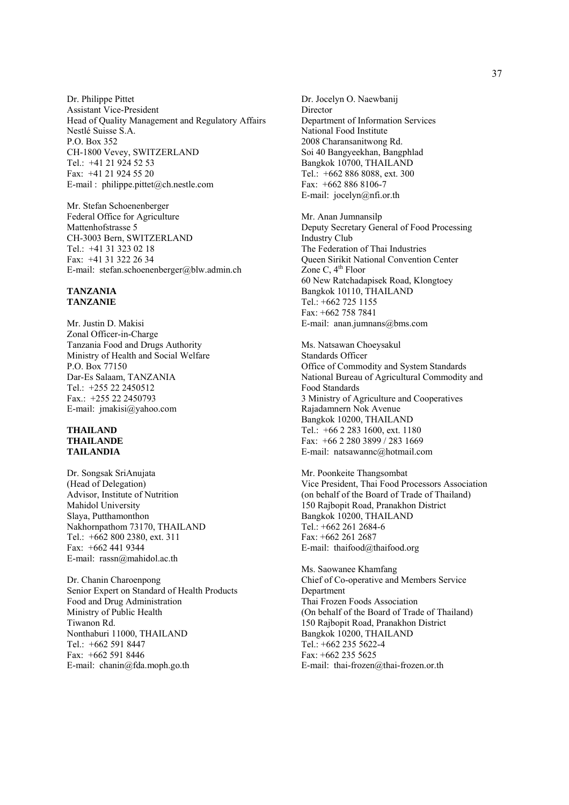Dr. Philippe Pittet Assistant Vice-President Head of Quality Management and Regulatory Affairs Nestlé Suisse S.A. P.O. Box 352 CH-1800 Vevey, SWITZERLAND Tel.: +41 21 924 52 53 Fax: +41 21 924 55 20 E-mail : philippe.pittet@ch.nestle.com

Mr. Stefan Schoenenberger Federal Office for Agriculture Mattenhofstrasse 5 CH-3003 Bern, SWITZERLAND Tel.: +41 31 323 02 18 Fax: +41 31 322 26 34 E-mail: stefan.schoenenberger@blw.admin.ch

#### **TANZANIA TANZANIE**

Mr. Justin D. Makisi Zonal Officer-in-Charge Tanzania Food and Drugs Authority Ministry of Health and Social Welfare P.O. Box 77150 Dar-Es Salaam, TANZANIA Tel.: +255 22 2450512 Fax.: +255 22 2450793 E-mail: jmakisi@yahoo.com

#### **THAILAND THAILANDE TAILANDIA**

Dr. Songsak SriAnujata (Head of Delegation) Advisor, Institute of Nutrition Mahidol University Slaya, Putthamonthon Nakhornpathom 73170, THAILAND Tel.: +662 800 2380, ext. 311 Fax: +662 441 9344 E-mail: rassn@mahidol.ac.th

Dr. Chanin Charoenpong Senior Expert on Standard of Health Products Food and Drug Administration Ministry of Public Health Tiwanon Rd. Nonthaburi 11000, THAILAND Tel.: +662 591 8447 Fax: +662 591 8446 E-mail: chanin@fda.moph.go.th

Dr. Jocelyn O. Naewbanij Director Department of Information Services National Food Institute 2008 Charansanitwong Rd. Soi 40 Bangyeekhan, Bangphlad Bangkok 10700, THAILAND Tel.: +662 886 8088, ext. 300 Fax: +662 886 8106-7 E-mail: jocelyn@nfi.or.th

Mr. Anan Jumnansilp Deputy Secretary General of Food Processing Industry Club The Federation of Thai Industries Queen Sirikit National Convention Center Zone C,  $4<sup>th</sup>$  Floor 60 New Ratchadapisek Road, Klongtoey Bangkok 10110, THAILAND Tel.: +662 725 1155 Fax: +662 758 7841 E-mail: anan.jumnans@bms.com

Ms. Natsawan Choeysakul Standards Officer Office of Commodity and System Standards National Bureau of Agricultural Commodity and Food Standards 3 Ministry of Agriculture and Cooperatives Rajadamnern Nok Avenue Bangkok 10200, THAILAND Tel.: +66 2 283 1600, ext. 1180 Fax: +66 2 280 3899 / 283 1669 E-mail: natsawannc@hotmail.com

Mr. Poonkeite Thangsombat Vice President, Thai Food Processors Association (on behalf of the Board of Trade of Thailand) 150 Rajbopit Road, Pranakhon District Bangkok 10200, THAILAND Tel.: +662 261 2684-6 Fax: +662 261 2687 E-mail: thaifood@thaifood.org

Ms. Saowanee Khamfang Chief of Co-operative and Members Service Department Thai Frozen Foods Association (On behalf of the Board of Trade of Thailand) 150 Rajbopit Road, Pranakhon District Bangkok 10200, THAILAND Tel.: +662 235 5622-4 Fax: +662 235 5625 E-mail: thai-frozen@thai-frozen.or.th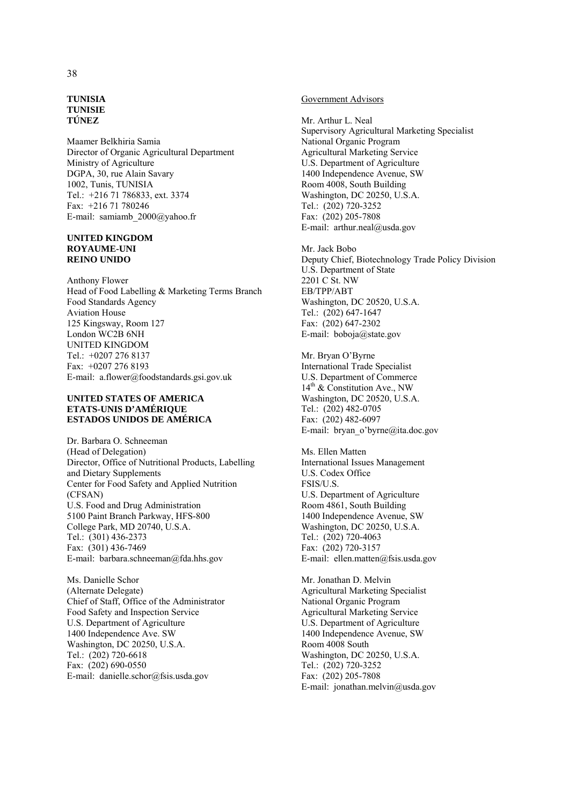#### **TUNISIA TUNISIE TÚNEZ**

Maamer Belkhiria Samia Director of Organic Agricultural Department Ministry of Agriculture DGPA, 30, rue Alain Savary 1002, Tunis, TUNISIA Tel.: +216 71 786833, ext. 3374 Fax: +216 71 780246 E-mail: samiamb\_2000@yahoo.fr

#### **UNITED KINGDOM ROYAUME-UNI REINO UNIDO**

Anthony Flower Head of Food Labelling & Marketing Terms Branch Food Standards Agency Aviation House 125 Kingsway, Room 127 London WC2B 6NH UNITED KINGDOM Tel.: +0207 276 8137 Fax: +0207 276 8193 E-mail: a.flower@foodstandards.gsi.gov.uk

#### **UNITED STATES OF AMERICA ETATS-UNIS D'AMÉRIQUE ESTADOS UNIDOS DE AMÉRICA**

Dr. Barbara O. Schneeman (Head of Delegation) Director, Office of Nutritional Products, Labelling and Dietary Supplements Center for Food Safety and Applied Nutrition (CFSAN) U.S. Food and Drug Administration 5100 Paint Branch Parkway, HFS-800 College Park, MD 20740, U.S.A. Tel.: (301) 436-2373 Fax: (301) 436-7469 E-mail: barbara.schneeman@fda.hhs.gov

Ms. Danielle Schor (Alternate Delegate) Chief of Staff, Office of the Administrator Food Safety and Inspection Service U.S. Department of Agriculture 1400 Independence Ave. SW Washington, DC 20250, U.S.A. Tel.: (202) 720-6618 Fax: (202) 690-0550 E-mail: danielle.schor@fsis.usda.gov

#### Government Advisors

Mr. Arthur L. Neal Supervisory Agricultural Marketing Specialist National Organic Program Agricultural Marketing Service U.S. Department of Agriculture 1400 Independence Avenue, SW Room 4008, South Building Washington, DC 20250, U.S.A. Tel.: (202) 720-3252 Fax: (202) 205-7808 E-mail: arthur.neal@usda.gov

Mr. Jack Bobo Deputy Chief, Biotechnology Trade Policy Division U.S. Department of State 2201 C St. NW EB/TPP/ABT Washington, DC 20520, U.S.A. Tel.: (202) 647-1647 Fax: (202) 647-2302 E-mail: boboja@state.gov

Mr. Bryan O'Byrne International Trade Specialist U.S. Department of Commerce  $14<sup>th</sup>$  & Constitution Ave., NW Washington, DC 20520, U.S.A. Tel.: (202) 482-0705 Fax: (202) 482-6097 E-mail: bryan\_o'byrne@ita.doc.gov

Ms. Ellen Matten International Issues Management U.S. Codex Office FSIS/U.S. U.S. Department of Agriculture Room 4861, South Building 1400 Independence Avenue, SW Washington, DC 20250, U.S.A. Tel.: (202) 720-4063 Fax: (202) 720-3157 E-mail: ellen.matten@fsis.usda.gov

Mr. Jonathan D. Melvin Agricultural Marketing Specialist National Organic Program Agricultural Marketing Service U.S. Department of Agriculture 1400 Independence Avenue, SW Room 4008 South Washington, DC 20250, U.S.A. Tel.: (202) 720-3252 Fax: (202) 205-7808 E-mail: jonathan.melvin@usda.gov

38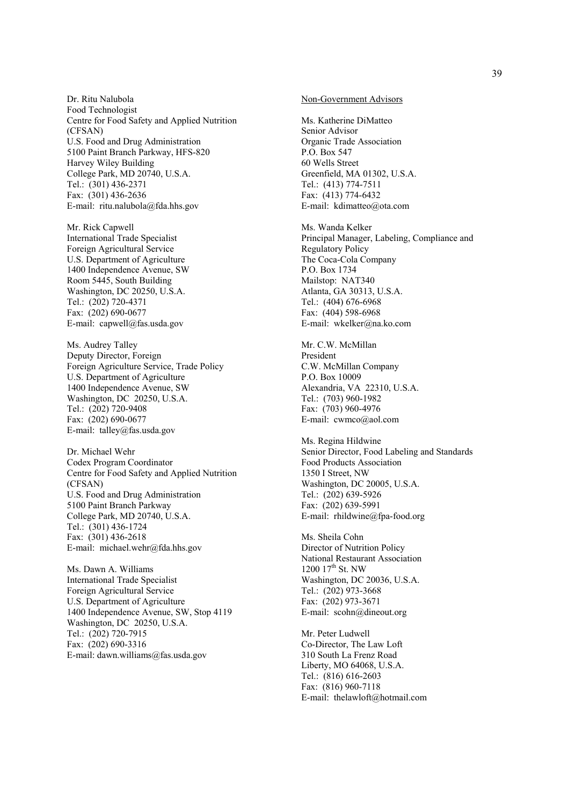Dr. Ritu Nalubola Food Technologist Centre for Food Safety and Applied Nutrition (CFSAN) U.S. Food and Drug Administration 5100 Paint Branch Parkway, HFS-820 Harvey Wiley Building College Park, MD 20740, U.S.A. Tel.: (301) 436-2371 Fax: (301) 436-2636 E-mail: ritu.nalubola@fda.hhs.gov

Mr. Rick Capwell International Trade Specialist Foreign Agricultural Service U.S. Department of Agriculture 1400 Independence Avenue, SW Room 5445, South Building Washington, DC 20250, U.S.A. Tel.: (202) 720-4371 Fax: (202) 690-0677 E-mail: capwell@fas.usda.gov

Ms. Audrey Talley Deputy Director, Foreign Foreign Agriculture Service, Trade Policy U.S. Department of Agriculture 1400 Independence Avenue, SW Washington, DC 20250, U.S.A. Tel.: (202) 720-9408 Fax: (202) 690-0677 E-mail: talley@fas.usda.gov

Dr. Michael Wehr Codex Program Coordinator Centre for Food Safety and Applied Nutrition (CFSAN) U.S. Food and Drug Administration 5100 Paint Branch Parkway College Park, MD 20740, U.S.A. Tel.: (301) 436-1724 Fax: (301) 436-2618 E-mail: michael.wehr@fda.hhs.gov

Ms. Dawn A. Williams International Trade Specialist Foreign Agricultural Service U.S. Department of Agriculture 1400 Independence Avenue, SW, Stop 4119 Washington, DC 20250, U.S.A. Tel.: (202) 720-7915 Fax: (202) 690-3316 E-mail: dawn.williams@fas.usda.gov

#### Non-Government Advisors

Ms. Katherine DiMatteo Senior Advisor Organic Trade Association P.O. Box 547 60 Wells Street Greenfield, MA 01302, U.S.A. Tel.: (413) 774-7511 Fax: (413) 774-6432 E-mail: kdimatteo@ota.com

Ms. Wanda Kelker Principal Manager, Labeling, Compliance and Regulatory Policy The Coca-Cola Company P.O. Box 1734 Mailstop: NAT340 Atlanta, GA 30313, U.S.A. Tel.: (404) 676-6968 Fax: (404) 598-6968 E-mail: wkelker@na.ko.com

Mr. C.W. McMillan President C.W. McMillan Company P.O. Box 10009 Alexandria, VA 22310, U.S.A. Tel.: (703) 960-1982 Fax: (703) 960-4976 E-mail: cwmco@aol.com

Ms. Regina Hildwine Senior Director, Food Labeling and Standards Food Products Association 1350 I Street, NW Washington, DC 20005, U.S.A. Tel.: (202) 639-5926 Fax: (202) 639-5991 E-mail: rhildwine@fpa-food.org

Ms. Sheila Cohn Director of Nutrition Policy National Restaurant Association 1200 17<sup>th</sup> St. NW Washington, DC 20036, U.S.A. Tel.: (202) 973-3668 Fax: (202) 973-3671 E-mail: scohn@dineout.org

Mr. Peter Ludwell Co-Director, The Law Loft 310 South La Frenz Road Liberty, MO 64068, U.S.A. Tel.: (816) 616-2603 Fax: (816) 960-7118 E-mail: thelawloft@hotmail.com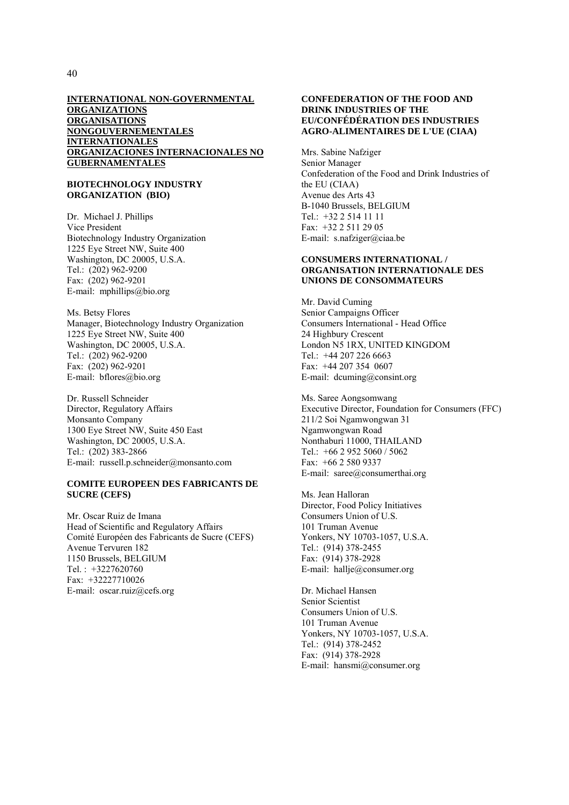#### **INTERNATIONAL NON-GOVERNMENTAL ORGANIZATIONS ORGANISATIONS NONGOUVERNEMENTALES INTERNATIONALES ORGANIZACIONES INTERNACIONALES NO GUBERNAMENTALES**

#### **BIOTECHNOLOGY INDUSTRY ORGANIZATION (BIO)**

Dr. Michael J. Phillips Vice President Biotechnology Industry Organization 1225 Eye Street NW, Suite 400 Washington, DC 20005, U.S.A. Tel.: (202) 962-9200 Fax: (202) 962-9201 E-mail: mphillips@bio.org

Ms. Betsy Flores Manager, Biotechnology Industry Organization 1225 Eye Street NW, Suite 400 Washington, DC 20005, U.S.A. Tel.: (202) 962-9200 Fax: (202) 962-9201 E-mail: bflores@bio.org

Dr. Russell Schneider Director, Regulatory Affairs Monsanto Company 1300 Eye Street NW, Suite 450 East Washington, DC 20005, U.S.A. Tel.: (202) 383-2866 E-mail: russell.p.schneider@monsanto.com

#### **COMITE EUROPEEN DES FABRICANTS DE SUCRE (CEFS)**

Mr. Oscar Ruiz de Imana Head of Scientific and Regulatory Affairs Comité Européen des Fabricants de Sucre (CEFS) Avenue Tervuren 182 1150 Brussels, BELGIUM Tel. : +3227620760 Fax: +32227710026 E-mail: oscar.ruiz@cefs.org

#### **CONFEDERATION OF THE FOOD AND DRINK INDUSTRIES OF THE EU/CONFÉDÉRATION DES INDUSTRIES AGRO-ALIMENTAIRES DE L'UE (CIAA)**

Mrs. Sabine Nafziger Senior Manager Confederation of the Food and Drink Industries of the EU (CIAA) Avenue des Arts 43 B-1040 Brussels, BELGIUM Tel.: +32 2 514 11 11 Fax: +32 2 511 29 05 E-mail: s.nafziger@ciaa.be

#### **CONSUMERS INTERNATIONAL / ORGANISATION INTERNATIONALE DES UNIONS DE CONSOMMATEURS**

Mr. David Cuming Senior Campaigns Officer Consumers International - Head Office 24 Highbury Crescent London N5 1RX, UNITED KINGDOM Tel.: +44 207 226 6663 Fax: +44 207 354 0607 E-mail: dcuming@consint.org

Ms. Saree Aongsomwang Executive Director, Foundation for Consumers (FFC) 211/2 Soi Ngamwongwan 31 Ngamwongwan Road Nonthaburi 11000, THAILAND Tel.: +66 2 952 5060 / 5062 Fax: +66 2 580 9337 E-mail: saree@consumerthai.org

Ms. Jean Halloran Director, Food Policy Initiatives Consumers Union of U.S. 101 Truman Avenue Yonkers, NY 10703-1057, U.S.A. Tel.: (914) 378-2455 Fax: (914) 378-2928 E-mail: hallje@consumer.org

Dr. Michael Hansen Senior Scientist Consumers Union of U.S. 101 Truman Avenue Yonkers, NY 10703-1057, U.S.A. Tel.: (914) 378-2452 Fax: (914) 378-2928 E-mail: hansmi@consumer.org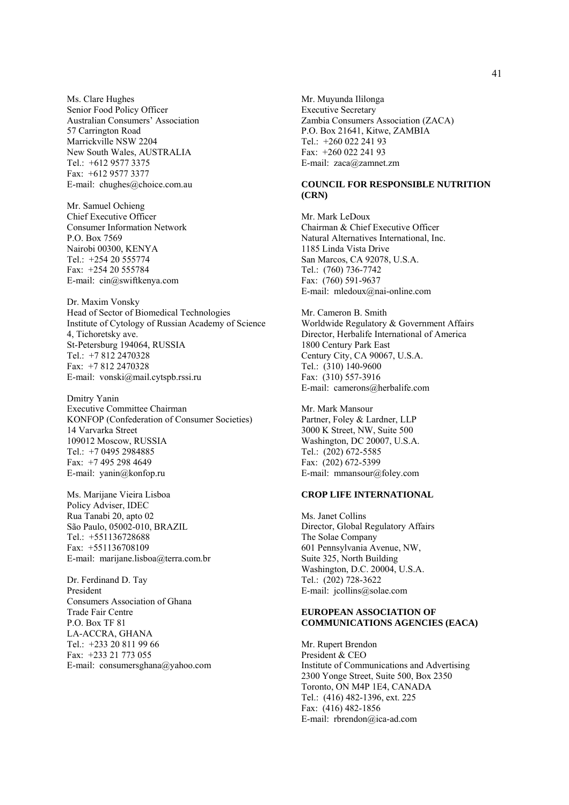Ms. Clare Hughes Senior Food Policy Officer Australian Consumers' Association 57 Carrington Road Marrickville NSW 2204 New South Wales, AUSTRALIA Tel.: +612 9577 3375 Fax: +612 9577 3377 E-mail: chughes@choice.com.au

Mr. Samuel Ochieng Chief Executive Officer Consumer Information Network P.O. Box 7569 Nairobi 00300, KENYA Tel.: +254 20 555774 Fax: +254 20 555784 E-mail: cin@swiftkenya.com

Dr. Maxim Vonsky Head of Sector of Biomedical Technologies Institute of Cytology of Russian Academy of Science 4, Tichoretsky ave. St-Petersburg 194064, RUSSIA Tel.: +7 812 2470328 Fax: +7 812 2470328 E-mail: vonski@mail.cytspb.rssi.ru

Dmitry Yanin Executive Committee Chairman KONFOP (Confederation of Consumer Societies) 14 Varvarka Street 109012 Moscow, RUSSIA Tel.: +7 0495 2984885 Fax: +7 495 298 4649 E-mail: yanin@konfop.ru

Ms. Marijane Vieira Lisboa Policy Adviser, IDEC Rua Tanabi 20, apto 02 São Paulo, 05002-010, BRAZIL Tel.: +551136728688 Fax: +551136708109 E-mail: marijane.lisboa@terra.com.br

Dr. Ferdinand D. Tay President Consumers Association of Ghana Trade Fair Centre P.O. Box TF 81 LA-ACCRA, GHANA Tel.: +233 20 811 99 66 Fax: +233 21 773 055 E-mail: consumersghana@yahoo.com Mr. Muyunda Ililonga Executive Secretary Zambia Consumers Association (ZACA) P.O. Box 21641, Kitwe, ZAMBIA Tel.: +260 022 241 93 Fax: +260 022 241 93 E-mail: zaca@zamnet.zm

#### **COUNCIL FOR RESPONSIBLE NUTRITION (CRN)**

Mr. Mark LeDoux Chairman & Chief Executive Officer Natural Alternatives International, Inc. 1185 Linda Vista Drive San Marcos, CA 92078, U.S.A. Tel.: (760) 736-7742 Fax: (760) 591-9637 E-mail: mledoux@nai-online.com

Mr. Cameron B. Smith Worldwide Regulatory & Government Affairs Director, Herbalife International of America 1800 Century Park East Century City, CA 90067, U.S.A. Tel.: (310) 140-9600 Fax: (310) 557-3916 E-mail: camerons@herbalife.com

Mr. Mark Mansour Partner, Foley & Lardner, LLP 3000 K Street, NW, Suite 500 Washington, DC 20007, U.S.A. Tel.: (202) 672-5585 Fax: (202) 672-5399 E-mail: mmansour@foley.com

#### **CROP LIFE INTERNATIONAL**

Ms. Janet Collins Director, Global Regulatory Affairs The Solae Company 601 Pennsylvania Avenue, NW, Suite 325, North Building Washington, D.C. 20004, U.S.A. Tel.: (202) 728-3622 E-mail: jcollins@solae.com

#### **EUROPEAN ASSOCIATION OF COMMUNICATIONS AGENCIES (EACA)**

Mr. Rupert Brendon President & CEO Institute of Communications and Advertising 2300 Yonge Street, Suite 500, Box 2350 Toronto, ON M4P 1E4, CANADA Tel.: (416) 482-1396, ext. 225 Fax: (416) 482-1856 E-mail: rbrendon@ica-ad.com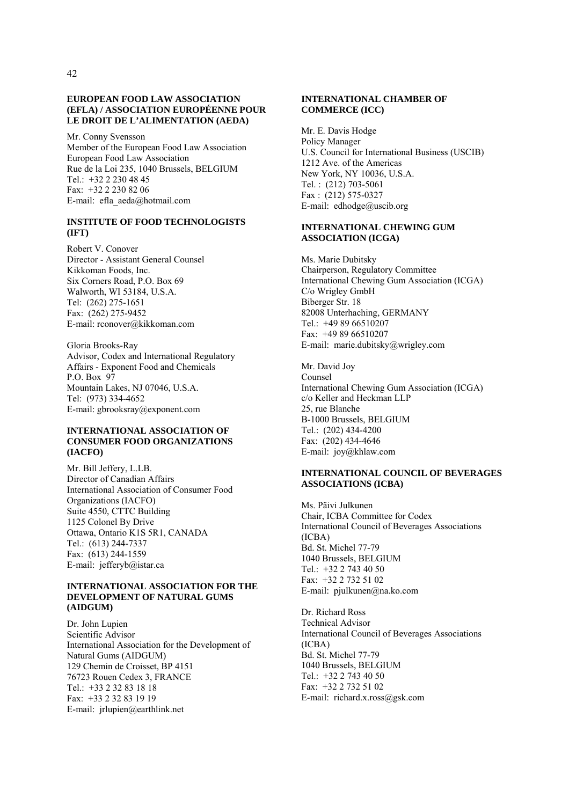#### **EUROPEAN FOOD LAW ASSOCIATION (EFLA) / ASSOCIATION EUROPÉENNE POUR LE DROIT DE L'ALIMENTATION (AEDA)**

Mr. Conny Svensson Member of the European Food Law Association European Food Law Association Rue de la Loi 235, 1040 Brussels, BELGIUM Tel.: +32 2 230 48 45 Fax: +32 2 230 82 06 E-mail: efla\_aeda@hotmail.com

#### **INSTITUTE OF FOOD TECHNOLOGISTS (IFT)**

Robert V. Conover Director - Assistant General Counsel Kikkoman Foods, Inc. Six Corners Road, P.O. Box 69 Walworth, WI 53184, U.S.A. Tel: (262) 275-1651 Fax: (262) 275-9452 E-mail: rconover@kikkoman.com

Gloria Brooks-Ray Advisor, Codex and International Regulatory Affairs - Exponent Food and Chemicals P.O. Box 97 Mountain Lakes, NJ 07046, U.S.A. Tel: (973) 334-4652 E-mail: gbrooksray@exponent.com

#### **INTERNATIONAL ASSOCIATION OF CONSUMER FOOD ORGANIZATIONS (IACFO)**

Mr. Bill Jeffery, L.LB. Director of Canadian Affairs International Association of Consumer Food Organizations (IACFO) Suite 4550, CTTC Building 1125 Colonel By Drive Ottawa, Ontario K1S 5R1, CANADA Tel.: (613) 244-7337 Fax: (613) 244-1559 E-mail: jefferyb@istar.ca

#### **INTERNATIONAL ASSOCIATION FOR THE DEVELOPMENT OF NATURAL GUMS (AIDGUM)**

Dr. John Lupien Scientific Advisor International Association for the Development of Natural Gums (AIDGUM) 129 Chemin de Croisset, BP 4151 76723 Rouen Cedex 3, FRANCE Tel.: +33 2 32 83 18 18 Fax: +33 2 32 83 19 19 E-mail: jrlupien@earthlink.net

#### **INTERNATIONAL CHAMBER OF COMMERCE (ICC)**

Mr. E. Davis Hodge Policy Manager U.S. Council for International Business (USCIB) 1212 Ave. of the Americas New York, NY 10036, U.S.A. Tel. : (212) 703-5061 Fax : (212) 575-0327 E-mail: edhodge@uscib.org

#### **INTERNATIONAL CHEWING GUM ASSOCIATION (ICGA)**

Ms. Marie Dubitsky Chairperson, Regulatory Committee International Chewing Gum Association (ICGA) C/o Wrigley GmbH Biberger Str. 18 82008 Unterhaching, GERMANY Tel.: +49 89 66510207 Fax: +49 89 66510207 E-mail: marie.dubitsky@wrigley.com

Mr. David Joy Counsel International Chewing Gum Association (ICGA) c/o Keller and Heckman LLP 25, rue Blanche B-1000 Brussels, BELGIUM Tel.: (202) 434-4200 Fax: (202) 434-4646 E-mail: joy@khlaw.com

#### **INTERNATIONAL COUNCIL OF BEVERAGES ASSOCIATIONS (ICBA)**

Ms. Päivi Julkunen Chair, ICBA Committee for Codex International Council of Beverages Associations (ICBA) Bd. St. Michel 77-79 1040 Brussels, BELGIUM Tel.: +32 2 743 40 50 Fax: +32 2 732 51 02 E-mail: pjulkunen@na.ko.com

Dr. Richard Ross Technical Advisor International Council of Beverages Associations (ICBA) Bd. St. Michel 77-79 1040 Brussels, BELGIUM Tel.: +32 2 743 40 50 Fax: +32 2 732 51 02 E-mail: richard.x.ross@gsk.com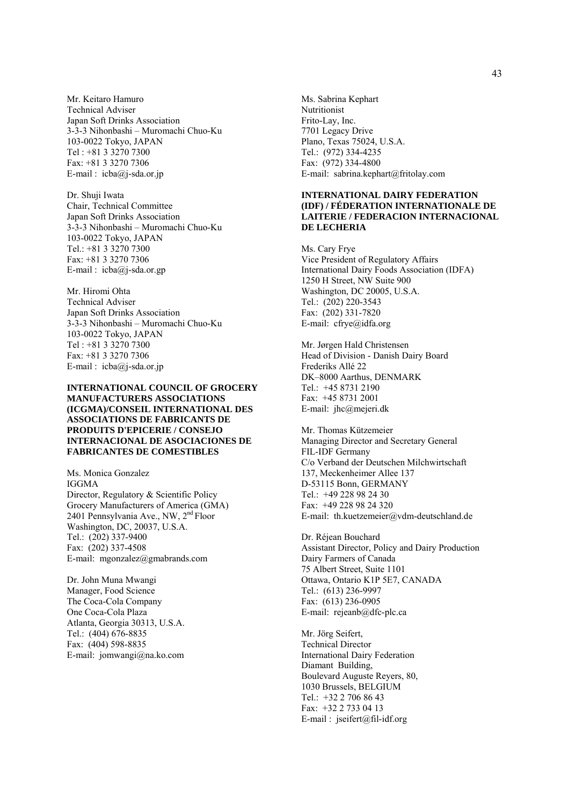Mr. Keitaro Hamuro Technical Adviser Japan Soft Drinks Association 3-3-3 Nihonbashi – Muromachi Chuo-Ku 103-0022 Tokyo, JAPAN Tel : +81 3 3270 7300 Fax: +81 3 3270 7306 E-mail :  $icba@i-sda.$ or.jp

Dr. Shuji Iwata Chair, Technical Committee Japan Soft Drinks Association 3-3-3 Nihonbashi – Muromachi Chuo-Ku 103-0022 Tokyo, JAPAN Tel.: +81 3 3270 7300 Fax: +81 3 3270 7306 E-mail : icba@j-sda.or.gp

Mr. Hiromi Ohta Technical Adviser Japan Soft Drinks Association 3-3-3 Nihonbashi – Muromachi Chuo-Ku 103-0022 Tokyo, JAPAN Tel : +81 3 3270 7300 Fax: +81 3 3270 7306 E-mail :  $icba@j-sda.$ or.jp

**INTERNATIONAL COUNCIL OF GROCERY MANUFACTURERS ASSOCIATIONS (ICGMA)/CONSEIL INTERNATIONAL DES ASSOCIATIONS DE FABRICANTS DE PRODUITS D'EPICERIE / CONSEJO INTERNACIONAL DE ASOCIACIONES DE FABRICANTES DE COMESTIBLES** 

Ms. Monica Gonzalez IGGMA Director, Regulatory & Scientific Policy Grocery Manufacturers of America (GMA) 2401 Pennsylvania Ave., NW, 2<sup>nd</sup> Floor Washington, DC, 20037, U.S.A. Tel.: (202) 337-9400 Fax: (202) 337-4508 E-mail: mgonzalez@gmabrands.com

Dr. John Muna Mwangi Manager, Food Science The Coca-Cola Company One Coca-Cola Plaza Atlanta, Georgia 30313, U.S.A. Tel.: (404) 676-8835 Fax: (404) 598-8835 E-mail: jomwangi@na.ko.com Ms. Sabrina Kephart Nutritionist Frito-Lay, Inc. 7701 Legacy Drive Plano, Texas 75024, U.S.A. Tel.: (972) 334-4235 Fax: (972) 334-4800 E-mail: sabrina.kephart@fritolay.com

#### **INTERNATIONAL DAIRY FEDERATION (IDF) / FÉDERATION INTERNATIONALE DE LAITERIE / FEDERACION INTERNACIONAL DE LECHERIA**

Ms. Cary Frye Vice President of Regulatory Affairs International Dairy Foods Association (IDFA) 1250 H Street, NW Suite 900 Washington, DC 20005, U.S.A. Tel.: (202) 220-3543 Fax: (202) 331-7820 E-mail: cfrye@idfa.org

Mr. Jørgen Hald Christensen Head of Division - Danish Dairy Board Frederiks Allé 22 DK–8000 Aarthus, DENMARK Tel.: +45 8731 2190 Fax: +45 8731 2001 E-mail: jhc@mejeri.dk

Mr. Thomas Kützemeier Managing Director and Secretary General FIL-IDF Germany C/o Verband der Deutschen Milchwirtschaft 137, Meckenheimer Allee 137 D-53115 Bonn, GERMANY Tel.: +49 228 98 24 30 Fax: +49 228 98 24 320 E-mail: th.kuetzemeier@vdm-deutschland.de

Dr. Réjean Bouchard Assistant Director, Policy and Dairy Production Dairy Farmers of Canada 75 Albert Street, Suite 1101 Ottawa, Ontario K1P 5E7, CANADA Tel.: (613) 236-9997 Fax: (613) 236-0905 E-mail: rejeanb@dfc-plc.ca

Mr. Jörg Seifert, Technical Director International Dairy Federation Diamant Building, Boulevard Auguste Reyers, 80, 1030 Brussels, BELGIUM Tel.: +32 2 706 86 43 Fax: +32 2 733 04 13 E-mail : jseifert@fil-idf.org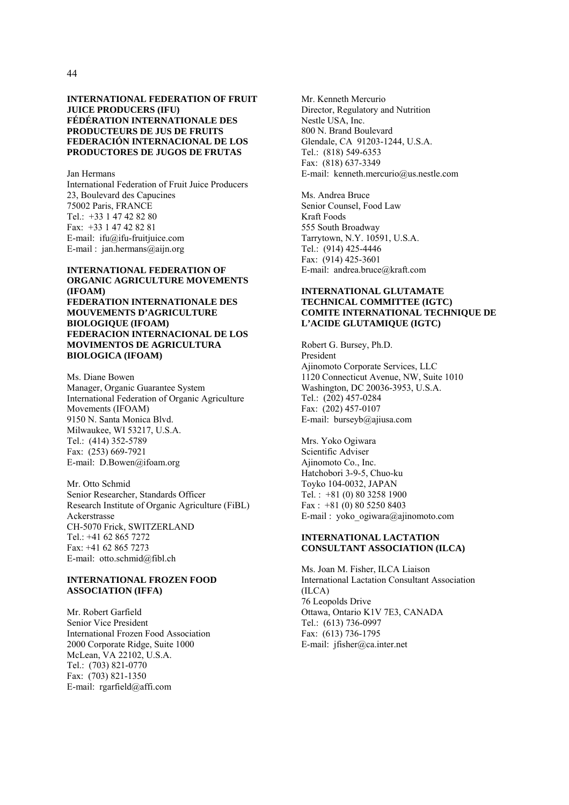#### **INTERNATIONAL FEDERATION OF FRUIT JUICE PRODUCERS (IFU) FÉDÉRATION INTERNATIONALE DES PRODUCTEURS DE JUS DE FRUITS FEDERACIÓN INTERNACIONAL DE LOS PRODUCTORES DE JUGOS DE FRUTAS**

Jan Hermans

International Federation of Fruit Juice Producers 23, Boulevard des Capucines 75002 Paris, FRANCE Tel.: +33 1 47 42 82 80 Fax: +33 1 47 42 82 81 E-mail: ifu@ifu-fruitjuice.com E-mail : jan.hermans@aijn.org

#### **INTERNATIONAL FEDERATION OF ORGANIC AGRICULTURE MOVEMENTS (IFOAM) FEDERATION INTERNATIONALE DES MOUVEMENTS D'AGRICULTURE BIOLOGIQUE (IFOAM) FEDERACION INTERNACIONAL DE LOS MOVIMENTOS DE AGRICULTURA BIOLOGICA (IFOAM)**

Ms. Diane Bowen Manager, Organic Guarantee System International Federation of Organic Agriculture Movements (IFOAM) 9150 N. Santa Monica Blvd. Milwaukee, WI 53217, U.S.A. Tel.: (414) 352-5789 Fax: (253) 669-7921 E-mail: D.Bowen@ifoam.org

Mr. Otto Schmid Senior Researcher, Standards Officer Research Institute of Organic Agriculture (FiBL) Ackerstrasse CH-5070 Frick, SWITZERLAND Tel.: +41 62 865 7272 Fax: +41 62 865 7273 E-mail: otto.schmid@fibl.ch

#### **INTERNATIONAL FROZEN FOOD ASSOCIATION (IFFA)**

Mr. Robert Garfield Senior Vice President International Frozen Food Association 2000 Corporate Ridge, Suite 1000 McLean, VA 22102, U.S.A. Tel.: (703) 821-0770 Fax: (703) 821-1350 E-mail: rgarfield@affi.com

Mr. Kenneth Mercurio Director, Regulatory and Nutrition Nestle USA, Inc. 800 N. Brand Boulevard Glendale, CA 91203-1244, U.S.A. Tel.: (818) 549-6353 Fax: (818) 637-3349 E-mail: kenneth.mercurio@us.nestle.com

Ms. Andrea Bruce Senior Counsel, Food Law Kraft Foods 555 South Broadway Tarrytown, N.Y. 10591, U.S.A. Tel.: (914) 425-4446 Fax: (914) 425-3601 E-mail: andrea.bruce@kraft.com

#### **INTERNATIONAL GLUTAMATE TECHNICAL COMMITTEE (IGTC) COMITE INTERNATIONAL TECHNIQUE DE L'ACIDE GLUTAMIQUE (IGTC)**

Robert G. Bursey, Ph.D. President Ajinomoto Corporate Services, LLC 1120 Connecticut Avenue, NW, Suite 1010 Washington, DC 20036-3953, U.S.A. Tel.: (202) 457-0284 Fax: (202) 457-0107 E-mail: burseyb@ajiusa.com

Mrs. Yoko Ogiwara Scientific Adviser Ajinomoto Co., Inc. Hatchobori 3-9-5, Chuo-ku Toyko 104-0032, JAPAN Tel. : +81 (0) 80 3258 1900 Fax : +81 (0) 80 5250 8403 E-mail : yoko\_ogiwara@ajinomoto.com

#### **INTERNATIONAL LACTATION CONSULTANT ASSOCIATION (ILCA)**

Ms. Joan M. Fisher, ILCA Liaison International Lactation Consultant Association (ILCA) 76 Leopolds Drive Ottawa, Ontario K1V 7E3, CANADA Tel.: (613) 736-0997 Fax: (613) 736-1795 E-mail: jfisher@ca.inter.net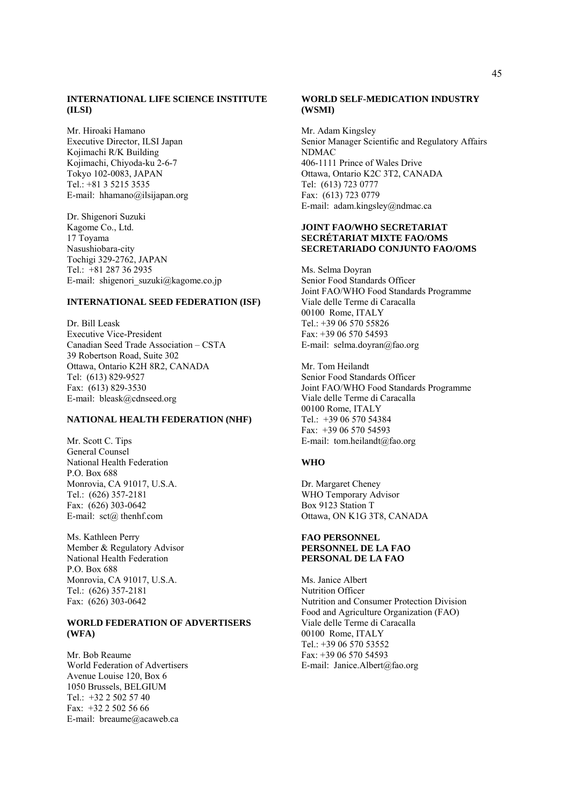### **INTERNATIONAL LIFE SCIENCE INSTITUTE (ILSI)**

Mr. Hiroaki Hamano Executive Director, ILSI Japan Kojimachi R/K Building Kojimachi, Chiyoda-ku 2-6-7 Tokyo 102-0083, JAPAN Tel.: +81 3 5215 3535 E-mail: hhamano@ilsijapan.org

Dr. Shigenori Suzuki Kagome Co., Ltd. 17 Toyama Nasushiobara-city Tochigi 329-2762, JAPAN Tel.: +81 287 36 2935 E-mail: shigenori\_suzuki@kagome.co.jp

## **INTERNATIONAL SEED FEDERATION (ISF)**

Dr. Bill Leask Executive Vice-President Canadian Seed Trade Association – CSTA 39 Robertson Road, Suite 302 Ottawa, Ontario K2H 8R2, CANADA Tel: (613) 829-9527 Fax: (613) 829-3530 E-mail: bleask@cdnseed.org

#### **NATIONAL HEALTH FEDERATION (NHF)**

Mr. Scott C. Tips General Counsel National Health Federation P.O. Box 688 Monrovia, CA 91017, U.S.A. Tel.: (626) 357-2181 Fax: (626) 303-0642 E-mail: sct@ thenhf.com

Ms. Kathleen Perry Member & Regulatory Advisor National Health Federation P.O. Box 688 Monrovia, CA 91017, U.S.A. Tel.: (626) 357-2181 Fax: (626) 303-0642

#### **WORLD FEDERATION OF ADVERTISERS (WFA)**

Mr. Bob Reaume World Federation of Advertisers Avenue Louise 120, Box 6 1050 Brussels, BELGIUM Tel.: +32 2 502 57 40 Fax:  $+32$  2 502 56 66 E-mail: breaume@acaweb.ca

#### **WORLD SELF-MEDICATION INDUSTRY (WSMI)**

Mr. Adam Kingsley Senior Manager Scientific and Regulatory Affairs NDMAC 406-1111 Prince of Wales Drive Ottawa, Ontario K2C 3T2, CANADA Tel: (613) 723 0777 Fax: (613) 723 0779 E-mail: adam.kingsley@ndmac.ca

#### **JOINT FAO/WHO SECRETARIAT SECRÉTARIAT MIXTE FAO/OMS SECRETARIADO CONJUNTO FAO/OMS**

Ms. Selma Doyran Senior Food Standards Officer Joint FAO/WHO Food Standards Programme Viale delle Terme di Caracalla 00100 Rome, ITALY Tel.: +39 06 570 55826 Fax: +39 06 570 54593 E-mail: selma.doyran@fao.org

Mr. Tom Heilandt Senior Food Standards Officer Joint FAO/WHO Food Standards Programme Viale delle Terme di Caracalla 00100 Rome, ITALY Tel.: +39 06 570 54384 Fax: +39 06 570 54593 E-mail: tom.heilandt@fao.org

#### **WHO**

Dr. Margaret Cheney WHO Temporary Advisor Box 9123 Station T Ottawa, ON K1G 3T8, CANADA

#### **FAO PERSONNEL PERSONNEL DE LA FAO PERSONAL DE LA FAO**

Ms. Janice Albert Nutrition Officer Nutrition and Consumer Protection Division Food and Agriculture Organization (FAO) Viale delle Terme di Caracalla 00100 Rome, ITALY Tel.: +39 06 570 53552 Fax: +39 06 570 54593 E-mail: Janice.Albert@fao.org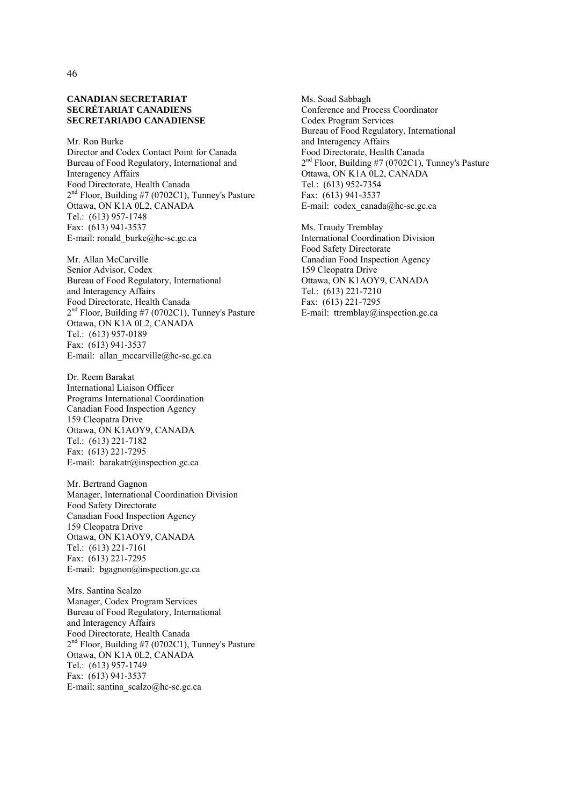#### **CANADIAN SECRETARIAT SECRÉTARIAT CANADIENS SECRETARIADO CANADIENSE**

Mr. Ron Burke Director and Codex Contact Point for Canada Bureau of Food Regulatory, International and Interagency Affairs Food Directorate, Health Canada  $2<sup>nd</sup>$  Floor, Building #7 (0702C1), Tunney's Pasture Ottawa, ON K1A 0L2, CANADA Tel.: (613) 957-1748 Fax: (613) 941-3537 E-mail: ronald\_burke@hc-sc.gc.ca

Mr. Allan McCarville Senior Advisor, Codex Bureau of Food Regulatory, International and Interagency Affairs Food Directorate, Health Canada 2nd Floor, Building #7 (0702C1), Tunney's Pasture Ottawa, ON K1A 0L2, CANADA Tel.: (613) 957-0189 Fax: (613) 941-3537 E-mail: allan  $measurable@$ hc-sc.gc.ca

Dr. Reem Barakat International Liaison Officer Programs International Coordination Canadian Food Inspection Agency 159 Cleopatra Drive Ottawa, ON K1AOY9, CANADA Tel.: (613) 221-7182 Fax: (613) 221-7295 E-mail: barakatr@inspection.gc.ca

Mr. Bertrand Gagnon Manager, International Coordination Division Food Safety Directorate Canadian Food Inspection Agency 159 Cleopatra Drive Ottawa, ON K1AOY9, CANADA Tel.: (613) 221-7161 Fax: (613) 221-7295 E-mail: bgagnon@inspection.gc.ca

Mrs. Santina Scalzo Manager, Codex Program Services Bureau of Food Regulatory, International and Interagency Affairs Food Directorate, Health Canada  $2<sup>nd</sup>$  Floor, Building #7 (0702C1), Tunney's Pasture Ottawa, ON K1A 0L2, CANADA Tel.: (613) 957-1749 Fax: (613) 941-3537 E-mail: santina\_scalzo@hc-sc.gc.ca

Ms. Soad Sabbagh Conference and Process Coordinator Codex Program Services Bureau of Food Regulatory, International and Interagency Affairs Food Directorate, Health Canada  $2<sup>nd</sup> Floor, Building #7 (0702C1), Tunney's Pasteure$ Ottawa, ON K1A 0L2, CANADA Tel.: (613) 952-7354 Fax: (613) 941-3537 E-mail: codex\_canada@hc-sc.gc.ca

Ms. Traudy Tremblay International Coordination Division Food Safety Directorate Canadian Food Inspection Agency 159 Cleopatra Drive Ottawa, ON K1AOY9, CANADA Tel.: (613) 221-7210 Fax: (613) 221-7295 E-mail: ttremblay@inspection.gc.ca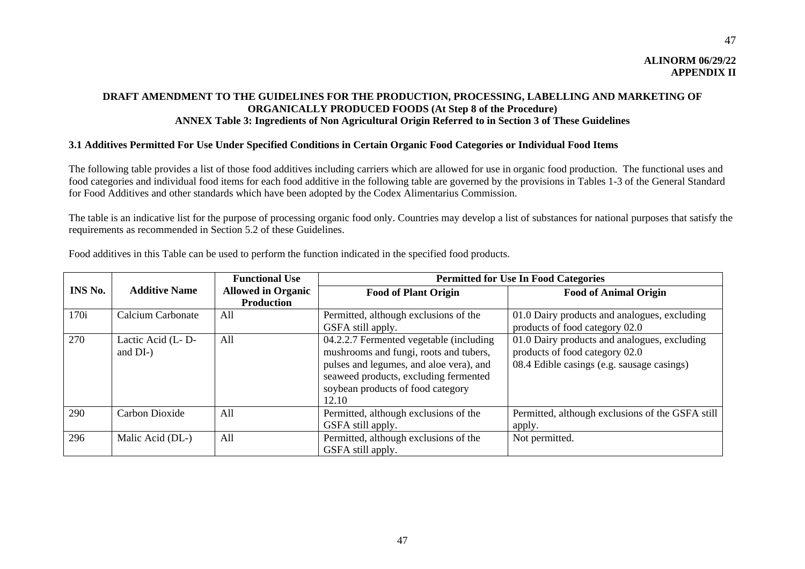**ALINORM 06/29/22 APPENDIX II** 

## **DRAFT AMENDMENT TO THE GUIDELINES FOR THE PRODUCTION, PROCESSING, LABELLING AND MARKETING OF ORGANICALLY PRODUCED FOODS (At Step 8 of the Procedure) ANNEX Table 3: Ingredients of Non Agricultural Origin Referred to in Section 3 of These Guidelines**

## **3.1 Additives Permitted For Use Under Specified Conditions in Certain Organic Food Categories or Individual Food Items**

The following table provides a list of those food additives including carriers which are allowed for use in organic food production. The functional uses and food categories and individual food items for each food additive in the following table are governed by the provisions in Tables 1-3 of the General Standard for Food Additives and other standards which have been adopted by the Codex Alimentarius Commission.

The table is an indicative list for the purpose of processing organic food only. Countries may develop a list of substances for national purposes that satisfy the requirements as recommended in Section 5.2 of these Guidelines.

|         |                               | <b>Functional Use</b>                          | <b>Permitted for Use In Food Categories</b>                                                                                                                                                                         |                                                                                                                              |  |
|---------|-------------------------------|------------------------------------------------|---------------------------------------------------------------------------------------------------------------------------------------------------------------------------------------------------------------------|------------------------------------------------------------------------------------------------------------------------------|--|
| INS No. | <b>Additive Name</b>          | <b>Allowed in Organic</b><br><b>Production</b> | <b>Food of Plant Origin</b>                                                                                                                                                                                         | <b>Food of Animal Origin</b>                                                                                                 |  |
| 170i    | Calcium Carbonate             | A11                                            | Permitted, although exclusions of the<br>GSFA still apply.                                                                                                                                                          | 01.0 Dairy products and analogues, excluding<br>products of food category 02.0                                               |  |
| 270     | Lactic Acid (L-D-<br>and DI-) | All                                            | 04.2.2.7 Fermented vegetable (including<br>mushrooms and fungi, roots and tubers,<br>pulses and legumes, and aloe vera), and<br>seaweed products, excluding fermented<br>soybean products of food category<br>12.10 | 01.0 Dairy products and analogues, excluding<br>products of food category 02.0<br>08.4 Edible casings (e.g. sausage casings) |  |
| 290     | Carbon Dioxide                | All                                            | Permitted, although exclusions of the<br>GSFA still apply.                                                                                                                                                          | Permitted, although exclusions of the GSFA still<br>apply.                                                                   |  |
| 296     | Malic Acid (DL-)              | All                                            | Permitted, although exclusions of the<br>GSFA still apply.                                                                                                                                                          | Not permitted.                                                                                                               |  |

Food additives in this Table can be used to perform the function indicated in the specified food products.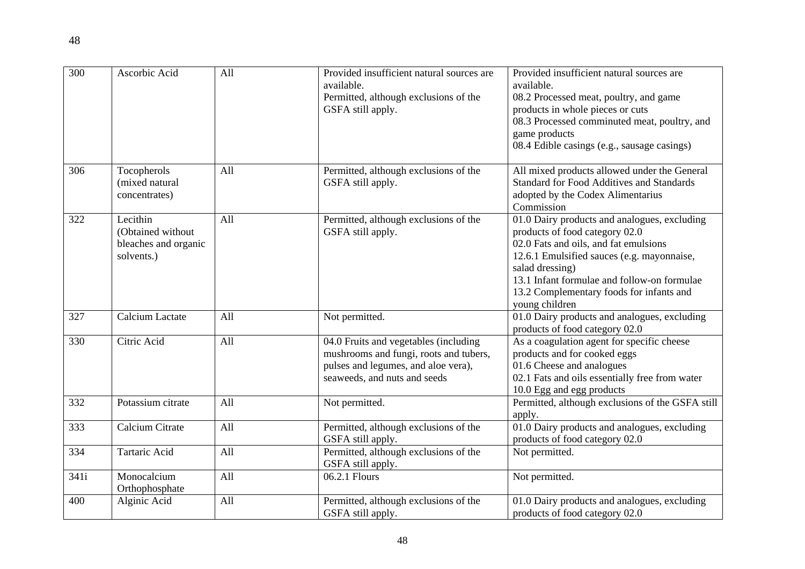| 300  | Ascorbic Acid                                                       | All | Provided insufficient natural sources are<br>available.<br>Permitted, although exclusions of the<br>GSFA still apply.                                  | Provided insufficient natural sources are<br>available.<br>08.2 Processed meat, poultry, and game<br>products in whole pieces or cuts<br>08.3 Processed comminuted meat, poultry, and<br>game products<br>08.4 Edible casings (e.g., sausage casings)                                                 |
|------|---------------------------------------------------------------------|-----|--------------------------------------------------------------------------------------------------------------------------------------------------------|-------------------------------------------------------------------------------------------------------------------------------------------------------------------------------------------------------------------------------------------------------------------------------------------------------|
| 306  | Tocopherols<br>(mixed natural<br>concentrates)                      | All | Permitted, although exclusions of the<br>GSFA still apply.                                                                                             | All mixed products allowed under the General<br><b>Standard for Food Additives and Standards</b><br>adopted by the Codex Alimentarius<br>Commission                                                                                                                                                   |
| 322  | Lecithin<br>(Obtained without<br>bleaches and organic<br>solvents.) | All | Permitted, although exclusions of the<br>GSFA still apply.                                                                                             | 01.0 Dairy products and analogues, excluding<br>products of food category 02.0<br>02.0 Fats and oils, and fat emulsions<br>12.6.1 Emulsified sauces (e.g. mayonnaise,<br>salad dressing)<br>13.1 Infant formulae and follow-on formulae<br>13.2 Complementary foods for infants and<br>young children |
| 327  | Calcium Lactate                                                     | All | Not permitted.                                                                                                                                         | 01.0 Dairy products and analogues, excluding<br>products of food category 02.0                                                                                                                                                                                                                        |
| 330  | Citric Acid                                                         | All | 04.0 Fruits and vegetables (including<br>mushrooms and fungi, roots and tubers,<br>pulses and legumes, and aloe vera),<br>seaweeds, and nuts and seeds | As a coagulation agent for specific cheese<br>products and for cooked eggs<br>01.6 Cheese and analogues<br>02.1 Fats and oils essentially free from water<br>10.0 Egg and egg products                                                                                                                |
| 332  | Potassium citrate                                                   | All | Not permitted.                                                                                                                                         | Permitted, although exclusions of the GSFA still<br>apply.                                                                                                                                                                                                                                            |
| 333  | Calcium Citrate                                                     | All | Permitted, although exclusions of the<br>GSFA still apply.                                                                                             | 01.0 Dairy products and analogues, excluding<br>products of food category 02.0                                                                                                                                                                                                                        |
| 334  | Tartaric Acid                                                       | All | Permitted, although exclusions of the<br>GSFA still apply.                                                                                             | Not permitted.                                                                                                                                                                                                                                                                                        |
| 341i | Monocalcium<br>Orthophosphate                                       | All | 06.2.1 Flours                                                                                                                                          | Not permitted.                                                                                                                                                                                                                                                                                        |
| 400  | Alginic Acid                                                        | All | Permitted, although exclusions of the<br>GSFA still apply.                                                                                             | 01.0 Dairy products and analogues, excluding<br>products of food category 02.0                                                                                                                                                                                                                        |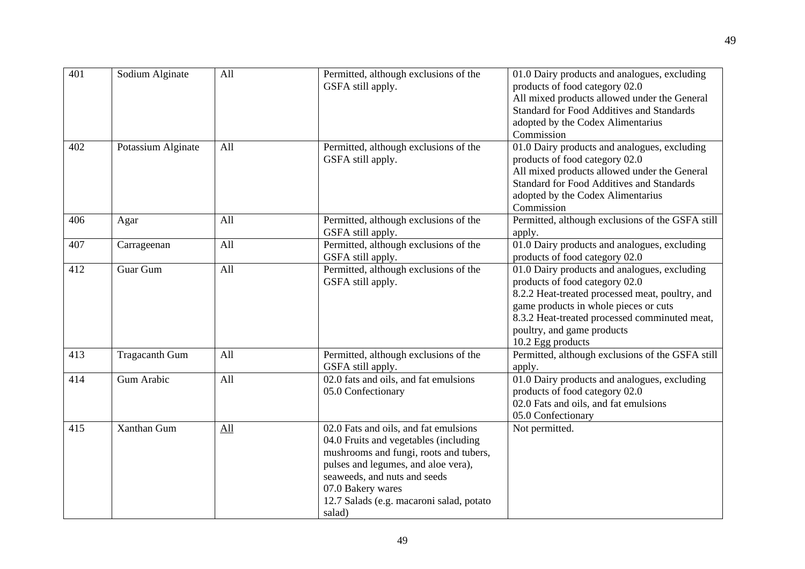| 401 | Sodium Alginate       | All | Permitted, although exclusions of the<br>GSFA still apply.                                                                                                                                                                                                                 | 01.0 Dairy products and analogues, excluding<br>products of food category 02.0<br>All mixed products allowed under the General<br><b>Standard for Food Additives and Standards</b><br>adopted by the Codex Alimentarius<br>Commission                                          |
|-----|-----------------------|-----|----------------------------------------------------------------------------------------------------------------------------------------------------------------------------------------------------------------------------------------------------------------------------|--------------------------------------------------------------------------------------------------------------------------------------------------------------------------------------------------------------------------------------------------------------------------------|
| 402 | Potassium Alginate    | All | Permitted, although exclusions of the<br>GSFA still apply.                                                                                                                                                                                                                 | 01.0 Dairy products and analogues, excluding<br>products of food category 02.0<br>All mixed products allowed under the General<br><b>Standard for Food Additives and Standards</b><br>adopted by the Codex Alimentarius<br>Commission                                          |
| 406 | Agar                  | All | Permitted, although exclusions of the<br>GSFA still apply.                                                                                                                                                                                                                 | Permitted, although exclusions of the GSFA still<br>apply.                                                                                                                                                                                                                     |
| 407 | Carrageenan           | All | Permitted, although exclusions of the<br>GSFA still apply.                                                                                                                                                                                                                 | 01.0 Dairy products and analogues, excluding<br>products of food category 02.0                                                                                                                                                                                                 |
| 412 | Guar Gum              | All | Permitted, although exclusions of the<br>GSFA still apply.                                                                                                                                                                                                                 | 01.0 Dairy products and analogues, excluding<br>products of food category 02.0<br>8.2.2 Heat-treated processed meat, poultry, and<br>game products in whole pieces or cuts<br>8.3.2 Heat-treated processed comminuted meat,<br>poultry, and game products<br>10.2 Egg products |
| 413 | <b>Tragacanth Gum</b> | All | Permitted, although exclusions of the<br>GSFA still apply.                                                                                                                                                                                                                 | Permitted, although exclusions of the GSFA still<br>apply.                                                                                                                                                                                                                     |
| 414 | Gum Arabic            | All | 02.0 fats and oils, and fat emulsions<br>05.0 Confectionary                                                                                                                                                                                                                | 01.0 Dairy products and analogues, excluding<br>products of food category 02.0<br>02.0 Fats and oils, and fat emulsions<br>05.0 Confectionary                                                                                                                                  |
| 415 | Xanthan Gum           | All | 02.0 Fats and oils, and fat emulsions<br>04.0 Fruits and vegetables (including<br>mushrooms and fungi, roots and tubers,<br>pulses and legumes, and aloe vera),<br>seaweeds, and nuts and seeds<br>07.0 Bakery wares<br>12.7 Salads (e.g. macaroni salad, potato<br>salad) | Not permitted.                                                                                                                                                                                                                                                                 |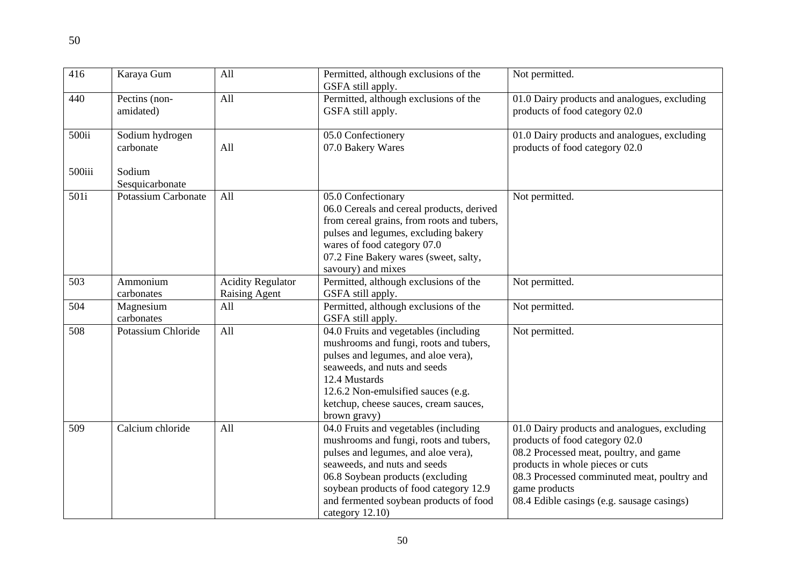| 416    | Karaya Gum                   | All                                       | Permitted, although exclusions of the<br>GSFA still apply.                                                                                                                                                                                                                                        | Not permitted.                                                                                                                                                                                                                                                             |
|--------|------------------------------|-------------------------------------------|---------------------------------------------------------------------------------------------------------------------------------------------------------------------------------------------------------------------------------------------------------------------------------------------------|----------------------------------------------------------------------------------------------------------------------------------------------------------------------------------------------------------------------------------------------------------------------------|
| 440    | Pectins (non-<br>amidated)   | All                                       | Permitted, although exclusions of the<br>GSFA still apply.                                                                                                                                                                                                                                        | 01.0 Dairy products and analogues, excluding<br>products of food category 02.0                                                                                                                                                                                             |
| 500ii  | Sodium hydrogen<br>carbonate | All                                       | 05.0 Confectionery<br>07.0 Bakery Wares                                                                                                                                                                                                                                                           | 01.0 Dairy products and analogues, excluding<br>products of food category 02.0                                                                                                                                                                                             |
| 500iii | Sodium<br>Sesquicarbonate    |                                           |                                                                                                                                                                                                                                                                                                   |                                                                                                                                                                                                                                                                            |
| 501i   | <b>Potassium Carbonate</b>   | All                                       | 05.0 Confectionary<br>06.0 Cereals and cereal products, derived<br>from cereal grains, from roots and tubers,<br>pulses and legumes, excluding bakery<br>wares of food category 07.0<br>07.2 Fine Bakery wares (sweet, salty,<br>savoury) and mixes                                               | Not permitted.                                                                                                                                                                                                                                                             |
| 503    | Ammonium<br>carbonates       | <b>Acidity Regulator</b><br>Raising Agent | Permitted, although exclusions of the<br>GSFA still apply.                                                                                                                                                                                                                                        | Not permitted.                                                                                                                                                                                                                                                             |
| 504    | Magnesium<br>carbonates      | All                                       | Permitted, although exclusions of the<br>GSFA still apply.                                                                                                                                                                                                                                        | Not permitted.                                                                                                                                                                                                                                                             |
| 508    | Potassium Chloride           | All                                       | 04.0 Fruits and vegetables (including<br>mushrooms and fungi, roots and tubers,<br>pulses and legumes, and aloe vera),<br>seaweeds, and nuts and seeds<br>12.4 Mustards<br>12.6.2 Non-emulsified sauces (e.g.<br>ketchup, cheese sauces, cream sauces,<br>brown gravy)                            | Not permitted.                                                                                                                                                                                                                                                             |
| 509    | Calcium chloride             | All                                       | 04.0 Fruits and vegetables (including<br>mushrooms and fungi, roots and tubers,<br>pulses and legumes, and aloe vera),<br>seaweeds, and nuts and seeds<br>06.8 Soybean products (excluding<br>soybean products of food category 12.9<br>and fermented soybean products of food<br>category 12.10) | 01.0 Dairy products and analogues, excluding<br>products of food category 02.0<br>08.2 Processed meat, poultry, and game<br>products in whole pieces or cuts<br>08.3 Processed comminuted meat, poultry and<br>game products<br>08.4 Edible casings (e.g. sausage casings) |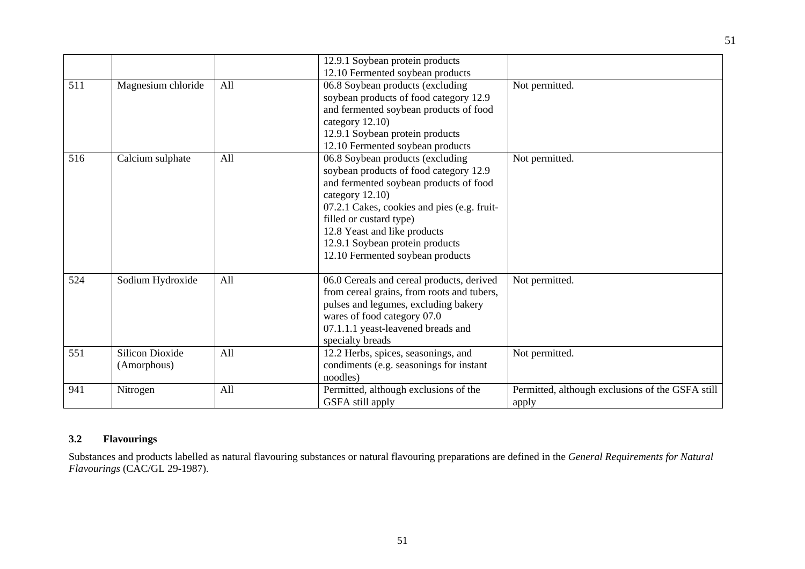|     |                                       |     | 12.9.1 Soybean protein products<br>12.10 Fermented soybean products                                                                                                                                                                                                                                                         |                                                           |
|-----|---------------------------------------|-----|-----------------------------------------------------------------------------------------------------------------------------------------------------------------------------------------------------------------------------------------------------------------------------------------------------------------------------|-----------------------------------------------------------|
| 511 | Magnesium chloride                    | All | 06.8 Soybean products (excluding<br>soybean products of food category 12.9<br>and fermented soybean products of food<br>category $12.10$ )<br>12.9.1 Soybean protein products<br>12.10 Fermented soybean products                                                                                                           | Not permitted.                                            |
| 516 | Calcium sulphate                      | All | 06.8 Soybean products (excluding<br>soybean products of food category 12.9<br>and fermented soybean products of food<br>category $12.10$ )<br>07.2.1 Cakes, cookies and pies (e.g. fruit-<br>filled or custard type)<br>12.8 Yeast and like products<br>12.9.1 Soybean protein products<br>12.10 Fermented soybean products | Not permitted.                                            |
| 524 | Sodium Hydroxide                      | All | 06.0 Cereals and cereal products, derived<br>from cereal grains, from roots and tubers,<br>pulses and legumes, excluding bakery<br>wares of food category 07.0<br>07.1.1.1 yeast-leavened breads and<br>specialty breads                                                                                                    | Not permitted.                                            |
| 551 | <b>Silicon Dioxide</b><br>(Amorphous) | All | 12.2 Herbs, spices, seasonings, and<br>condiments (e.g. seasonings for instant<br>noodles)                                                                                                                                                                                                                                  | Not permitted.                                            |
| 941 | Nitrogen                              | All | Permitted, although exclusions of the<br>GSFA still apply                                                                                                                                                                                                                                                                   | Permitted, although exclusions of the GSFA still<br>apply |

51

## **3.2 Flavourings**

Substances and products labelled as natural flavouring substances or natural flavouring preparations are defined in the *General Requirements for Natural Flavourings* (CAC/GL 29-1987).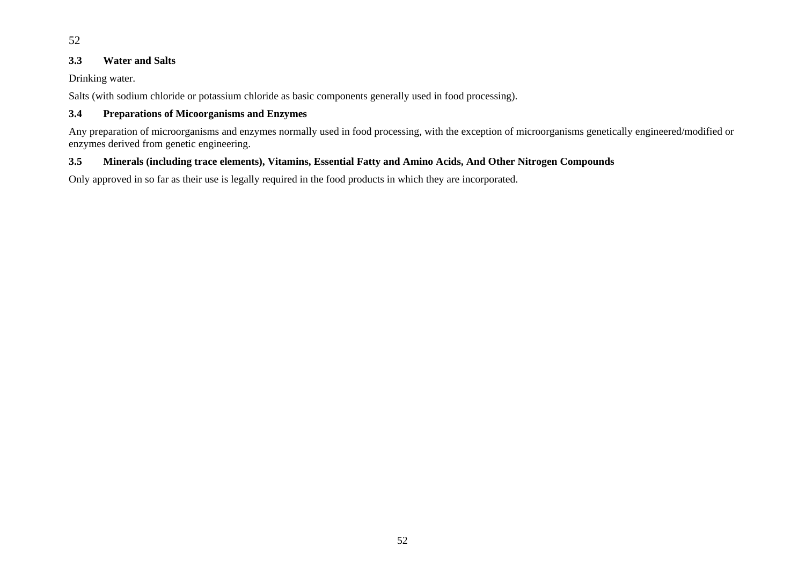52

#### **3.3Water and Salts**

Drinking water.

Salts (with sodium chloride or potassium chloride as basic components generally used in food processing).

#### **3.4Preparations of Micoorganisms and Enzymes**

Any preparation of microorganisms and enzymes normally used in food processing, with the exception of microorganisms genetically engineered/modified or enzymes derived from genetic engineering.

#### **3.5Minerals (including trace elements), Vitamins, Essential Fatty and Amino Acids, And Other Nitrogen Compounds**

Only approved in so far as their use is legally required in the food products in which they are incorporated.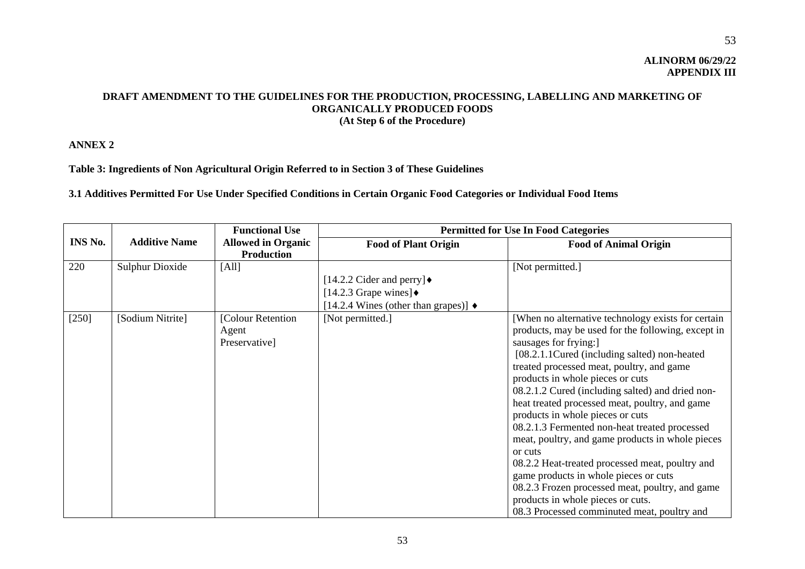**ALINORM 06/29/22 APPENDIX III** 

## **DRAFT AMENDMENT TO THE GUIDELINES FOR THE PRODUCTION, PROCESSING, LABELLING AND MARKETING OF ORGANICALLY PRODUCED FOODS (At Step 6 of the Procedure)**

## **ANNEX 2**

## **Table 3: Ingredients of Non Agricultural Origin Referred to in Section 3 of These Guidelines**

**3.1 Additives Permitted For Use Under Specified Conditions in Certain Organic Food Categories or Individual Food Items** 

|         |                        | <b>Functional Use</b>                       | <b>Permitted for Use In Food Categories</b>        |                                                                                                                                                                                                                                                                                                                                                                                                                                                                                                                                                                                                                                                                                                                                                                  |
|---------|------------------------|---------------------------------------------|----------------------------------------------------|------------------------------------------------------------------------------------------------------------------------------------------------------------------------------------------------------------------------------------------------------------------------------------------------------------------------------------------------------------------------------------------------------------------------------------------------------------------------------------------------------------------------------------------------------------------------------------------------------------------------------------------------------------------------------------------------------------------------------------------------------------------|
| INS No. | <b>Additive Name</b>   | <b>Allowed in Organic</b>                   | <b>Food of Plant Origin</b>                        | <b>Food of Animal Origin</b>                                                                                                                                                                                                                                                                                                                                                                                                                                                                                                                                                                                                                                                                                                                                     |
|         |                        | <b>Production</b>                           |                                                    |                                                                                                                                                                                                                                                                                                                                                                                                                                                                                                                                                                                                                                                                                                                                                                  |
| 220     | <b>Sulphur Dioxide</b> | [All]                                       |                                                    | [Not permitted.]                                                                                                                                                                                                                                                                                                                                                                                                                                                                                                                                                                                                                                                                                                                                                 |
|         |                        |                                             | [14.2.2 Cider and perry] $\bullet$                 |                                                                                                                                                                                                                                                                                                                                                                                                                                                                                                                                                                                                                                                                                                                                                                  |
|         |                        |                                             | [14.2.3 Grape wines] $\triangleleft$               |                                                                                                                                                                                                                                                                                                                                                                                                                                                                                                                                                                                                                                                                                                                                                                  |
|         |                        |                                             | [14.2.4 Wines (other than grapes)] $\triangleleft$ |                                                                                                                                                                                                                                                                                                                                                                                                                                                                                                                                                                                                                                                                                                                                                                  |
| $[250]$ | [Sodium Nitrite]       | [Colour Retention<br>Agent<br>Preservative] | [Not permitted.]                                   | [When no alternative technology exists for certain]<br>products, may be used for the following, except in<br>sausages for frying:<br>[08.2.1.1 Cured (including salted) non-heated<br>treated processed meat, poultry, and game<br>products in whole pieces or cuts<br>08.2.1.2 Cured (including salted) and dried non-<br>heat treated processed meat, poultry, and game<br>products in whole pieces or cuts<br>08.2.1.3 Fermented non-heat treated processed<br>meat, poultry, and game products in whole pieces<br>or cuts<br>08.2.2 Heat-treated processed meat, poultry and<br>game products in whole pieces or cuts<br>08.2.3 Frozen processed meat, poultry, and game<br>products in whole pieces or cuts.<br>08.3 Processed comminuted meat, poultry and |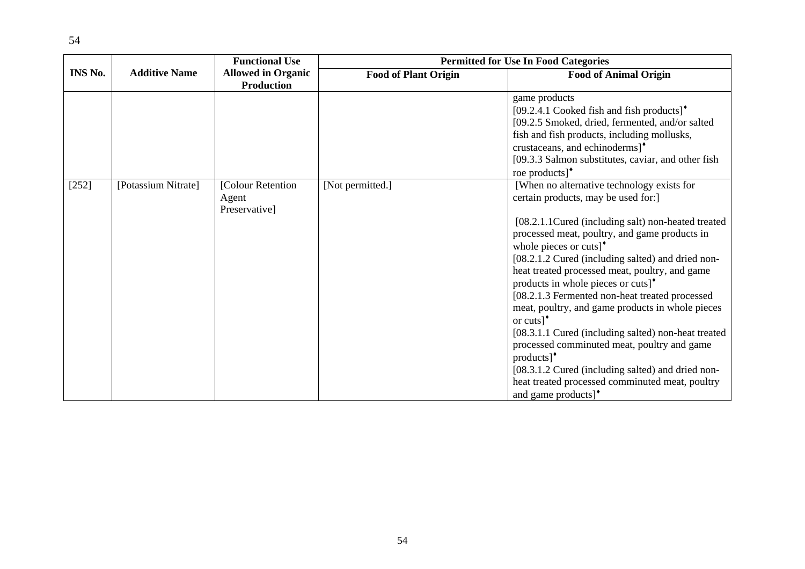|         |                      | <b>Functional Use</b>                          | <b>Permitted for Use In Food Categories</b> |                                                                                                                                                                                                                                                                                                                                                                                                                                                                                                                                                                                                                                                                                                                                                                                                    |
|---------|----------------------|------------------------------------------------|---------------------------------------------|----------------------------------------------------------------------------------------------------------------------------------------------------------------------------------------------------------------------------------------------------------------------------------------------------------------------------------------------------------------------------------------------------------------------------------------------------------------------------------------------------------------------------------------------------------------------------------------------------------------------------------------------------------------------------------------------------------------------------------------------------------------------------------------------------|
| INS No. | <b>Additive Name</b> | <b>Allowed in Organic</b><br><b>Production</b> | <b>Food of Plant Origin</b>                 | <b>Food of Animal Origin</b>                                                                                                                                                                                                                                                                                                                                                                                                                                                                                                                                                                                                                                                                                                                                                                       |
|         |                      |                                                |                                             | game products<br>$[09.2.4.1$ Cooked fish and fish products] <sup>*</sup><br>[09.2.5 Smoked, dried, fermented, and/or salted<br>fish and fish products, including mollusks,<br>crustaceans, and echinoderms] <sup>*</sup><br>[09.3.3 Salmon substitutes, caviar, and other fish<br>roe products] <sup>*</sup>                                                                                                                                                                                                                                                                                                                                                                                                                                                                                       |
| $[252]$ | [Potassium Nitrate]  | [Colour Retention<br>Agent<br>Preservative]    | [Not permitted.]                            | [When no alternative technology exists for<br>certain products, may be used for:<br>[08.2.1.1 Cured (including salt) non-heated treated<br>processed meat, poultry, and game products in<br>whole pieces or cuts] $\cdot$<br>[08.2.1.2 Cured (including salted) and dried non-<br>heat treated processed meat, poultry, and game<br>products in whole pieces or cuts] <sup>*</sup><br>[08.2.1.3 Fermented non-heat treated processed<br>meat, poultry, and game products in whole pieces<br>or cuts] $\mathbf{\hat{}}$<br>[08.3.1.1 Cured (including salted) non-heat treated<br>processed comminuted meat, poultry and game<br>$products$ <sup>*</sup><br>[08.3.1.2 Cured (including salted) and dried non-<br>heat treated processed comminuted meat, poultry<br>and game products] <sup>*</sup> |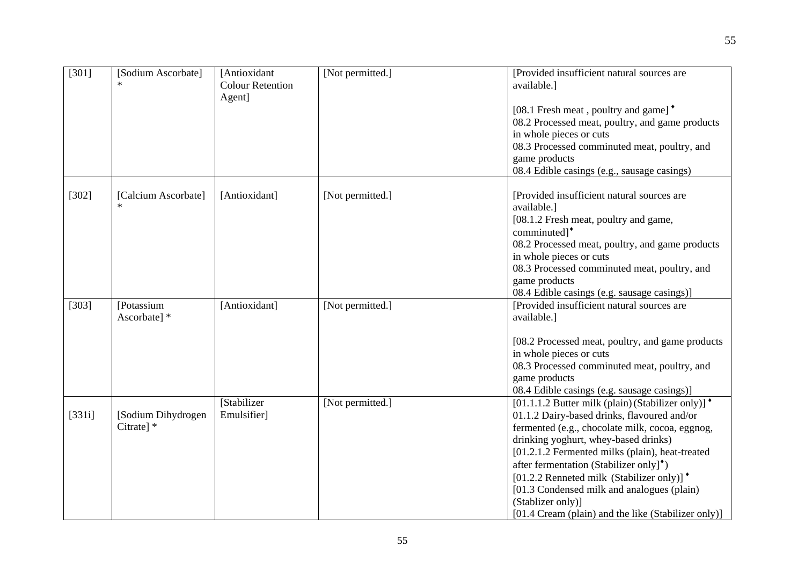| [301]  | [Sodium Ascorbate]               | [Antioxidant<br><b>Colour Retention</b><br>Agent] | [Not permitted.] | [Provided insufficient natural sources are<br>available.]                                                                                                                                                                                                                                                                                                                                                                                                                              |
|--------|----------------------------------|---------------------------------------------------|------------------|----------------------------------------------------------------------------------------------------------------------------------------------------------------------------------------------------------------------------------------------------------------------------------------------------------------------------------------------------------------------------------------------------------------------------------------------------------------------------------------|
|        |                                  |                                                   |                  | [08.1 Fresh meat, poultry and game] <sup>*</sup><br>08.2 Processed meat, poultry, and game products<br>in whole pieces or cuts                                                                                                                                                                                                                                                                                                                                                         |
|        |                                  |                                                   |                  | 08.3 Processed comminuted meat, poultry, and<br>game products<br>08.4 Edible casings (e.g., sausage casings)                                                                                                                                                                                                                                                                                                                                                                           |
| [302]  | [Calcium Ascorbate]              | [Antioxidant]                                     | [Not permitted.] | [Provided insufficient natural sources are<br>available.]<br>[08.1.2 Fresh meat, poultry and game,<br>comminuted] <sup>*</sup><br>08.2 Processed meat, poultry, and game products<br>in whole pieces or cuts<br>08.3 Processed comminuted meat, poultry, and<br>game products<br>08.4 Edible casings (e.g. sausage casings)]                                                                                                                                                           |
| [303]  | [Potassium<br>Ascorbate] *       | [Antioxidant]                                     | [Not permitted.] | [Provided insufficient natural sources are<br>available.]<br>[08.2 Processed meat, poultry, and game products<br>in whole pieces or cuts<br>08.3 Processed comminuted meat, poultry, and<br>game products<br>08.4 Edible casings (e.g. sausage casings)]                                                                                                                                                                                                                               |
| [331i] | [Sodium Dihydrogen<br>Citrate] * | [Stabilizer<br>Emulsifier]                        | [Not permitted.] | [01.1.1.2 Butter milk (plain) (Stabilizer only)] $\bullet$<br>01.1.2 Dairy-based drinks, flavoured and/or<br>fermented (e.g., chocolate milk, cocoa, eggnog,<br>drinking yoghurt, whey-based drinks)<br>[01.2.1.2 Fermented milks (plain), heat-treated<br>after fermentation (Stabilizer only] <sup>*</sup> )<br>[01.2.2 Renneted milk (Stabilizer only)] *<br>[01.3 Condensed milk and analogues (plain)<br>(Stablizer only)]<br>[01.4 Cream (plain) and the like (Stabilizer only)] |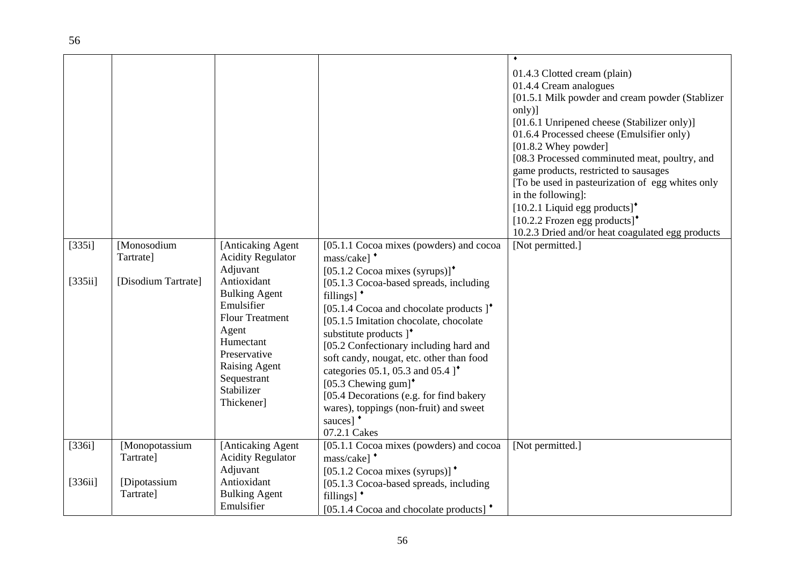| $[335i]$<br>[335ii]<br>$[336i]$ | [Monosodium<br>Tartrate]<br>[Disodium Tartrate]<br>[Monopotassium | [Anticaking Agent<br><b>Acidity Regulator</b><br>Adjuvant<br>Antioxidant<br><b>Bulking Agent</b><br>Emulsifier<br><b>Flour Treatment</b><br>Agent<br>Humectant<br>Preservative<br>Raising Agent<br>Sequestrant<br>Stabilizer<br>Thickener]<br>[Anticaking Agent | [05.1.1 Cocoa mixes (powders) and cocoa<br>mass/cake] *<br>[05.1.2 Cocoa mixes (syrups)] <sup>*</sup><br>[05.1.3 Cocoa-based spreads, including<br>fillings] $\cdot$<br>[05.1.4 Cocoa and chocolate products $\uparrow$<br>[05.1.5 Imitation chocolate, chocolate<br>substitute products ]*<br>[05.2 Confectionary including hard and<br>soft candy, nougat, etc. other than food<br>categories 05.1, 05.3 and 05.4 ]*<br>[05.3 Chewing gum] <sup>*</sup><br>[05.4 Decorations (e.g. for find bakery<br>wares), toppings (non-fruit) and sweet<br>sauces] <sup>*</sup><br>07.2.1 Cakes<br>[05.1.1 Cocoa mixes (powders) and cocoa | $\bullet$<br>01.4.3 Clotted cream (plain)<br>01.4.4 Cream analogues<br>[01.5.1 Milk powder and cream powder (Stablizer<br>only)]<br>[01.6.1 Unripened cheese (Stabilizer only)]<br>01.6.4 Processed cheese (Emulsifier only)<br>$[01.8.2$ Whey powder]<br>[08.3 Processed comminuted meat, poultry, and<br>game products, restricted to sausages<br>[To be used in pasteurization of egg whites only<br>in the following]:<br>$[10.2.1$ Liquid egg products] <sup>*</sup><br>$[10.2.2$ Frozen egg products] <sup>*</sup><br>10.2.3 Dried and/or heat coagulated egg products<br>[Not permitted.]<br>[Not permitted.] |
|---------------------------------|-------------------------------------------------------------------|-----------------------------------------------------------------------------------------------------------------------------------------------------------------------------------------------------------------------------------------------------------------|-----------------------------------------------------------------------------------------------------------------------------------------------------------------------------------------------------------------------------------------------------------------------------------------------------------------------------------------------------------------------------------------------------------------------------------------------------------------------------------------------------------------------------------------------------------------------------------------------------------------------------------|----------------------------------------------------------------------------------------------------------------------------------------------------------------------------------------------------------------------------------------------------------------------------------------------------------------------------------------------------------------------------------------------------------------------------------------------------------------------------------------------------------------------------------------------------------------------------------------------------------------------|
|                                 | Tartrate]                                                         | <b>Acidity Regulator</b><br>Adjuvant                                                                                                                                                                                                                            | mass/cake] *<br>[05.1.2 Cocoa mixes (syrups)] $\bullet$                                                                                                                                                                                                                                                                                                                                                                                                                                                                                                                                                                           |                                                                                                                                                                                                                                                                                                                                                                                                                                                                                                                                                                                                                      |
| [336ii]                         | [Dipotassium<br>Tartrate]                                         | Antioxidant<br><b>Bulking Agent</b><br>Emulsifier                                                                                                                                                                                                               | [05.1.3 Cocoa-based spreads, including<br>fillings] $*$<br>[05.1.4 Cocoa and chocolate products] $\bullet$                                                                                                                                                                                                                                                                                                                                                                                                                                                                                                                        |                                                                                                                                                                                                                                                                                                                                                                                                                                                                                                                                                                                                                      |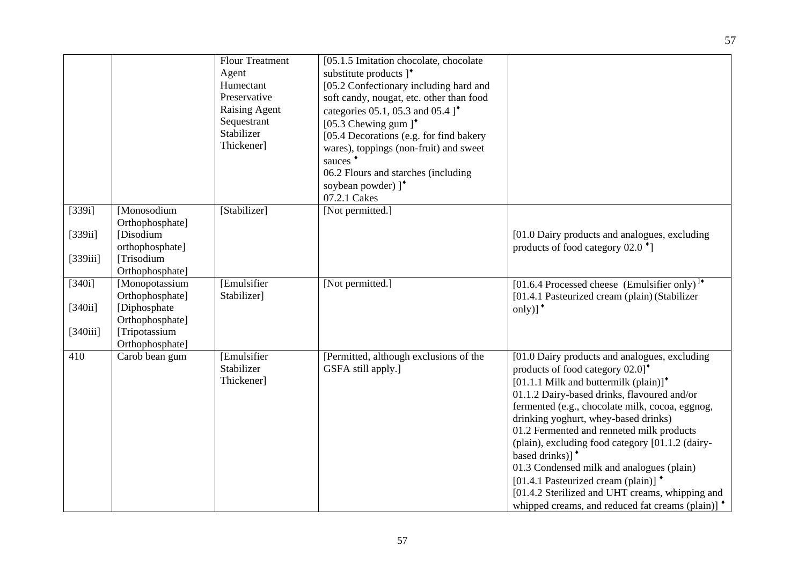|           |                                   | Flour Treatment<br>Agent<br>Humectant<br>Preservative<br>Raising Agent<br>Sequestrant<br>Stabilizer<br>Thickener] | [05.1.5 Imitation chocolate, chocolate<br>substitute products $\uparrow$<br>[05.2 Confectionary including hard and<br>soft candy, nougat, etc. other than food<br>categories 05.1, 05.3 and 05.4 ]*<br>[05.3 Chewing gum $]$ <sup>*</sup><br>[05.4 Decorations (e.g. for find bakery<br>wares), toppings (non-fruit) and sweet<br>sauces <sup>+</sup><br>06.2 Flours and starches (including<br>soybean powder) ]*<br>07.2.1 Cakes |                                                                                                                                                                                                                                                                                                                                                                                                                                                                                                                                                                                                                              |
|-----------|-----------------------------------|-------------------------------------------------------------------------------------------------------------------|------------------------------------------------------------------------------------------------------------------------------------------------------------------------------------------------------------------------------------------------------------------------------------------------------------------------------------------------------------------------------------------------------------------------------------|------------------------------------------------------------------------------------------------------------------------------------------------------------------------------------------------------------------------------------------------------------------------------------------------------------------------------------------------------------------------------------------------------------------------------------------------------------------------------------------------------------------------------------------------------------------------------------------------------------------------------|
| $[339i]$  | [Monosodium<br>Orthophosphate]    | [Stabilizer]                                                                                                      | [Not permitted.]                                                                                                                                                                                                                                                                                                                                                                                                                   |                                                                                                                                                                                                                                                                                                                                                                                                                                                                                                                                                                                                                              |
| [339ii]   | [Disodium<br>orthophosphate]      |                                                                                                                   |                                                                                                                                                                                                                                                                                                                                                                                                                                    | [01.0 Dairy products and analogues, excluding<br>products of food category $02.0$ <sup>*</sup> ]                                                                                                                                                                                                                                                                                                                                                                                                                                                                                                                             |
| [339iii]  | [Trisodium<br>Orthophosphate]     |                                                                                                                   |                                                                                                                                                                                                                                                                                                                                                                                                                                    |                                                                                                                                                                                                                                                                                                                                                                                                                                                                                                                                                                                                                              |
| $[340i]$  | [Monopotassium<br>Orthophosphate] | <b>[Emulsifier</b><br>Stabilizer]                                                                                 | [Not permitted.]                                                                                                                                                                                                                                                                                                                                                                                                                   | [01.6.4 Processed cheese (Emulsifier only) <sup>1</sup><br>[01.4.1 Pasteurized cream (plain) (Stabilizer                                                                                                                                                                                                                                                                                                                                                                                                                                                                                                                     |
| $[340ii]$ | [Diphosphate<br>Orthophosphate]   |                                                                                                                   |                                                                                                                                                                                                                                                                                                                                                                                                                                    | $only)$ <sup>+</sup>                                                                                                                                                                                                                                                                                                                                                                                                                                                                                                                                                                                                         |
| [340iii]  | [Tripotassium<br>Orthophosphate]  |                                                                                                                   |                                                                                                                                                                                                                                                                                                                                                                                                                                    |                                                                                                                                                                                                                                                                                                                                                                                                                                                                                                                                                                                                                              |
| 410       | Carob bean gum                    | <b>[Emulsifier</b><br>Stabilizer<br>Thickener]                                                                    | [Permitted, although exclusions of the<br>GSFA still apply.]                                                                                                                                                                                                                                                                                                                                                                       | [01.0 Dairy products and analogues, excluding<br>products of food category 02.0] <sup>*</sup><br>[01.1.1 Milk and buttermilk (plain)] $^*$<br>01.1.2 Dairy-based drinks, flavoured and/or<br>fermented (e.g., chocolate milk, cocoa, eggnog,<br>drinking yoghurt, whey-based drinks)<br>01.2 Fermented and renneted milk products<br>(plain), excluding food category [01.1.2 (dairy-<br>based drinks)] <sup>*</sup><br>01.3 Condensed milk and analogues (plain)<br>[01.4.1 Pasteurized cream (plain)] $\bullet$<br>[01.4.2 Sterilized and UHT creams, whipping and<br>whipped creams, and reduced fat creams (plain)] $^*$ |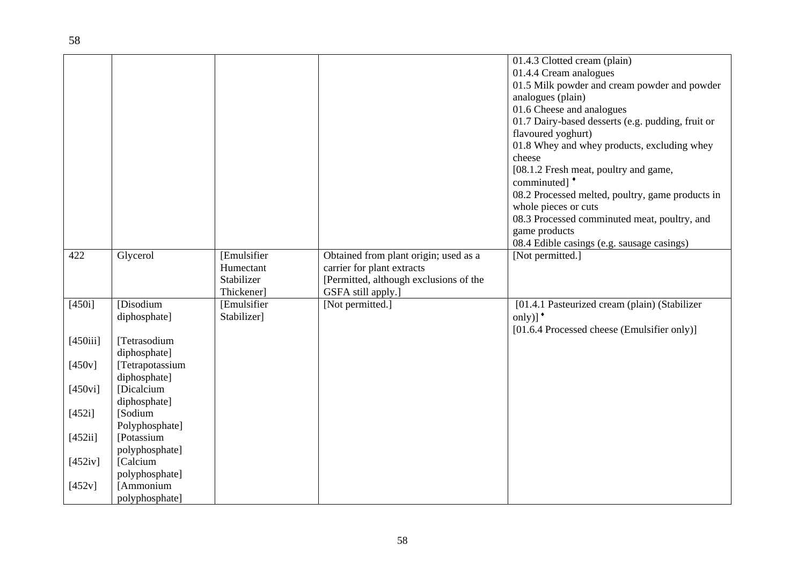|           |                 |                            |                                        | 01.4.3 Clotted cream (plain)<br>01.4.4 Cream analogues<br>01.5 Milk powder and cream powder and powder |
|-----------|-----------------|----------------------------|----------------------------------------|--------------------------------------------------------------------------------------------------------|
|           |                 |                            |                                        | analogues (plain)                                                                                      |
|           |                 |                            |                                        | 01.6 Cheese and analogues                                                                              |
|           |                 |                            |                                        | 01.7 Dairy-based desserts (e.g. pudding, fruit or                                                      |
|           |                 |                            |                                        | flavoured yoghurt)                                                                                     |
|           |                 |                            |                                        | 01.8 Whey and whey products, excluding whey                                                            |
|           |                 |                            |                                        | cheese                                                                                                 |
|           |                 |                            |                                        | [08.1.2 Fresh meat, poultry and game,                                                                  |
|           |                 |                            |                                        | comminuted] <sup>*</sup>                                                                               |
|           |                 |                            |                                        | 08.2 Processed melted, poultry, game products in                                                       |
|           |                 |                            |                                        | whole pieces or cuts                                                                                   |
|           |                 |                            |                                        | 08.3 Processed comminuted meat, poultry, and                                                           |
|           |                 |                            |                                        | game products                                                                                          |
|           |                 |                            |                                        | 08.4 Edible casings (e.g. sausage casings)                                                             |
| 422       | Glycerol        | [Emulsifier                | Obtained from plant origin; used as a  | [Not permitted.]                                                                                       |
|           |                 | Humectant                  | carrier for plant extracts             |                                                                                                        |
|           |                 | Stabilizer                 | [Permitted, although exclusions of the |                                                                                                        |
|           | [Disodium       | Thickener]                 | GSFA still apply.]                     |                                                                                                        |
| $[450i]$  | diphosphate]    | [Emulsifier<br>Stabilizer] | [Not permitted.]                       | [01.4.1 Pasteurized cream (plain) (Stabilizer                                                          |
|           |                 |                            |                                        | only)] $^*$<br>[01.6.4 Processed cheese (Emulsifier only)]                                             |
| [450iii]  | [Tetrasodium    |                            |                                        |                                                                                                        |
|           | diphosphate]    |                            |                                        |                                                                                                        |
| $[450v]$  | [Tetrapotassium |                            |                                        |                                                                                                        |
|           | diphosphate]    |                            |                                        |                                                                                                        |
| [450vi]   | [Dicalcium      |                            |                                        |                                                                                                        |
|           | diphosphate]    |                            |                                        |                                                                                                        |
| [452i]    | [Sodium         |                            |                                        |                                                                                                        |
|           | Polyphosphate]  |                            |                                        |                                                                                                        |
| $[452ii]$ | [Potassium      |                            |                                        |                                                                                                        |
|           | polyphosphate]  |                            |                                        |                                                                                                        |
| [452iv]   | [Calcium]       |                            |                                        |                                                                                                        |
|           | polyphosphate]  |                            |                                        |                                                                                                        |
| $[452v]$  | [Ammonium       |                            |                                        |                                                                                                        |
|           | polyphosphate]  |                            |                                        |                                                                                                        |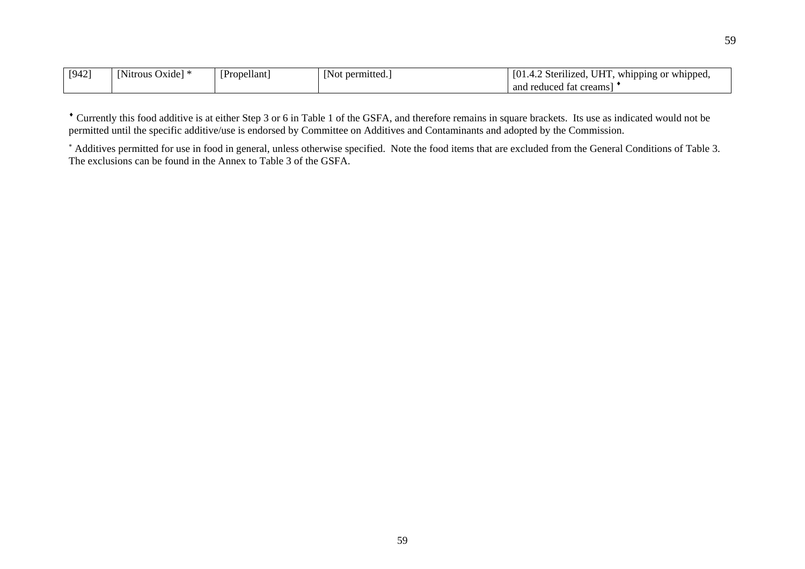| [942] | [Nitrous]<br>Oxide' | [Propellant] | t permitted.<br>'Not | $\cdots$<br><b>UHT</b><br>Sterilized.<br>whipping or whipped,<br>∸<br>т.∠ |
|-------|---------------------|--------------|----------------------|---------------------------------------------------------------------------|
|       |                     |              |                      | l reduced fat creams l<br>and                                             |

♦ Currently this food additive is at either Step 3 or 6 in Table 1 of the GSFA, and therefore remains in square brackets. Its use as indicated would not be permitted until the specific additive/use is endorsed by Committee on Additives and Contaminants and adopted by the Commission.

<sup>∗</sup> Additives permitted for use in food in general, unless otherwise specified. Note the food items that are excluded from the General Conditions of Table 3. The exclusions can be found in the Annex to Table 3 of the GSFA.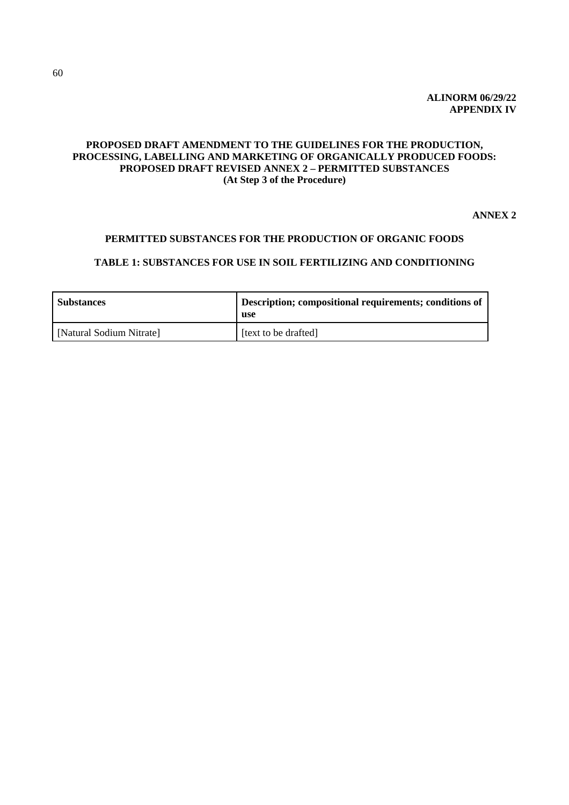## **PROPOSED DRAFT AMENDMENT TO THE GUIDELINES FOR THE PRODUCTION, PROCESSING, LABELLING AND MARKETING OF ORGANICALLY PRODUCED FOODS: PROPOSED DRAFT REVISED ANNEX 2 – PERMITTED SUBSTANCES (At Step 3 of the Procedure)**

**ANNEX 2** 

## **PERMITTED SUBSTANCES FOR THE PRODUCTION OF ORGANIC FOODS**

## **TABLE 1: SUBSTANCES FOR USE IN SOIL FERTILIZING AND CONDITIONING**

| <b>Substances</b>        | Description; compositional requirements; conditions of<br>use |
|--------------------------|---------------------------------------------------------------|
| [Natural Sodium Nitrate] | [text to be drafted]                                          |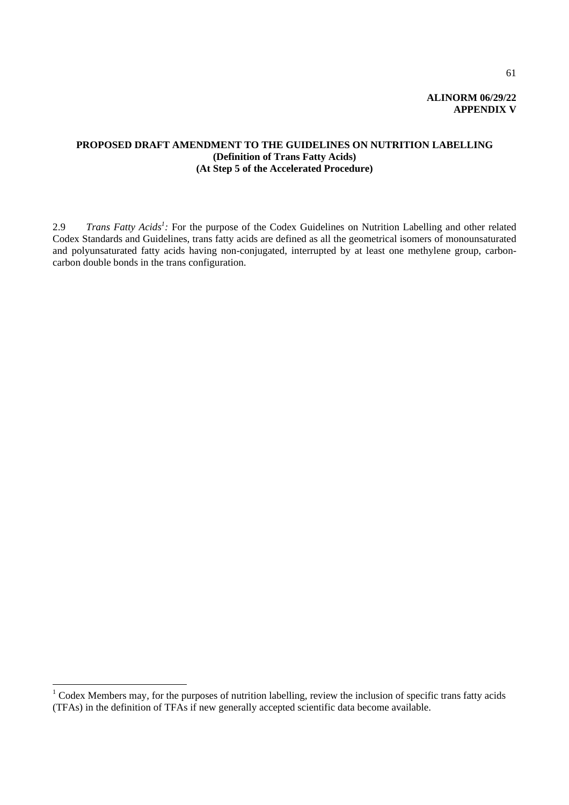## **ALINORM 06/29/22 APPENDIX V**

## **PROPOSED DRAFT AMENDMENT TO THE GUIDELINES ON NUTRITION LABELLING (Definition of Trans Fatty Acids) (At Step 5 of the Accelerated Procedure)**

2.9 Trans Fatty Acids<sup>1</sup>: For the purpose of the Codex Guidelines on Nutrition Labelling and other related Codex Standards and Guidelines, trans fatty acids are defined as all the geometrical isomers of monounsaturated and polyunsaturated fatty acids having non-conjugated, interrupted by at least one methylene group, carboncarbon double bonds in the trans configuration.

 $1$  Codex Members may, for the purposes of nutrition labelling, review the inclusion of specific trans fatty acids (TFAs) in the definition of TFAs if new generally accepted scientific data become available.